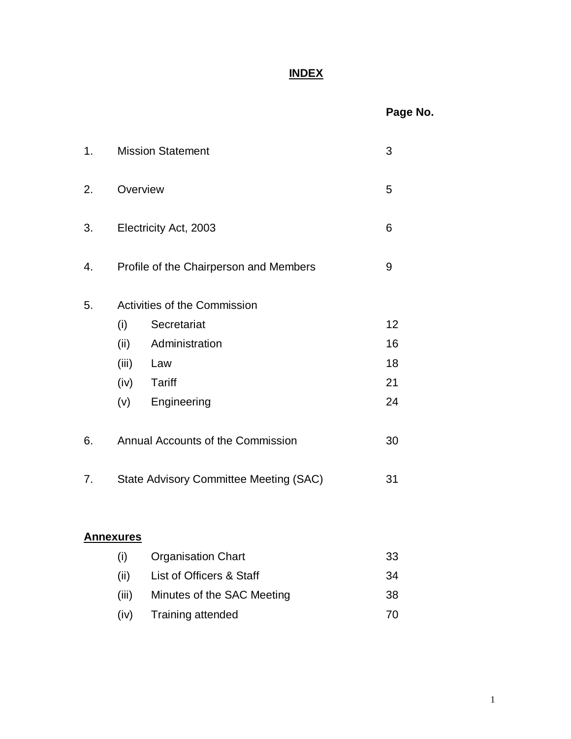## **INDEX**

## **Page No.**

| 1.               | <b>Mission Statement</b> |                                               |  | 3  |
|------------------|--------------------------|-----------------------------------------------|--|----|
| 2.               |                          | Overview                                      |  |    |
| 3.               | Electricity Act, 2003    |                                               |  | 6  |
| 4.               |                          | Profile of the Chairperson and Members        |  | 9  |
| 5.               |                          | Activities of the Commission                  |  |    |
|                  | (i)                      | Secretariat                                   |  | 12 |
|                  | (ii)                     | Administration                                |  | 16 |
|                  | (iii)                    | Law                                           |  | 18 |
|                  |                          | (iv) Tariff                                   |  | 21 |
|                  | (v)                      | Engineering                                   |  | 24 |
| 6.               |                          | Annual Accounts of the Commission             |  | 30 |
| 7.               |                          | <b>State Advisory Committee Meeting (SAC)</b> |  | 31 |
| <b>Annexures</b> |                          |                                               |  |    |

# (i) Organisation Chart 33 (ii) List of Officers & Staff 34 (iii) Minutes of the SAC Meeting 38 (iv) Training attended 70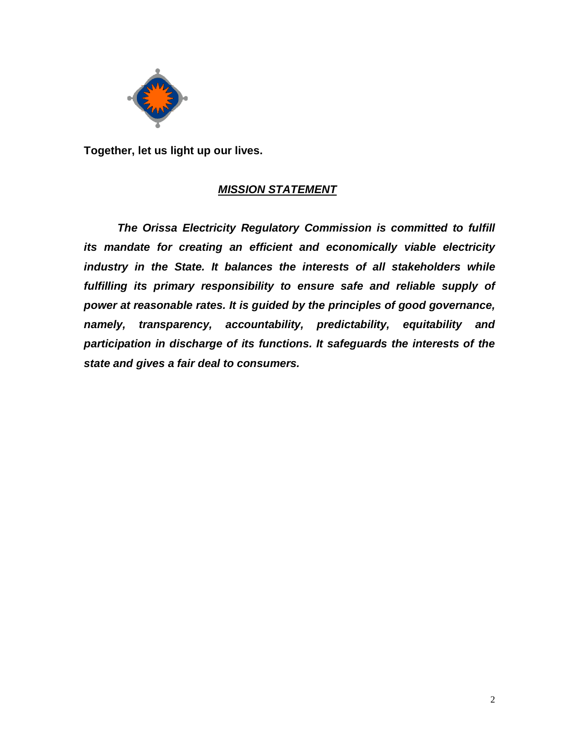

**Together, let us light up our lives.**

## *MISSION STATEMENT*

*The Orissa Electricity Regulatory Commission is committed to fulfill its mandate for creating an efficient and economically viable electricity industry in the State. It balances the interests of all stakeholders while fulfilling its primary responsibility to ensure safe and reliable supply of power at reasonable rates. It is guided by the principles of good governance, namely, transparency, accountability, predictability, equitability and participation in discharge of its functions. It safeguards the interests of the state and gives a fair deal to consumers.*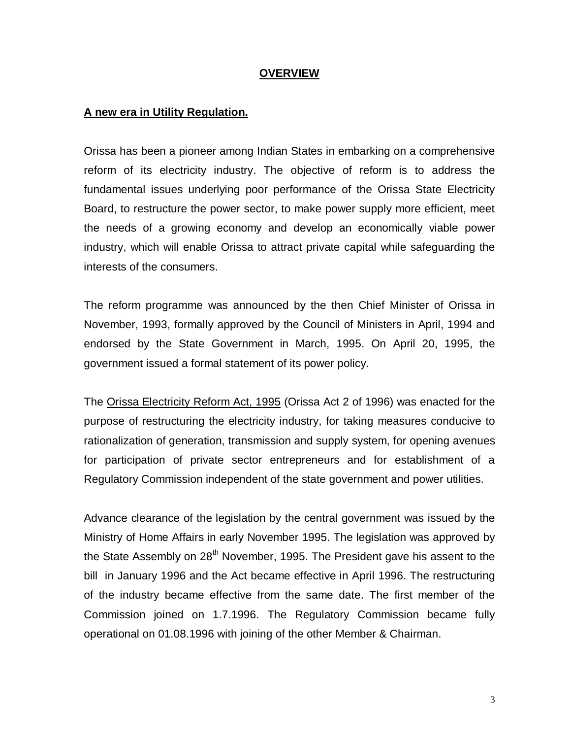#### **OVERVIEW**

#### **A new era in Utility Regulation.**

Orissa has been a pioneer among Indian States in embarking on a comprehensive reform of its electricity industry. The objective of reform is to address the fundamental issues underlying poor performance of the Orissa State Electricity Board, to restructure the power sector, to make power supply more efficient, meet the needs of a growing economy and develop an economically viable power industry, which will enable Orissa to attract private capital while safeguarding the interests of the consumers.

The reform programme was announced by the then Chief Minister of Orissa in November, 1993, formally approved by the Council of Ministers in April, 1994 and endorsed by the State Government in March, 1995. On April 20, 1995, the government issued a formal statement of its power policy.

The Orissa Electricity Reform Act, 1995 (Orissa Act 2 of 1996) was enacted for the purpose of restructuring the electricity industry, for taking measures conducive to rationalization of generation, transmission and supply system, for opening avenues for participation of private sector entrepreneurs and for establishment of a Regulatory Commission independent of the state government and power utilities.

Advance clearance of the legislation by the central government was issued by the Ministry of Home Affairs in early November 1995. The legislation was approved by the State Assembly on  $28<sup>th</sup>$  November, 1995. The President gave his assent to the bill in January 1996 and the Act became effective in April 1996. The restructuring of the industry became effective from the same date. The first member of the Commission joined on 1.7.1996. The Regulatory Commission became fully operational on 01.08.1996 with joining of the other Member & Chairman.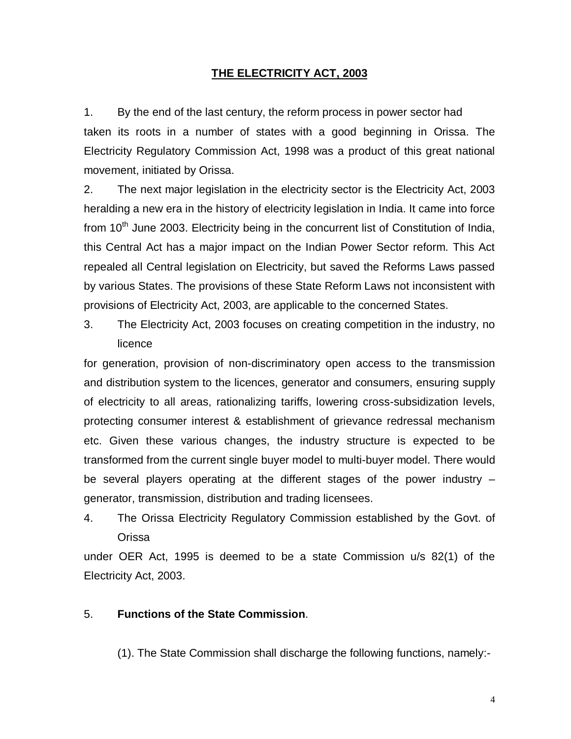#### **THE ELECTRICITY ACT, 2003**

1. By the end of the last century, the reform process in power sector had taken its roots in a number of states with a good beginning in Orissa. The Electricity Regulatory Commission Act, 1998 was a product of this great national movement, initiated by Orissa.

2. The next major legislation in the electricity sector is the Electricity Act, 2003 heralding a new era in the history of electricity legislation in India. It came into force from  $10<sup>th</sup>$  June 2003. Electricity being in the concurrent list of Constitution of India, this Central Act has a major impact on the Indian Power Sector reform. This Act repealed all Central legislation on Electricity, but saved the Reforms Laws passed by various States. The provisions of these State Reform Laws not inconsistent with provisions of Electricity Act, 2003, are applicable to the concerned States.

3. The Electricity Act, 2003 focuses on creating competition in the industry, no licence

for generation, provision of non-discriminatory open access to the transmission and distribution system to the licences, generator and consumers, ensuring supply of electricity to all areas, rationalizing tariffs, lowering cross-subsidization levels, protecting consumer interest & establishment of grievance redressal mechanism etc. Given these various changes, the industry structure is expected to be transformed from the current single buyer model to multi-buyer model. There would be several players operating at the different stages of the power industry – generator, transmission, distribution and trading licensees.

4. The Orissa Electricity Regulatory Commission established by the Govt. of Orissa

under OER Act, 1995 is deemed to be a state Commission u/s 82(1) of the Electricity Act, 2003.

#### 5. **Functions of the State Commission**.

(1). The State Commission shall discharge the following functions, namely:-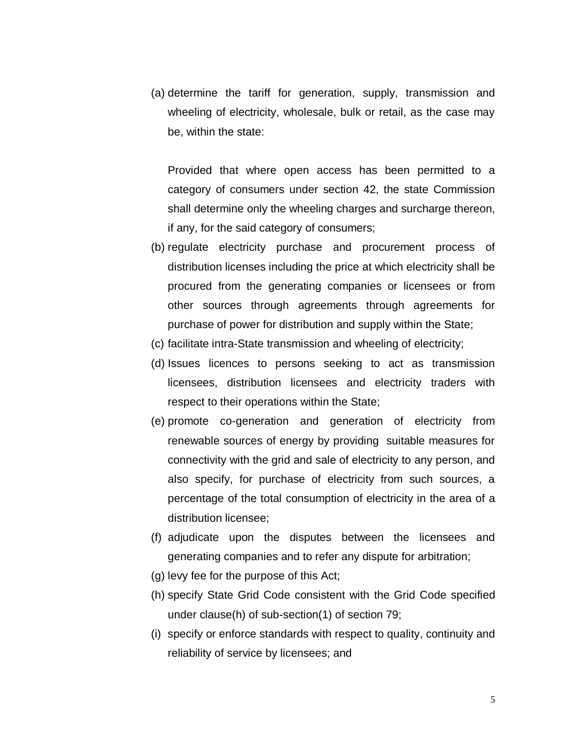(a) determine the tariff for generation, supply, transmission and wheeling of electricity, wholesale, bulk or retail, as the case may be, within the state:

Provided that where open access has been permitted to a category of consumers under section 42, the state Commission shall determine only the wheeling charges and surcharge thereon, if any, for the said category of consumers;

- (b) regulate electricity purchase and procurement process of distribution licenses including the price at which electricity shall be procured from the generating companies or licensees or from other sources through agreements through agreements for purchase of power for distribution and supply within the State;
- (c) facilitate intra-State transmission and wheeling of electricity;
- (d) Issues licences to persons seeking to act as transmission licensees, distribution licensees and electricity traders with respect to their operations within the State;
- (e) promote co-generation and generation of electricity from renewable sources of energy by providing suitable measures for connectivity with the grid and sale of electricity to any person, and also specify, for purchase of electricity from such sources, a percentage of the total consumption of electricity in the area of a distribution licensee;
- (f) adjudicate upon the disputes between the licensees and generating companies and to refer any dispute for arbitration;
- (g) levy fee for the purpose of this Act;
- (h) specify State Grid Code consistent with the Grid Code specified under clause(h) of sub-section(1) of section 79;
- (i) specify or enforce standards with respect to quality, continuity and reliability of service by licensees; and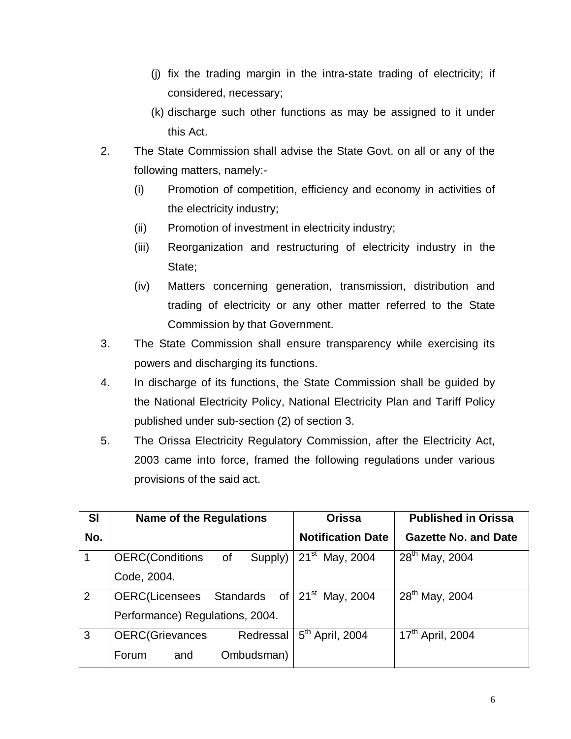- (j) fix the trading margin in the intra-state trading of electricity; if considered, necessary;
- (k) discharge such other functions as may be assigned to it under this Act.
- 2. The State Commission shall advise the State Govt. on all or any of the following matters, namely:-
	- (i) Promotion of competition, efficiency and economy in activities of the electricity industry;
	- (ii) Promotion of investment in electricity industry;
	- (iii) Reorganization and restructuring of electricity industry in the State;
	- (iv) Matters concerning generation, transmission, distribution and trading of electricity or any other matter referred to the State Commission by that Government.
- 3. The State Commission shall ensure transparency while exercising its powers and discharging its functions.
- 4. In discharge of its functions, the State Commission shall be guided by the National Electricity Policy, National Electricity Plan and Tariff Policy published under sub-section (2) of section 3.
- 5. The Orissa Electricity Regulatory Commission, after the Electricity Act, 2003 came into force, framed the following regulations under various provisions of the said act.

| <b>SI</b> | <b>Name of the Regulations</b>           | <b>Orissa</b>                           | <b>Published in Orissa</b>   |  |  |
|-----------|------------------------------------------|-----------------------------------------|------------------------------|--|--|
| No.       |                                          | <b>Notification Date</b>                | <b>Gazette No. and Date</b>  |  |  |
| 1         | <b>OERC(Conditions</b><br>Supply)<br>of  | $21^{st}$ May, 2004                     | 28 <sup>th</sup> May, 2004   |  |  |
|           | Code, 2004.                              |                                         |                              |  |  |
| 2         | Standards<br><b>OERC(Licensees</b><br>0f | $\overline{21}$ <sup>st</sup> May, 2004 | $28^{th}$ May, 2004          |  |  |
|           | Performance) Regulations, 2004.          |                                         |                              |  |  |
| 3         | <b>OERC</b> (Grievances<br>Redressal     | $5th$ April, 2004                       | 17 <sup>th</sup> April, 2004 |  |  |
|           | Ombudsman)<br>and<br>Forum               |                                         |                              |  |  |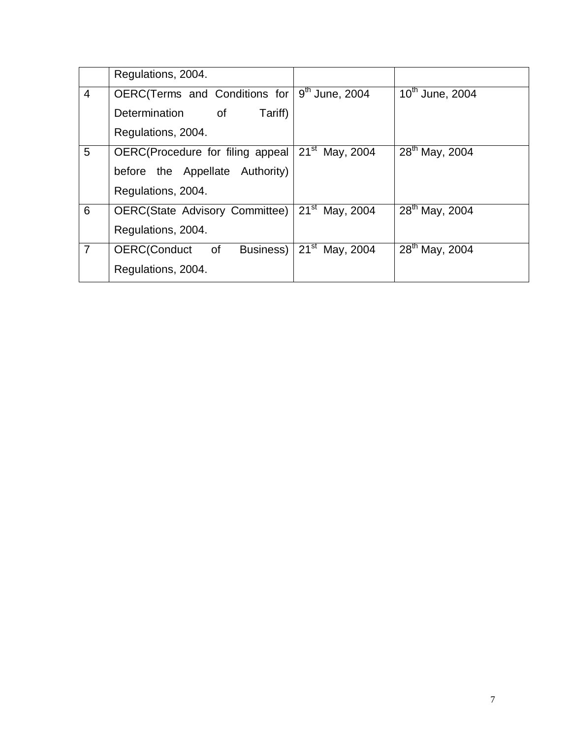|                | Regulations, 2004.                      |                        |                            |
|----------------|-----------------------------------------|------------------------|----------------------------|
| 4              | OERC(Terms and Conditions for           | $9th$ June, 2004       | $10^{th}$ June, 2004       |
|                | <b>Determination</b><br>0f<br>Tariff)   |                        |                            |
|                | Regulations, 2004.                      |                        |                            |
| 5              | OERC(Procedure for filing appeal        | $21^{st}$ May, 2004    | 28 <sup>th</sup> May, 2004 |
|                | before the Appellate Authority)         |                        |                            |
|                | Regulations, 2004.                      |                        |                            |
| 6              | <b>OERC(State Advisory Committee)</b>   | $21^{st}$ May, 2004    | 28th May, 2004             |
|                | Regulations, 2004.                      |                        |                            |
| $\overline{7}$ | <b>OERC</b> (Conduct<br>of<br>Business) | $21^{st}$<br>May, 2004 | 28th May, 2004             |
|                | Regulations, 2004.                      |                        |                            |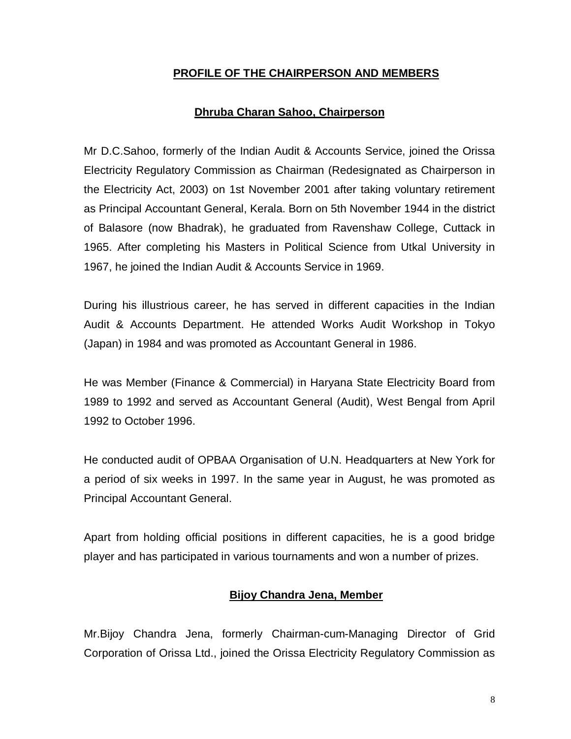#### **PROFILE OF THE CHAIRPERSON AND MEMBERS**

#### **Dhruba Charan Sahoo, Chairperson**

Mr D.C.Sahoo, formerly of the Indian Audit & Accounts Service, joined the Orissa Electricity Regulatory Commission as Chairman (Redesignated as Chairperson in the Electricity Act, 2003) on 1st November 2001 after taking voluntary retirement as Principal Accountant General, Kerala. Born on 5th November 1944 in the district of Balasore (now Bhadrak), he graduated from Ravenshaw College, Cuttack in 1965. After completing his Masters in Political Science from Utkal University in 1967, he joined the Indian Audit & Accounts Service in 1969.

During his illustrious career, he has served in different capacities in the Indian Audit & Accounts Department. He attended Works Audit Workshop in Tokyo (Japan) in 1984 and was promoted as Accountant General in 1986.

He was Member (Finance & Commercial) in Haryana State Electricity Board from 1989 to 1992 and served as Accountant General (Audit), West Bengal from April 1992 to October 1996.

He conducted audit of OPBAA Organisation of U.N. Headquarters at New York for a period of six weeks in 1997. In the same year in August, he was promoted as Principal Accountant General.

Apart from holding official positions in different capacities, he is a good bridge player and has participated in various tournaments and won a number of prizes.

#### **Bijoy Chandra Jena, Member**

Mr.Bijoy Chandra Jena, formerly Chairman-cum-Managing Director of Grid Corporation of Orissa Ltd., joined the Orissa Electricity Regulatory Commission as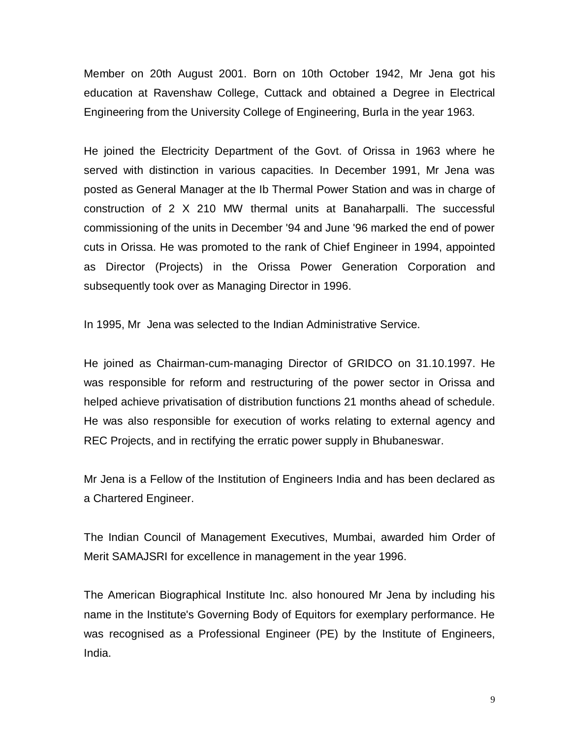Member on 20th August 2001. Born on 10th October 1942, Mr Jena got his education at Ravenshaw College, Cuttack and obtained a Degree in Electrical Engineering from the University College of Engineering, Burla in the year 1963.

He joined the Electricity Department of the Govt. of Orissa in 1963 where he served with distinction in various capacities. In December 1991, Mr Jena was posted as General Manager at the Ib Thermal Power Station and was in charge of construction of 2 X 210 MW thermal units at Banaharpalli. The successful commissioning of the units in December '94 and June '96 marked the end of power cuts in Orissa. He was promoted to the rank of Chief Engineer in 1994, appointed as Director (Projects) in the Orissa Power Generation Corporation and subsequently took over as Managing Director in 1996.

In 1995, Mr Jena was selected to the Indian Administrative Service.

He joined as Chairman-cum-managing Director of GRIDCO on 31.10.1997. He was responsible for reform and restructuring of the power sector in Orissa and helped achieve privatisation of distribution functions 21 months ahead of schedule. He was also responsible for execution of works relating to external agency and REC Projects, and in rectifying the erratic power supply in Bhubaneswar.

Mr Jena is a Fellow of the Institution of Engineers India and has been declared as a Chartered Engineer.

The Indian Council of Management Executives, Mumbai, awarded him Order of Merit SAMAJSRI for excellence in management in the year 1996.

The American Biographical Institute Inc. also honoured Mr Jena by including his name in the Institute's Governing Body of Equitors for exemplary performance. He was recognised as a Professional Engineer (PE) by the Institute of Engineers, India.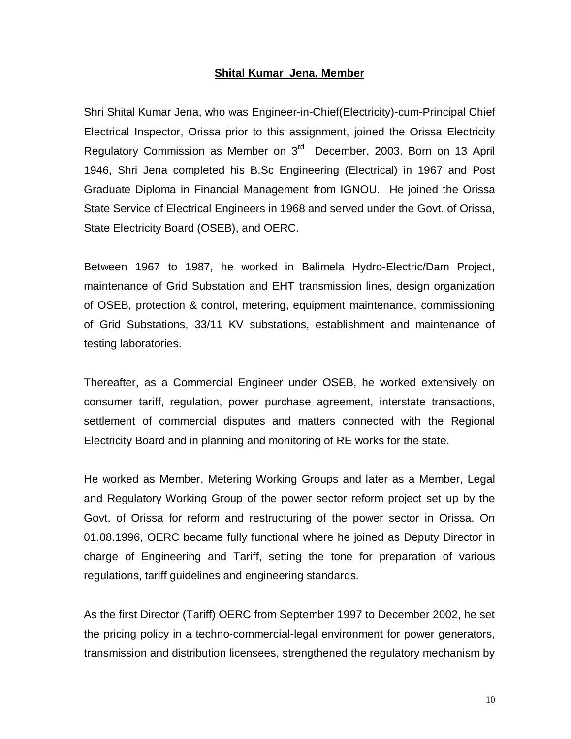#### **Shital Kumar Jena, Member**

Shri Shital Kumar Jena, who was Engineer-in-Chief(Electricity)-cum-Principal Chief Electrical Inspector, Orissa prior to this assignment, joined the Orissa Electricity Regulatory Commission as Member on 3<sup>rd</sup> December, 2003. Born on 13 April 1946, Shri Jena completed his B.Sc Engineering (Electrical) in 1967 and Post Graduate Diploma in Financial Management from IGNOU. He joined the Orissa State Service of Electrical Engineers in 1968 and served under the Govt. of Orissa, State Electricity Board (OSEB), and OERC.

Between 1967 to 1987, he worked in Balimela Hydro-Electric/Dam Project, maintenance of Grid Substation and EHT transmission lines, design organization of OSEB, protection & control, metering, equipment maintenance, commissioning of Grid Substations, 33/11 KV substations, establishment and maintenance of testing laboratories.

Thereafter, as a Commercial Engineer under OSEB, he worked extensively on consumer tariff, regulation, power purchase agreement, interstate transactions, settlement of commercial disputes and matters connected with the Regional Electricity Board and in planning and monitoring of RE works for the state.

He worked as Member, Metering Working Groups and later as a Member, Legal and Regulatory Working Group of the power sector reform project set up by the Govt. of Orissa for reform and restructuring of the power sector in Orissa. On 01.08.1996, OERC became fully functional where he joined as Deputy Director in charge of Engineering and Tariff, setting the tone for preparation of various regulations, tariff guidelines and engineering standards.

As the first Director (Tariff) OERC from September 1997 to December 2002, he set the pricing policy in a techno-commercial-legal environment for power generators, transmission and distribution licensees, strengthened the regulatory mechanism by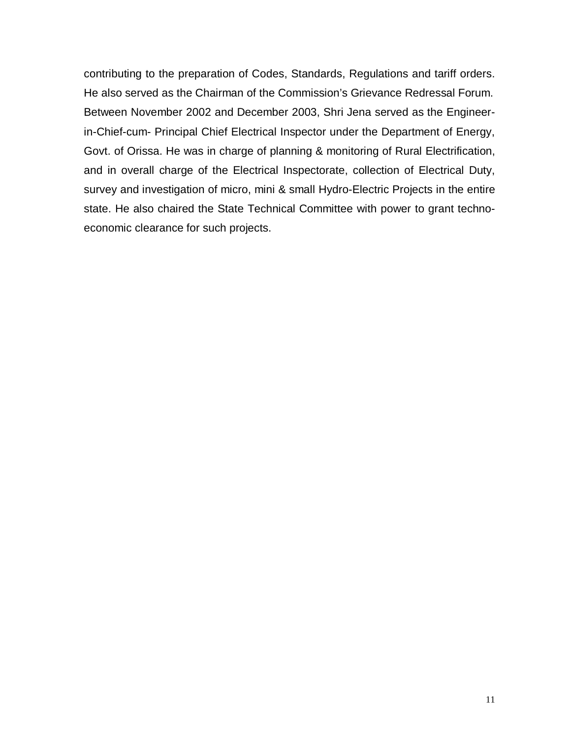contributing to the preparation of Codes, Standards, Regulations and tariff orders. He also served as the Chairman of the Commission's Grievance Redressal Forum. Between November 2002 and December 2003, Shri Jena served as the Engineerin-Chief-cum- Principal Chief Electrical Inspector under the Department of Energy, Govt. of Orissa. He was in charge of planning & monitoring of Rural Electrification, and in overall charge of the Electrical Inspectorate, collection of Electrical Duty, survey and investigation of micro, mini & small Hydro-Electric Projects in the entire state. He also chaired the State Technical Committee with power to grant technoeconomic clearance for such projects.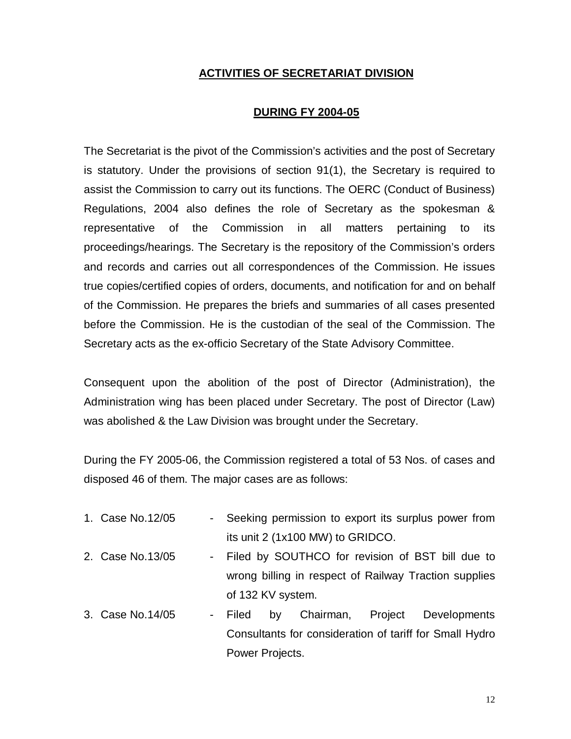#### **ACTIVITIES OF SECRETARIAT DIVISION**

#### **DURING FY 2004-05**

The Secretariat is the pivot of the Commission's activities and the post of Secretary is statutory. Under the provisions of section 91(1), the Secretary is required to assist the Commission to carry out its functions. The OERC (Conduct of Business) Regulations, 2004 also defines the role of Secretary as the spokesman & representative of the Commission in all matters pertaining to its proceedings/hearings. The Secretary is the repository of the Commission's orders and records and carries out all correspondences of the Commission. He issues true copies/certified copies of orders, documents, and notification for and on behalf of the Commission. He prepares the briefs and summaries of all cases presented before the Commission. He is the custodian of the seal of the Commission. The Secretary acts as the ex-officio Secretary of the State Advisory Committee.

Consequent upon the abolition of the post of Director (Administration), the Administration wing has been placed under Secretary. The post of Director (Law) was abolished & the Law Division was brought under the Secretary.

During the FY 2005-06, the Commission registered a total of 53 Nos. of cases and disposed 46 of them. The major cases are as follows:

| 1. Case No.12/05 | - Seeking permission to export its surplus power from |    |                                  |         |                                                         |
|------------------|-------------------------------------------------------|----|----------------------------------|---------|---------------------------------------------------------|
|                  |                                                       |    | its unit 2 (1x100 MW) to GRIDCO. |         |                                                         |
| 2. Case No.13/05 |                                                       |    |                                  |         | - Filed by SOUTHCO for revision of BST bill due to      |
|                  |                                                       |    |                                  |         | wrong billing in respect of Railway Traction supplies   |
|                  | of 132 KV system.                                     |    |                                  |         |                                                         |
| 3. Case No.14/05 | - Filed                                               | by | Chairman,                        | Project | <b>Developments</b>                                     |
|                  |                                                       |    |                                  |         | Consultants for consideration of tariff for Small Hydro |
|                  | Power Projects.                                       |    |                                  |         |                                                         |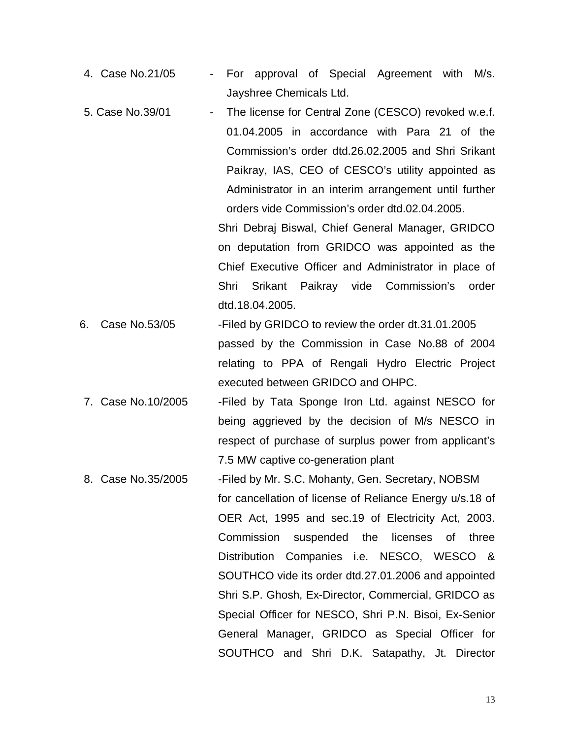- 4. Case No.21/05 For approval of Special Agreement with M/s. Jayshree Chemicals Ltd.
- 5. Case No.39/01 The license for Central Zone (CESCO) revoked w.e.f. 01.04.2005 in accordance with Para 21 of the Commission's order dtd.26.02.2005 and Shri Srikant Paikray, IAS, CEO of CESCO's utility appointed as Administrator in an interim arrangement until further orders vide Commission's order dtd.02.04.2005.

Shri Debraj Biswal, Chief General Manager, GRIDCO on deputation from GRIDCO was appointed as the Chief Executive Officer and Administrator in place of Shri Srikant Paikray vide Commission's order dtd.18.04.2005.

- 6. Case No.53/05 -Filed by GRIDCO to review the order dt.31.01.2005 passed by the Commission in Case No.88 of 2004 relating to PPA of Rengali Hydro Electric Project executed between GRIDCO and OHPC.
- 7. Case No.10/2005 Filed by Tata Sponge Iron Ltd. against NESCO for being aggrieved by the decision of M/s NESCO in respect of purchase of surplus power from applicant's 7.5 MW captive co-generation plant
- 8. Case No.35/2005 -Filed by Mr. S.C. Mohanty, Gen. Secretary, NOBSM for cancellation of license of Reliance Energy u/s.18 of OER Act, 1995 and sec.19 of Electricity Act, 2003. Commission suspended the licenses of three Distribution Companies i.e. NESCO, WESCO & SOUTHCO vide its order dtd.27.01.2006 and appointed Shri S.P. Ghosh, Ex-Director, Commercial, GRIDCO as Special Officer for NESCO, Shri P.N. Bisoi, Ex-Senior General Manager, GRIDCO as Special Officer for SOUTHCO and Shri D.K. Satapathy, Jt. Director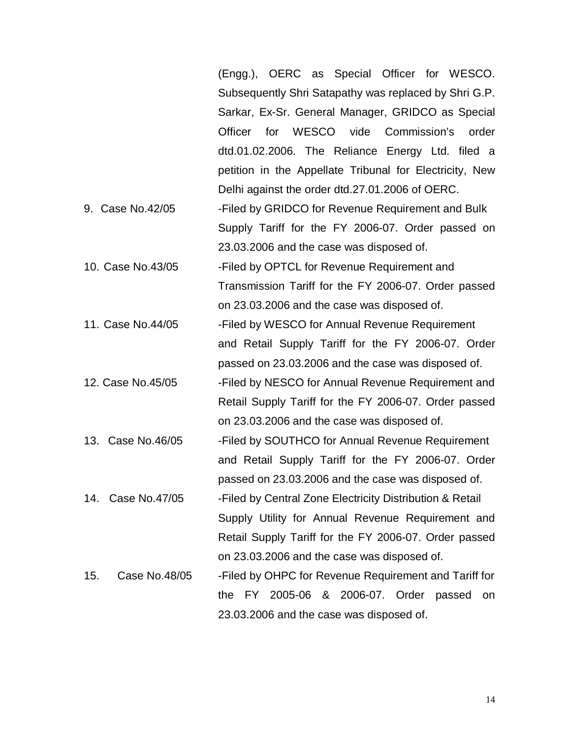|                      | OERC as Special Officer for WESCO.<br>(Engg.),           |  |  |  |  |
|----------------------|----------------------------------------------------------|--|--|--|--|
|                      | Subsequently Shri Satapathy was replaced by Shri G.P.    |  |  |  |  |
|                      | Sarkar, Ex-Sr. General Manager, GRIDCO as Special        |  |  |  |  |
|                      | for WESCO vide Commission's<br>Officer<br>order          |  |  |  |  |
|                      | dtd.01.02.2006. The Reliance Energy Ltd. filed a         |  |  |  |  |
|                      | petition in the Appellate Tribunal for Electricity, New  |  |  |  |  |
|                      | Delhi against the order dtd.27.01.2006 of OERC.          |  |  |  |  |
| 9. Case No.42/05     | -Filed by GRIDCO for Revenue Requirement and Bulk        |  |  |  |  |
|                      | Supply Tariff for the FY 2006-07. Order passed on        |  |  |  |  |
|                      | 23.03.2006 and the case was disposed of.                 |  |  |  |  |
| 10. Case No.43/05    | -Filed by OPTCL for Revenue Requirement and              |  |  |  |  |
|                      | Transmission Tariff for the FY 2006-07. Order passed     |  |  |  |  |
|                      | on 23.03.2006 and the case was disposed of.              |  |  |  |  |
| 11. Case No.44/05    | -Filed by WESCO for Annual Revenue Requirement           |  |  |  |  |
|                      | and Retail Supply Tariff for the FY 2006-07. Order       |  |  |  |  |
|                      | passed on 23.03.2006 and the case was disposed of.       |  |  |  |  |
| 12. Case No.45/05    | -Filed by NESCO for Annual Revenue Requirement and       |  |  |  |  |
|                      | Retail Supply Tariff for the FY 2006-07. Order passed    |  |  |  |  |
|                      | on 23.03.2006 and the case was disposed of.              |  |  |  |  |
| 13. Case No.46/05    | -Filed by SOUTHCO for Annual Revenue Requirement         |  |  |  |  |
|                      | and Retail Supply Tariff for the FY 2006-07. Order       |  |  |  |  |
|                      | passed on 23.03.2006 and the case was disposed of.       |  |  |  |  |
| 14. Case No.47/05    | -Filed by Central Zone Electricity Distribution & Retail |  |  |  |  |
|                      | Supply Utility for Annual Revenue Requirement and        |  |  |  |  |
|                      | Retail Supply Tariff for the FY 2006-07. Order passed    |  |  |  |  |
|                      | on 23.03.2006 and the case was disposed of.              |  |  |  |  |
| Case No.48/05<br>15. | -Filed by OHPC for Revenue Requirement and Tariff for    |  |  |  |  |
|                      | the FY 2005-06 & 2006-07. Order<br>passed<br>on          |  |  |  |  |
|                      | 23.03.2006 and the case was disposed of.                 |  |  |  |  |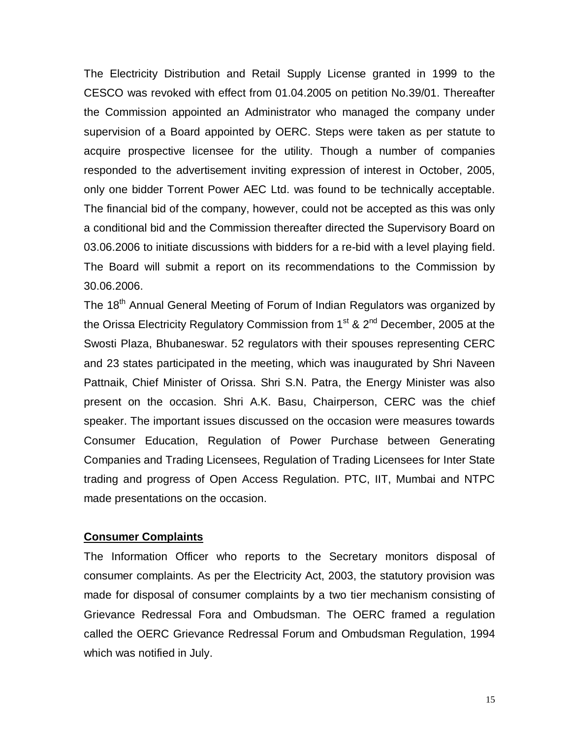The Electricity Distribution and Retail Supply License granted in 1999 to the CESCO was revoked with effect from 01.04.2005 on petition No.39/01. Thereafter the Commission appointed an Administrator who managed the company under supervision of a Board appointed by OERC. Steps were taken as per statute to acquire prospective licensee for the utility. Though a number of companies responded to the advertisement inviting expression of interest in October, 2005, only one bidder Torrent Power AEC Ltd. was found to be technically acceptable. The financial bid of the company, however, could not be accepted as this was only a conditional bid and the Commission thereafter directed the Supervisory Board on 03.06.2006 to initiate discussions with bidders for a re-bid with a level playing field. The Board will submit a report on its recommendations to the Commission by 30.06.2006.

The 18<sup>th</sup> Annual General Meeting of Forum of Indian Regulators was organized by the Orissa Electricity Regulatory Commission from  $1<sup>st</sup>$  &  $2<sup>nd</sup>$  December, 2005 at the Swosti Plaza, Bhubaneswar. 52 regulators with their spouses representing CERC and 23 states participated in the meeting, which was inaugurated by Shri Naveen Pattnaik, Chief Minister of Orissa. Shri S.N. Patra, the Energy Minister was also present on the occasion. Shri A.K. Basu, Chairperson, CERC was the chief speaker. The important issues discussed on the occasion were measures towards Consumer Education, Regulation of Power Purchase between Generating Companies and Trading Licensees, Regulation of Trading Licensees for Inter State trading and progress of Open Access Regulation. PTC, IIT, Mumbai and NTPC made presentations on the occasion.

#### **Consumer Complaints**

The Information Officer who reports to the Secretary monitors disposal of consumer complaints. As per the Electricity Act, 2003, the statutory provision was made for disposal of consumer complaints by a two tier mechanism consisting of Grievance Redressal Fora and Ombudsman. The OERC framed a regulation called the OERC Grievance Redressal Forum and Ombudsman Regulation, 1994 which was notified in July.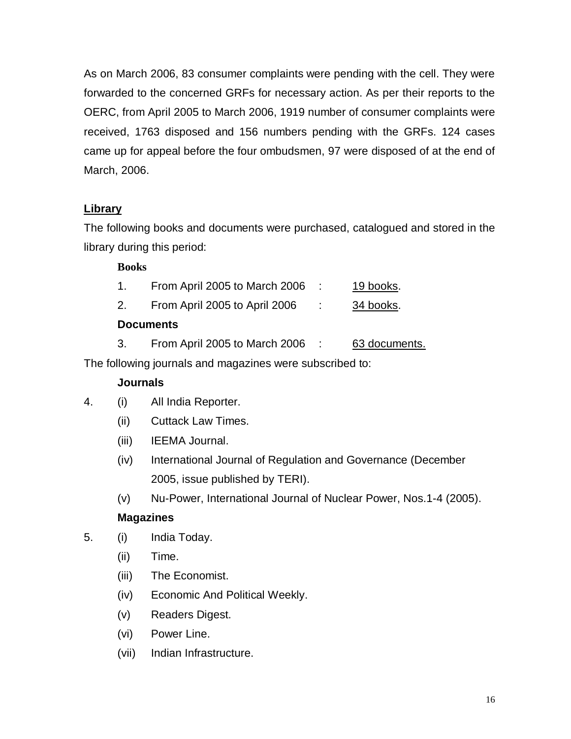As on March 2006, 83 consumer complaints were pending with the cell. They were forwarded to the concerned GRFs for necessary action. As per their reports to the OERC, from April 2005 to March 2006, 1919 number of consumer complaints were received, 1763 disposed and 156 numbers pending with the GRFs. 124 cases came up for appeal before the four ombudsmen, 97 were disposed of at the end of March, 2006.

## **Library**

The following books and documents were purchased, catalogued and stored in the library during this period:

## **Books**

| From April 2005 to March 2006 | 19 books. |
|-------------------------------|-----------|
| From April 2005 to April 2006 | 34 books. |

## **Documents**

3. From April 2005 to March 2006 : 63 documents.

The following journals and magazines were subscribed to:

## **Journals**

- 4. (i) All India Reporter.
	- (ii) Cuttack Law Times.
	- (iii) IEEMA Journal.
	- (iv) International Journal of Regulation and Governance (December 2005, issue published by TERI).
	- (v) Nu-Power, International Journal of Nuclear Power, Nos.1-4 (2005).

## **Magazines**

- 5. (i) India Today.
	- (ii) Time.
	- (iii) The Economist.
	- (iv) Economic And Political Weekly.
	- (v) Readers Digest.
	- (vi) Power Line.
	- (vii) Indian Infrastructure.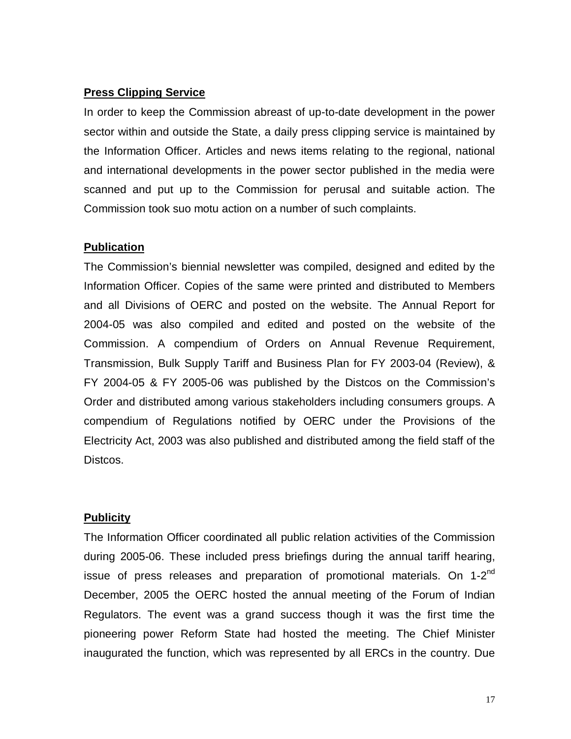#### **Press Clipping Service**

In order to keep the Commission abreast of up-to-date development in the power sector within and outside the State, a daily press clipping service is maintained by the Information Officer. Articles and news items relating to the regional, national and international developments in the power sector published in the media were scanned and put up to the Commission for perusal and suitable action. The Commission took suo motu action on a number of such complaints.

#### **Publication**

The Commission's biennial newsletter was compiled, designed and edited by the Information Officer. Copies of the same were printed and distributed to Members and all Divisions of OERC and posted on the website. The Annual Report for 2004-05 was also compiled and edited and posted on the website of the Commission. A compendium of Orders on Annual Revenue Requirement, Transmission, Bulk Supply Tariff and Business Plan for FY 2003-04 (Review), & FY 2004-05 & FY 2005-06 was published by the Distcos on the Commission's Order and distributed among various stakeholders including consumers groups. A compendium of Regulations notified by OERC under the Provisions of the Electricity Act, 2003 was also published and distributed among the field staff of the Distcos.

#### **Publicity**

The Information Officer coordinated all public relation activities of the Commission during 2005-06. These included press briefings during the annual tariff hearing, issue of press releases and preparation of promotional materials. On 1-2<sup>nd</sup> December, 2005 the OERC hosted the annual meeting of the Forum of Indian Regulators. The event was a grand success though it was the first time the pioneering power Reform State had hosted the meeting. The Chief Minister inaugurated the function, which was represented by all ERCs in the country. Due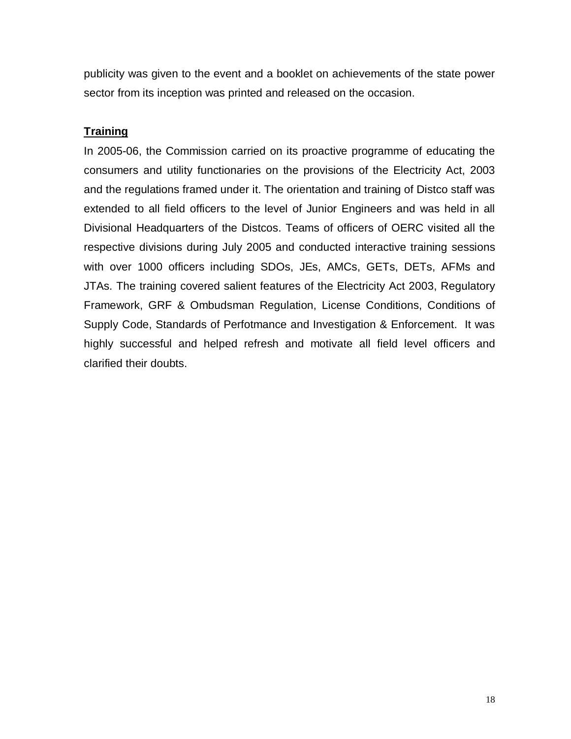publicity was given to the event and a booklet on achievements of the state power sector from its inception was printed and released on the occasion.

## **Training**

In 2005-06, the Commission carried on its proactive programme of educating the consumers and utility functionaries on the provisions of the Electricity Act, 2003 and the regulations framed under it. The orientation and training of Distco staff was extended to all field officers to the level of Junior Engineers and was held in all Divisional Headquarters of the Distcos. Teams of officers of OERC visited all the respective divisions during July 2005 and conducted interactive training sessions with over 1000 officers including SDOs, JEs, AMCs, GETs, DETs, AFMs and JTAs. The training covered salient features of the Electricity Act 2003, Regulatory Framework, GRF & Ombudsman Regulation, License Conditions, Conditions of Supply Code, Standards of Perfotmance and Investigation & Enforcement. It was highly successful and helped refresh and motivate all field level officers and clarified their doubts.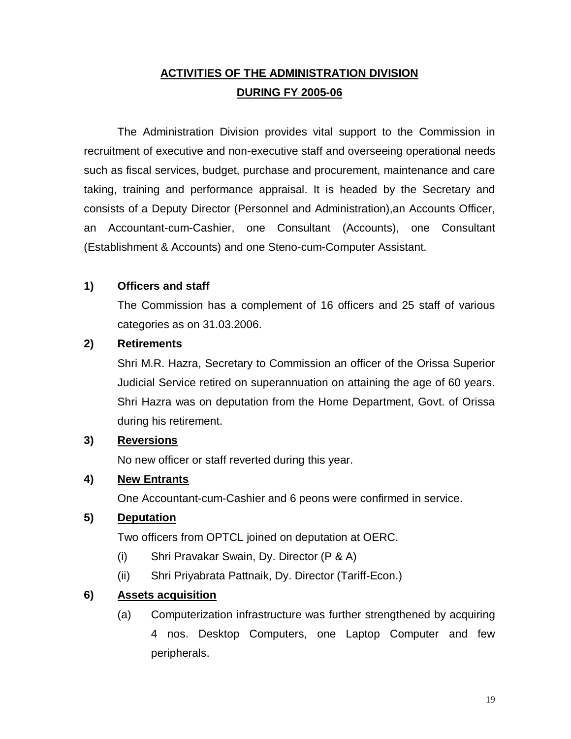## **ACTIVITIES OF THE ADMINISTRATION DIVISION DURING FY 2005-06**

The Administration Division provides vital support to the Commission in recruitment of executive and non-executive staff and overseeing operational needs such as fiscal services, budget, purchase and procurement, maintenance and care taking, training and performance appraisal. It is headed by the Secretary and consists of a Deputy Director (Personnel and Administration),an Accounts Officer, an Accountant-cum-Cashier, one Consultant (Accounts), one Consultant (Establishment & Accounts) and one Steno-cum-Computer Assistant.

#### **1) Officers and staff**

The Commission has a complement of 16 officers and 25 staff of various categories as on 31.03.2006.

#### **2) Retirements**

Shri M.R. Hazra, Secretary to Commission an officer of the Orissa Superior Judicial Service retired on superannuation on attaining the age of 60 years. Shri Hazra was on deputation from the Home Department, Govt. of Orissa during his retirement.

#### **3) Reversions**

No new officer or staff reverted during this year.

#### **4) New Entrants**

One Accountant-cum-Cashier and 6 peons were confirmed in service.

## **5) Deputation**

Two officers from OPTCL joined on deputation at OERC.

- (i) Shri Pravakar Swain, Dy. Director (P & A)
- (ii) Shri Priyabrata Pattnaik, Dy. Director (Tariff-Econ.)

## **6) Assets acquisition**

(a) Computerization infrastructure was further strengthened by acquiring 4 nos. Desktop Computers, one Laptop Computer and few peripherals.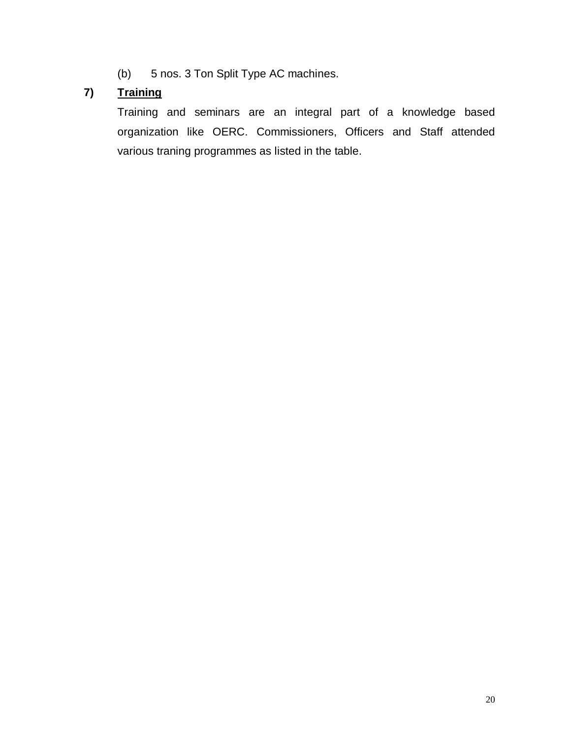(b) 5 nos. 3 Ton Split Type AC machines.

## **7) Training**

Training and seminars are an integral part of a knowledge based organization like OERC. Commissioners, Officers and Staff attended various traning programmes as listed in the table.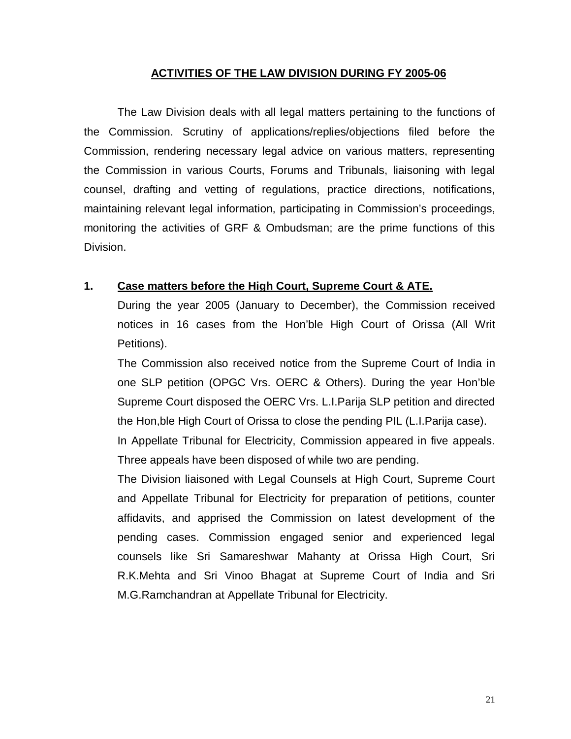#### **ACTIVITIES OF THE LAW DIVISION DURING FY 2005-06**

The Law Division deals with all legal matters pertaining to the functions of the Commission. Scrutiny of applications/replies/objections filed before the Commission, rendering necessary legal advice on various matters, representing the Commission in various Courts, Forums and Tribunals, liaisoning with legal counsel, drafting and vetting of regulations, practice directions, notifications, maintaining relevant legal information, participating in Commission's proceedings, monitoring the activities of GRF & Ombudsman; are the prime functions of this Division.

#### **1. Case matters before the High Court, Supreme Court & ATE.**

During the year 2005 (January to December), the Commission received notices in 16 cases from the Hon'ble High Court of Orissa (All Writ Petitions).

The Commission also received notice from the Supreme Court of India in one SLP petition (OPGC Vrs. OERC & Others). During the year Hon'ble Supreme Court disposed the OERC Vrs. L.I.Parija SLP petition and directed the Hon,ble High Court of Orissa to close the pending PIL (L.I.Parija case).

In Appellate Tribunal for Electricity, Commission appeared in five appeals. Three appeals have been disposed of while two are pending.

The Division liaisoned with Legal Counsels at High Court, Supreme Court and Appellate Tribunal for Electricity for preparation of petitions, counter affidavits, and apprised the Commission on latest development of the pending cases. Commission engaged senior and experienced legal counsels like Sri Samareshwar Mahanty at Orissa High Court, Sri R.K.Mehta and Sri Vinoo Bhagat at Supreme Court of India and Sri M.G.Ramchandran at Appellate Tribunal for Electricity.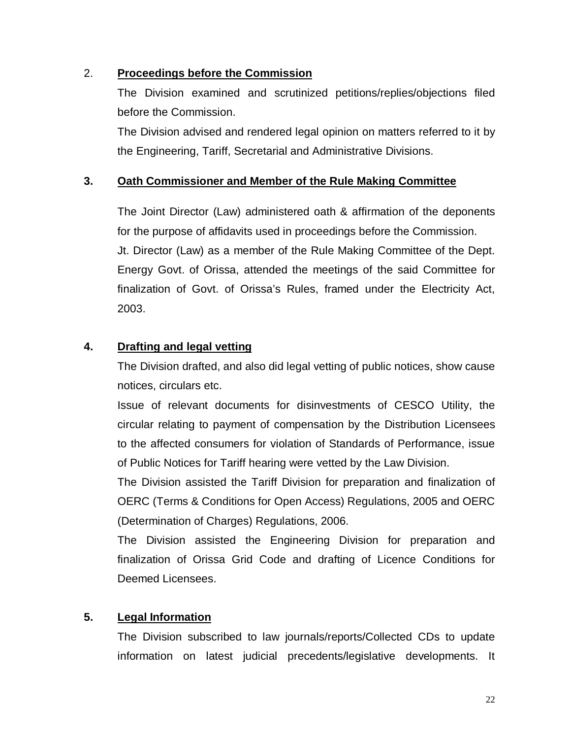## 2. **Proceedings before the Commission**

The Division examined and scrutinized petitions/replies/objections filed before the Commission.

The Division advised and rendered legal opinion on matters referred to it by the Engineering, Tariff, Secretarial and Administrative Divisions.

## **3. Oath Commissioner and Member of the Rule Making Committee**

The Joint Director (Law) administered oath & affirmation of the deponents for the purpose of affidavits used in proceedings before the Commission. Jt. Director (Law) as a member of the Rule Making Committee of the Dept. Energy Govt. of Orissa, attended the meetings of the said Committee for finalization of Govt. of Orissa's Rules, framed under the Electricity Act, 2003.

## **4. Drafting and legal vetting**

The Division drafted, and also did legal vetting of public notices, show cause notices, circulars etc.

Issue of relevant documents for disinvestments of CESCO Utility, the circular relating to payment of compensation by the Distribution Licensees to the affected consumers for violation of Standards of Performance, issue of Public Notices for Tariff hearing were vetted by the Law Division.

The Division assisted the Tariff Division for preparation and finalization of OERC (Terms & Conditions for Open Access) Regulations, 2005 and OERC (Determination of Charges) Regulations, 2006.

The Division assisted the Engineering Division for preparation and finalization of Orissa Grid Code and drafting of Licence Conditions for Deemed Licensees.

## **5. Legal Information**

The Division subscribed to law journals/reports/Collected CDs to update information on latest judicial precedents/legislative developments. It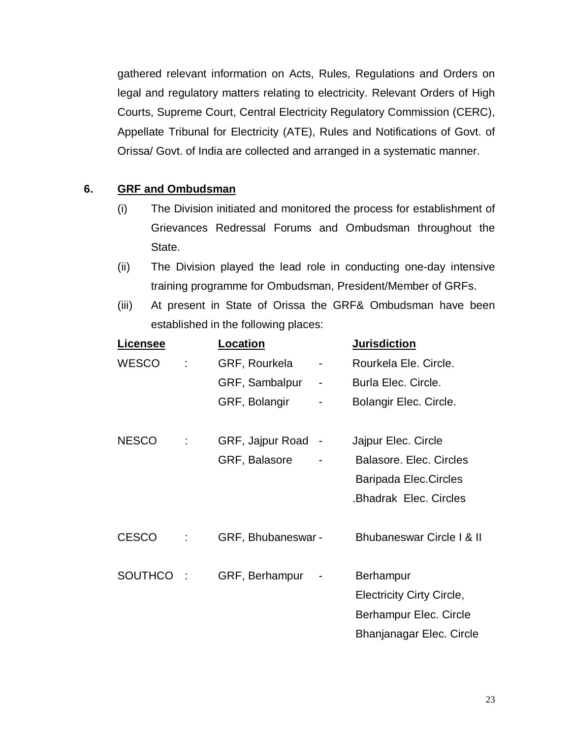gathered relevant information on Acts, Rules, Regulations and Orders on legal and regulatory matters relating to electricity. Relevant Orders of High Courts, Supreme Court, Central Electricity Regulatory Commission (CERC), Appellate Tribunal for Electricity (ATE), Rules and Notifications of Govt. of Orissa/ Govt. of India are collected and arranged in a systematic manner.

## **6. GRF and Ombudsman**

- (i) The Division initiated and monitored the process for establishment of Grievances Redressal Forums and Ombudsman throughout the State.
- (ii) The Division played the lead role in conducting one-day intensive training programme for Ombudsman, President/Member of GRFs.
- (iii) At present in State of Orissa the GRF& Ombudsman have been established in the following places:

| <u>Licensee</u> | <u>Location</u>    |   | <b>Jurisdiction</b>                  |
|-----------------|--------------------|---|--------------------------------------|
| <b>WESCO</b>    | GRF, Rourkela      | - | Rourkela Ele, Circle.                |
|                 | GRF, Sambalpur     | - | Burla Elec. Circle.                  |
|                 | GRF, Bolangir      |   | Bolangir Elec. Circle.               |
|                 |                    |   |                                      |
| <b>NESCO</b>    | GRF, Jajpur Road   |   | Jajpur Elec. Circle                  |
|                 | GRF, Balasore      |   | Balasore. Elec. Circles              |
|                 |                    |   | Baripada Elec.Circles                |
|                 |                    |   | <b>.Bhadrak Elec. Circles</b>        |
|                 |                    |   |                                      |
| <b>CESCO</b>    | GRF, Bhubaneswar - |   | <b>Bhubaneswar Circle I &amp; II</b> |
| <b>SOUTHCO</b>  | GRF, Berhampur     |   | <b>Berhampur</b>                     |
|                 |                    |   | <b>Electricity Cirty Circle,</b>     |
|                 |                    |   | Berhampur Elec. Circle               |
|                 |                    |   | Bhanjanagar Elec. Circle             |
|                 |                    |   |                                      |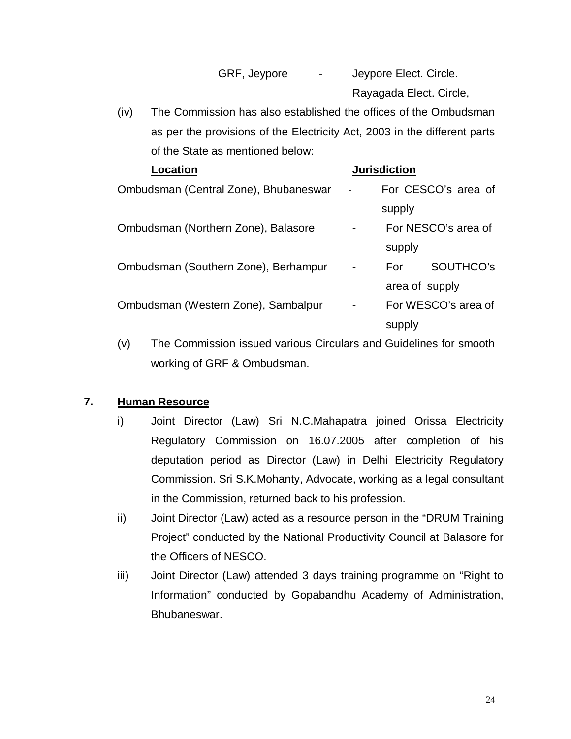|  | GRF, Jeypore |  |  |
|--|--------------|--|--|
|--|--------------|--|--|

GRF, Jeypore - Jeypore Elect. Circle. Rayagada Elect. Circle,

(iv) The Commission has also established the offices of the Ombudsman as per the provisions of the Electricity Act, 2003 in the different parts of the State as mentioned below:

| Location                              |                          | <b>Jurisdiction</b> |                     |
|---------------------------------------|--------------------------|---------------------|---------------------|
| Ombudsman (Central Zone), Bhubaneswar | $\overline{\phantom{a}}$ |                     | For CESCO's area of |
|                                       |                          | supply              |                     |
| Ombudsman (Northern Zone), Balasore   |                          |                     | For NESCO's area of |
|                                       |                          | supply              |                     |
| Ombudsman (Southern Zone), Berhampur  | -                        | For                 | SOUTHCO's           |
|                                       |                          | area of supply      |                     |
| Ombudsman (Western Zone), Sambalpur   |                          |                     | For WESCO's area of |
|                                       |                          | supply              |                     |

(v) The Commission issued various Circulars and Guidelines for smooth working of GRF & Ombudsman.

## **7. Human Resource**

- i) Joint Director (Law) Sri N.C.Mahapatra joined Orissa Electricity Regulatory Commission on 16.07.2005 after completion of his deputation period as Director (Law) in Delhi Electricity Regulatory Commission. Sri S.K.Mohanty, Advocate, working as a legal consultant in the Commission, returned back to his profession.
- ii) Joint Director (Law) acted as a resource person in the "DRUM Training Project" conducted by the National Productivity Council at Balasore for the Officers of NESCO.
- iii) Joint Director (Law) attended 3 days training programme on "Right to Information" conducted by Gopabandhu Academy of Administration, Bhubaneswar.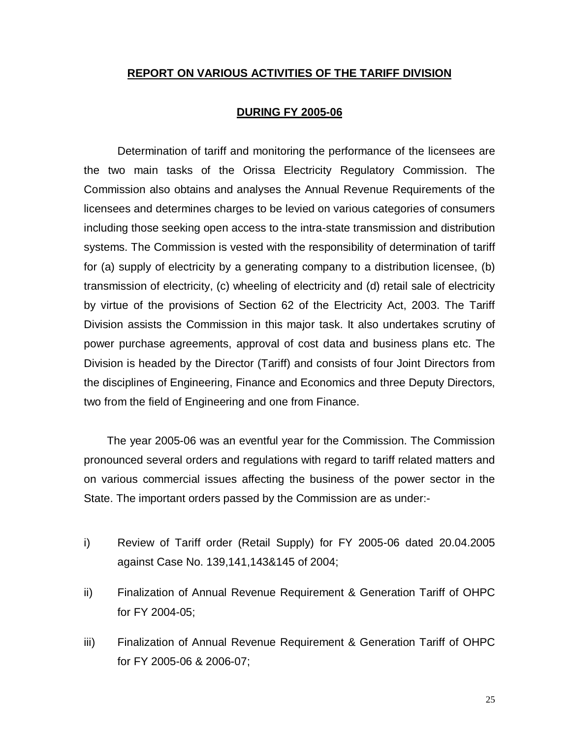#### **REPORT ON VARIOUS ACTIVITIES OF THE TARIFF DIVISION**

#### **DURING FY 2005-06**

Determination of tariff and monitoring the performance of the licensees are the two main tasks of the Orissa Electricity Regulatory Commission. The Commission also obtains and analyses the Annual Revenue Requirements of the licensees and determines charges to be levied on various categories of consumers including those seeking open access to the intra-state transmission and distribution systems. The Commission is vested with the responsibility of determination of tariff for (a) supply of electricity by a generating company to a distribution licensee, (b) transmission of electricity, (c) wheeling of electricity and (d) retail sale of electricity by virtue of the provisions of Section 62 of the Electricity Act, 2003. The Tariff Division assists the Commission in this major task. It also undertakes scrutiny of power purchase agreements, approval of cost data and business plans etc. The Division is headed by the Director (Tariff) and consists of four Joint Directors from the disciplines of Engineering, Finance and Economics and three Deputy Directors, two from the field of Engineering and one from Finance.

 The year 2005-06 was an eventful year for the Commission. The Commission pronounced several orders and regulations with regard to tariff related matters and on various commercial issues affecting the business of the power sector in the State. The important orders passed by the Commission are as under:-

- i) Review of Tariff order (Retail Supply) for FY 2005-06 dated 20.04.2005 against Case No. 139,141,143&145 of 2004;
- ii) Finalization of Annual Revenue Requirement & Generation Tariff of OHPC for FY 2004-05;
- iii) Finalization of Annual Revenue Requirement & Generation Tariff of OHPC for FY 2005-06 & 2006-07;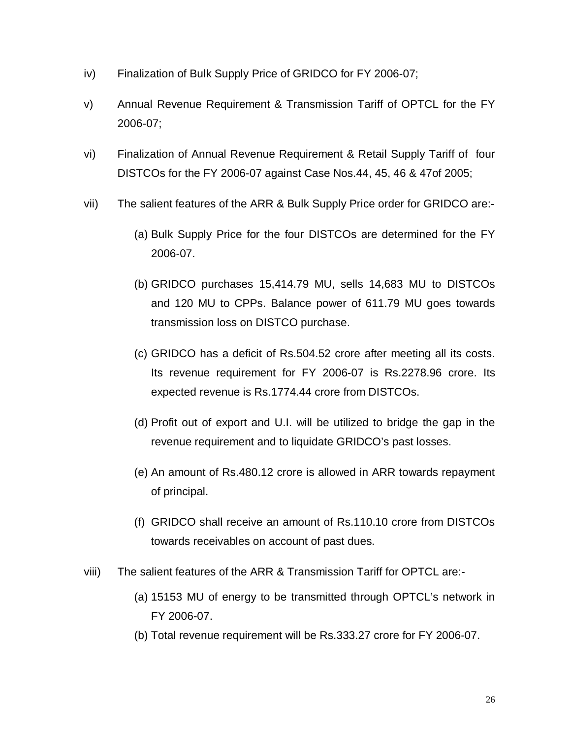- iv) Finalization of Bulk Supply Price of GRIDCO for FY 2006-07;
- v) Annual Revenue Requirement & Transmission Tariff of OPTCL for the FY 2006-07;
- vi) Finalization of Annual Revenue Requirement & Retail Supply Tariff of four DISTCOs for the FY 2006-07 against Case Nos.44, 45, 46 & 47of 2005;
- vii) The salient features of the ARR & Bulk Supply Price order for GRIDCO are:-
	- (a) Bulk Supply Price for the four DISTCOs are determined for the FY 2006-07.
	- (b) GRIDCO purchases 15,414.79 MU, sells 14,683 MU to DISTCOs and 120 MU to CPPs. Balance power of 611.79 MU goes towards transmission loss on DISTCO purchase.
	- (c) GRIDCO has a deficit of Rs.504.52 crore after meeting all its costs. Its revenue requirement for FY 2006-07 is Rs.2278.96 crore. Its expected revenue is Rs.1774.44 crore from DISTCOs.
	- (d) Profit out of export and U.I. will be utilized to bridge the gap in the revenue requirement and to liquidate GRIDCO's past losses.
	- (e) An amount of Rs.480.12 crore is allowed in ARR towards repayment of principal.
	- (f) GRIDCO shall receive an amount of Rs.110.10 crore from DISTCOs towards receivables on account of past dues.
- viii) The salient features of the ARR & Transmission Tariff for OPTCL are:-
	- (a) 15153 MU of energy to be transmitted through OPTCL's network in FY 2006-07.
	- (b) Total revenue requirement will be Rs.333.27 crore for FY 2006-07.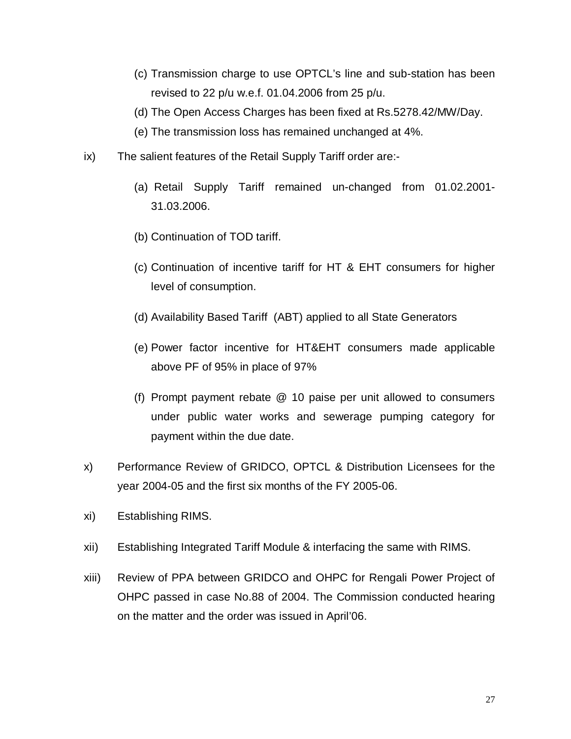- (c) Transmission charge to use OPTCL's line and sub-station has been revised to 22 p/u w.e.f. 01.04.2006 from 25 p/u.
- (d) The Open Access Charges has been fixed at Rs.5278.42/MW/Day.
- (e) The transmission loss has remained unchanged at 4%.
- ix) The salient features of the Retail Supply Tariff order are:-
	- (a) Retail Supply Tariff remained un-changed from 01.02.2001- 31.03.2006.
	- (b) Continuation of TOD tariff.
	- (c) Continuation of incentive tariff for HT & EHT consumers for higher level of consumption.
	- (d) Availability Based Tariff (ABT) applied to all State Generators
	- (e) Power factor incentive for HT&EHT consumers made applicable above PF of 95% in place of 97%
	- (f) Prompt payment rebate @ 10 paise per unit allowed to consumers under public water works and sewerage pumping category for payment within the due date.
- x) Performance Review of GRIDCO, OPTCL & Distribution Licensees for the year 2004-05 and the first six months of the FY 2005-06.
- xi) Establishing RIMS.
- xii) Establishing Integrated Tariff Module & interfacing the same with RIMS.
- xiii) Review of PPA between GRIDCO and OHPC for Rengali Power Project of OHPC passed in case No.88 of 2004. The Commission conducted hearing on the matter and the order was issued in April'06.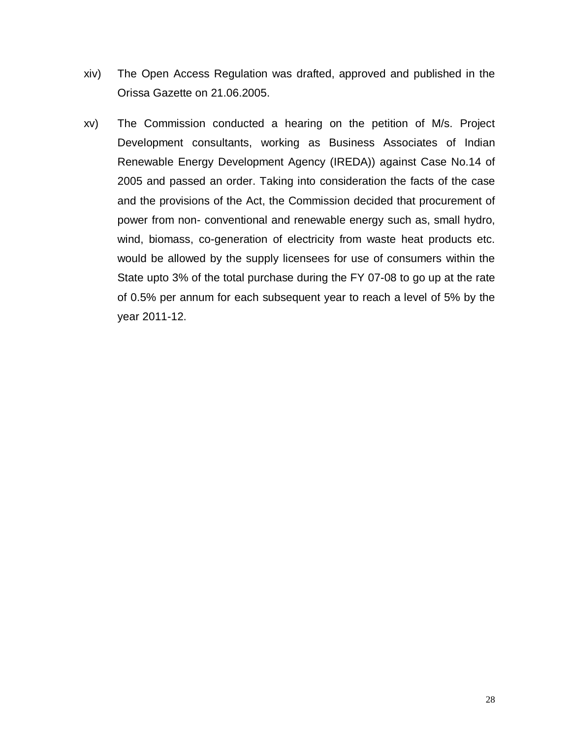- xiv) The Open Access Regulation was drafted, approved and published in the Orissa Gazette on 21.06.2005.
- xv) The Commission conducted a hearing on the petition of M/s. Project Development consultants, working as Business Associates of Indian Renewable Energy Development Agency (IREDA)) against Case No.14 of 2005 and passed an order. Taking into consideration the facts of the case and the provisions of the Act, the Commission decided that procurement of power from non- conventional and renewable energy such as, small hydro, wind, biomass, co-generation of electricity from waste heat products etc. would be allowed by the supply licensees for use of consumers within the State upto 3% of the total purchase during the FY 07-08 to go up at the rate of 0.5% per annum for each subsequent year to reach a level of 5% by the year 2011-12.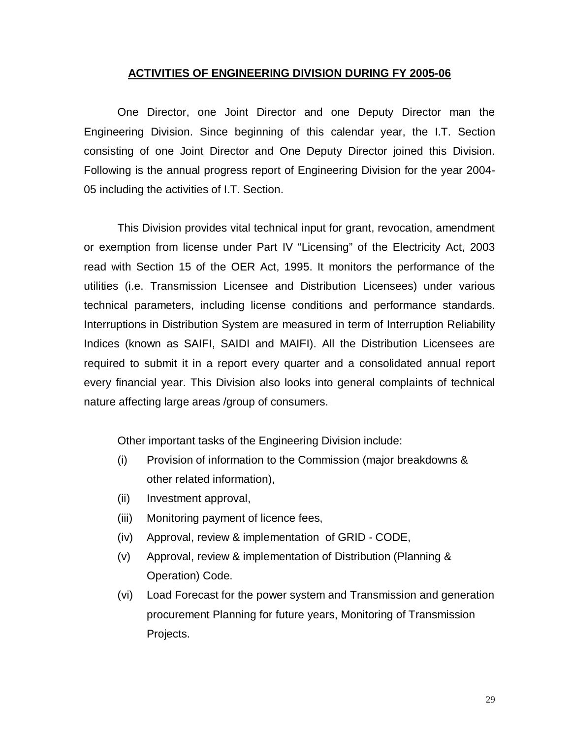#### **ACTIVITIES OF ENGINEERING DIVISION DURING FY 2005-06**

One Director, one Joint Director and one Deputy Director man the Engineering Division. Since beginning of this calendar year, the I.T. Section consisting of one Joint Director and One Deputy Director joined this Division. Following is the annual progress report of Engineering Division for the year 2004- 05 including the activities of I.T. Section.

This Division provides vital technical input for grant, revocation, amendment or exemption from license under Part IV "Licensing" of the Electricity Act, 2003 read with Section 15 of the OER Act, 1995. It monitors the performance of the utilities (i.e. Transmission Licensee and Distribution Licensees) under various technical parameters, including license conditions and performance standards. Interruptions in Distribution System are measured in term of Interruption Reliability Indices (known as SAIFI, SAIDI and MAIFI). All the Distribution Licensees are required to submit it in a report every quarter and a consolidated annual report every financial year. This Division also looks into general complaints of technical nature affecting large areas /group of consumers.

Other important tasks of the Engineering Division include:

- (i) Provision of information to the Commission (major breakdowns & other related information),
- (ii) Investment approval,
- (iii) Monitoring payment of licence fees,
- (iv) Approval, review & implementation of GRID CODE,
- (v) Approval, review & implementation of Distribution (Planning & Operation) Code.
- (vi) Load Forecast for the power system and Transmission and generation procurement Planning for future years, Monitoring of Transmission Projects.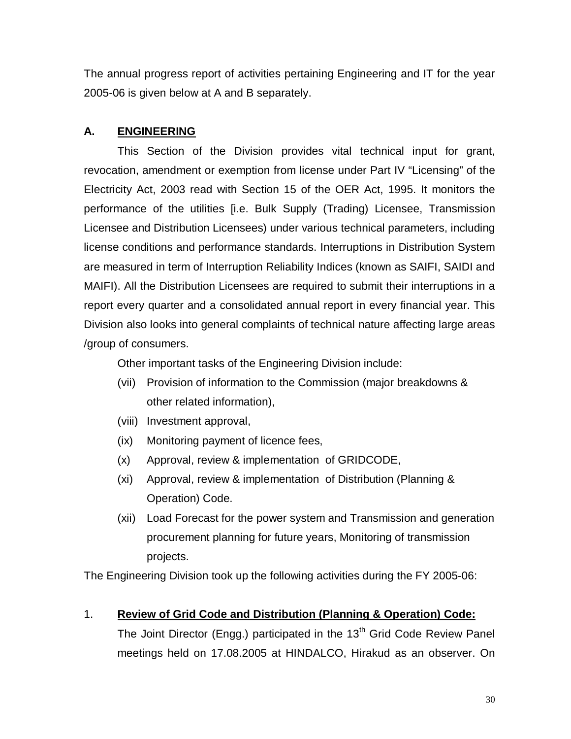The annual progress report of activities pertaining Engineering and IT for the year 2005-06 is given below at A and B separately.

## **A. ENGINEERING**

This Section of the Division provides vital technical input for grant, revocation, amendment or exemption from license under Part IV "Licensing" of the Electricity Act, 2003 read with Section 15 of the OER Act, 1995. It monitors the performance of the utilities [i.e. Bulk Supply (Trading) Licensee, Transmission Licensee and Distribution Licensees) under various technical parameters, including license conditions and performance standards. Interruptions in Distribution System are measured in term of Interruption Reliability Indices (known as SAIFI, SAIDI and MAIFI). All the Distribution Licensees are required to submit their interruptions in a report every quarter and a consolidated annual report in every financial year. This Division also looks into general complaints of technical nature affecting large areas /group of consumers.

Other important tasks of the Engineering Division include:

- (vii) Provision of information to the Commission (major breakdowns & other related information),
- (viii) Investment approval,
- (ix) Monitoring payment of licence fees,
- (x) Approval, review & implementation of GRIDCODE,
- (xi) Approval, review & implementation of Distribution (Planning & Operation) Code.
- (xii) Load Forecast for the power system and Transmission and generation procurement planning for future years, Monitoring of transmission projects.

The Engineering Division took up the following activities during the FY 2005-06:

## 1. **Review of Grid Code and Distribution (Planning & Operation) Code:**

The Joint Director (Engg.) participated in the  $13<sup>th</sup>$  Grid Code Review Panel meetings held on 17.08.2005 at HINDALCO, Hirakud as an observer. On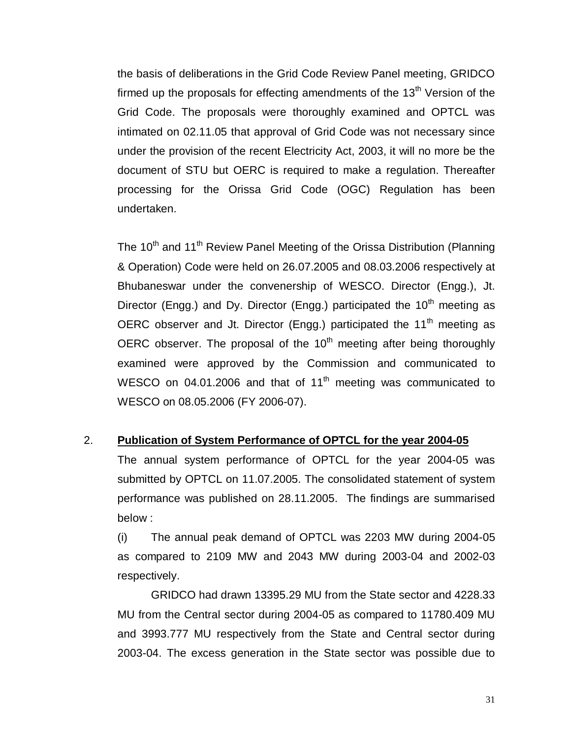the basis of deliberations in the Grid Code Review Panel meeting, GRIDCO firmed up the proposals for effecting amendments of the  $13<sup>th</sup>$  Version of the Grid Code. The proposals were thoroughly examined and OPTCL was intimated on 02.11.05 that approval of Grid Code was not necessary since under the provision of the recent Electricity Act, 2003, it will no more be the document of STU but OERC is required to make a regulation. Thereafter processing for the Orissa Grid Code (OGC) Regulation has been undertaken.

The 10<sup>th</sup> and 11<sup>th</sup> Review Panel Meeting of the Orissa Distribution (Planning & Operation) Code were held on 26.07.2005 and 08.03.2006 respectively at Bhubaneswar under the convenership of WESCO. Director (Engg.), Jt. Director (Engg.) and Dy. Director (Engg.) participated the  $10<sup>th</sup>$  meeting as OERC observer and Jt. Director (Engg.) participated the  $11<sup>th</sup>$  meeting as OERC observer. The proposal of the  $10<sup>th</sup>$  meeting after being thoroughly examined were approved by the Commission and communicated to WESCO on 04.01.2006 and that of 11<sup>th</sup> meeting was communicated to WESCO on 08.05.2006 (FY 2006-07).

#### 2. **Publication of System Performance of OPTCL for the year 2004-05**

The annual system performance of OPTCL for the year 2004-05 was submitted by OPTCL on 11.07.2005. The consolidated statement of system performance was published on 28.11.2005. The findings are summarised below :

(i) The annual peak demand of OPTCL was 2203 MW during 2004-05 as compared to 2109 MW and 2043 MW during 2003-04 and 2002-03 respectively.

GRIDCO had drawn 13395.29 MU from the State sector and 4228.33 MU from the Central sector during 2004-05 as compared to 11780.409 MU and 3993.777 MU respectively from the State and Central sector during 2003-04. The excess generation in the State sector was possible due to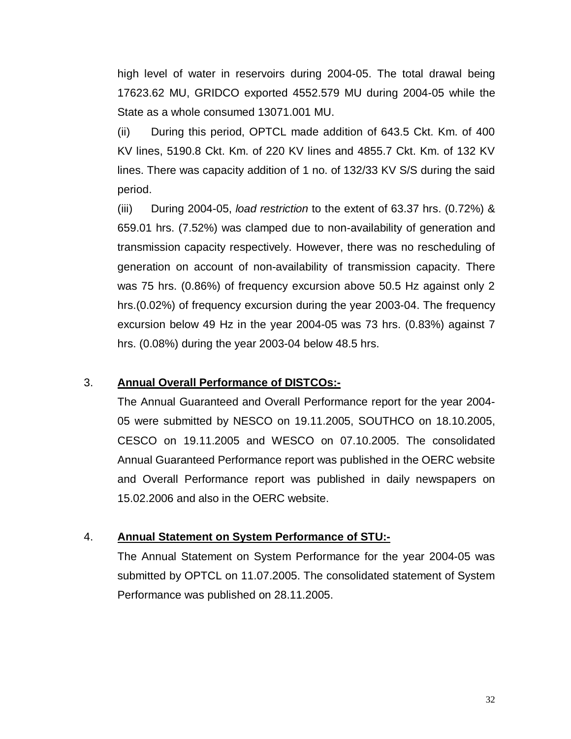high level of water in reservoirs during 2004-05. The total drawal being 17623.62 MU, GRIDCO exported 4552.579 MU during 2004-05 while the State as a whole consumed 13071.001 MU.

(ii) During this period, OPTCL made addition of 643.5 Ckt. Km. of 400 KV lines, 5190.8 Ckt. Km. of 220 KV lines and 4855.7 Ckt. Km. of 132 KV lines. There was capacity addition of 1 no. of 132/33 KV S/S during the said period.

(iii) During 2004-05, *load restriction* to the extent of 63.37 hrs. (0.72%) & 659.01 hrs. (7.52%) was clamped due to non-availability of generation and transmission capacity respectively. However, there was no rescheduling of generation on account of non-availability of transmission capacity. There was 75 hrs. (0.86%) of frequency excursion above 50.5 Hz against only 2 hrs.(0.02%) of frequency excursion during the year 2003-04. The frequency excursion below 49 Hz in the year 2004-05 was 73 hrs. (0.83%) against 7 hrs. (0.08%) during the year 2003-04 below 48.5 hrs.

## 3. **Annual Overall Performance of DISTCOs:-**

The Annual Guaranteed and Overall Performance report for the year 2004- 05 were submitted by NESCO on 19.11.2005, SOUTHCO on 18.10.2005, CESCO on 19.11.2005 and WESCO on 07.10.2005. The consolidated Annual Guaranteed Performance report was published in the OERC website and Overall Performance report was published in daily newspapers on 15.02.2006 and also in the OERC website.

#### 4. **Annual Statement on System Performance of STU:-**

The Annual Statement on System Performance for the year 2004-05 was submitted by OPTCL on 11.07.2005. The consolidated statement of System Performance was published on 28.11.2005.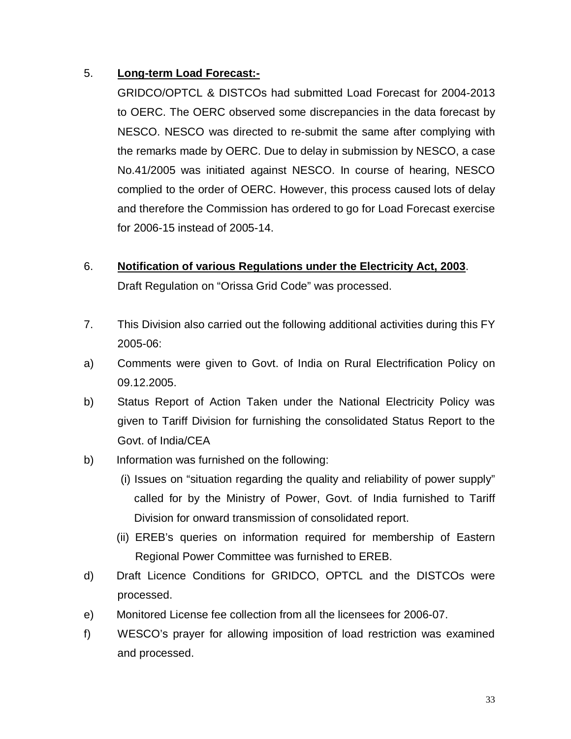## 5. **Long-term Load Forecast:-**

GRIDCO/OPTCL & DISTCOs had submitted Load Forecast for 2004-2013 to OERC. The OERC observed some discrepancies in the data forecast by NESCO. NESCO was directed to re-submit the same after complying with the remarks made by OERC. Due to delay in submission by NESCO, a case No.41/2005 was initiated against NESCO. In course of hearing, NESCO complied to the order of OERC. However, this process caused lots of delay and therefore the Commission has ordered to go for Load Forecast exercise for 2006-15 instead of 2005-14.

## 6. **Notification of various Regulations under the Electricity Act, 2003**.

Draft Regulation on "Orissa Grid Code" was processed.

- 7. This Division also carried out the following additional activities during this FY 2005-06:
- a) Comments were given to Govt. of India on Rural Electrification Policy on 09.12.2005.
- b) Status Report of Action Taken under the National Electricity Policy was given to Tariff Division for furnishing the consolidated Status Report to the Govt. of India/CEA
- b) Information was furnished on the following:
	- (i) Issues on "situation regarding the quality and reliability of power supply" called for by the Ministry of Power, Govt. of India furnished to Tariff Division for onward transmission of consolidated report.
	- (ii) EREB's queries on information required for membership of Eastern Regional Power Committee was furnished to EREB.
- d) Draft Licence Conditions for GRIDCO, OPTCL and the DISTCOs were processed.
- e) Monitored License fee collection from all the licensees for 2006-07.
- f) WESCO's prayer for allowing imposition of load restriction was examined and processed.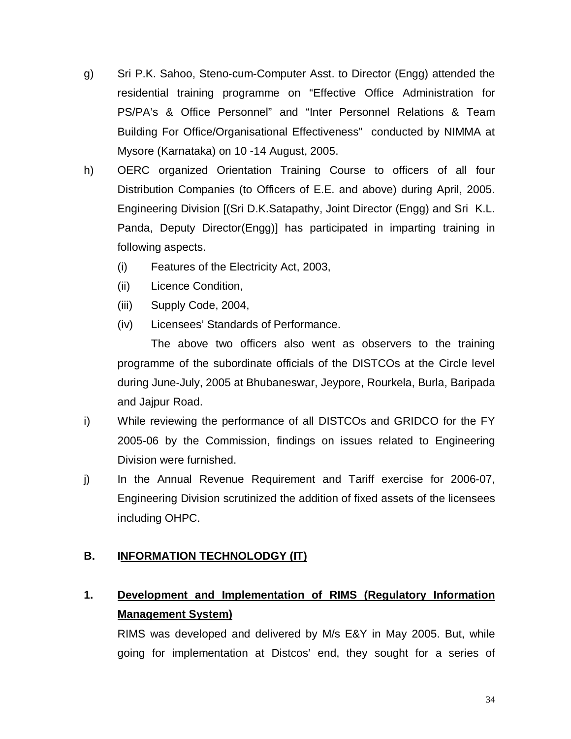- g) Sri P.K. Sahoo, Steno-cum-Computer Asst. to Director (Engg) attended the residential training programme on "Effective Office Administration for PS/PA's & Office Personnel" and "Inter Personnel Relations & Team Building For Office/Organisational Effectiveness" conducted by NIMMA at Mysore (Karnataka) on 10 -14 August, 2005.
- h) OERC organized Orientation Training Course to officers of all four Distribution Companies (to Officers of E.E. and above) during April, 2005. Engineering Division [(Sri D.K.Satapathy, Joint Director (Engg) and Sri K.L. Panda, Deputy Director(Engg)] has participated in imparting training in following aspects.
	- (i) Features of the Electricity Act, 2003,
	- (ii) Licence Condition,
	- (iii) Supply Code, 2004,
	- (iv) Licensees' Standards of Performance.

The above two officers also went as observers to the training programme of the subordinate officials of the DISTCOs at the Circle level during June-July, 2005 at Bhubaneswar, Jeypore, Rourkela, Burla, Baripada and Jajpur Road.

- i) While reviewing the performance of all DISTCOs and GRIDCO for the FY 2005-06 by the Commission, findings on issues related to Engineering Division were furnished.
- j) In the Annual Revenue Requirement and Tariff exercise for 2006-07, Engineering Division scrutinized the addition of fixed assets of the licensees including OHPC.

## **B. INFORMATION TECHNOLODGY (IT)**

## **1. Development and Implementation of RIMS (Regulatory Information Management System)**

RIMS was developed and delivered by M/s E&Y in May 2005. But, while going for implementation at Distcos' end, they sought for a series of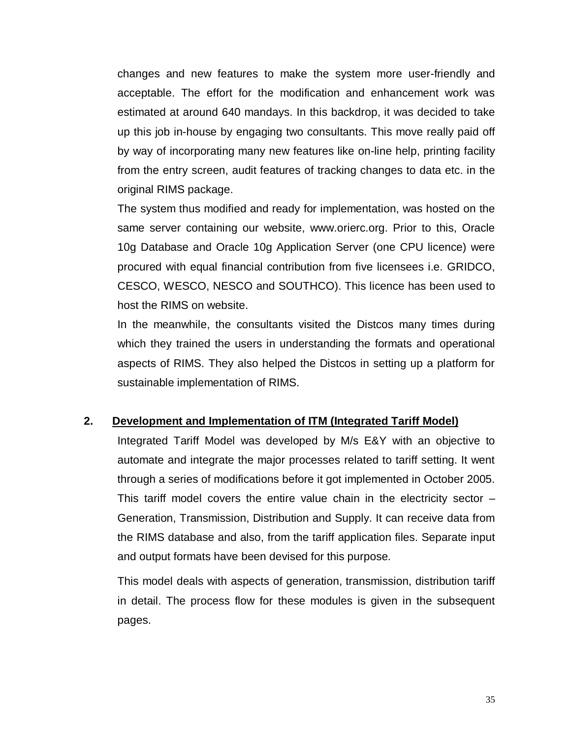changes and new features to make the system more user-friendly and acceptable. The effort for the modification and enhancement work was estimated at around 640 mandays. In this backdrop, it was decided to take up this job in-house by engaging two consultants. This move really paid off by way of incorporating many new features like on-line help, printing facility from the entry screen, audit features of tracking changes to data etc. in the original RIMS package.

The system thus modified and ready for implementation, was hosted on the same server containing our website, www.orierc.org. Prior to this, Oracle 10g Database and Oracle 10g Application Server (one CPU licence) were procured with equal financial contribution from five licensees i.e. GRIDCO, CESCO, WESCO, NESCO and SOUTHCO). This licence has been used to host the RIMS on website.

In the meanwhile, the consultants visited the Distcos many times during which they trained the users in understanding the formats and operational aspects of RIMS. They also helped the Distcos in setting up a platform for sustainable implementation of RIMS.

#### **2. Development and Implementation of ITM (Integrated Tariff Model)**

Integrated Tariff Model was developed by M/s E&Y with an objective to automate and integrate the major processes related to tariff setting. It went through a series of modifications before it got implemented in October 2005. This tariff model covers the entire value chain in the electricity sector  $-$ Generation, Transmission, Distribution and Supply. It can receive data from the RIMS database and also, from the tariff application files. Separate input and output formats have been devised for this purpose.

This model deals with aspects of generation, transmission, distribution tariff in detail. The process flow for these modules is given in the subsequent pages.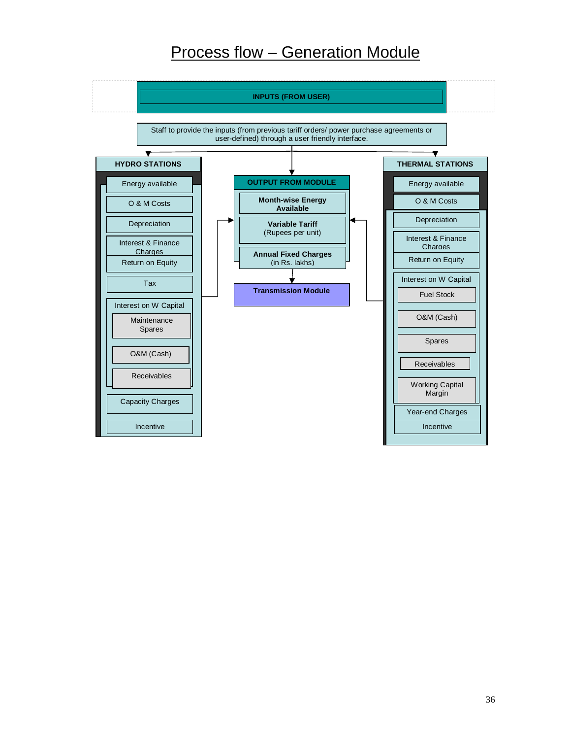# Process flow – Generation Module

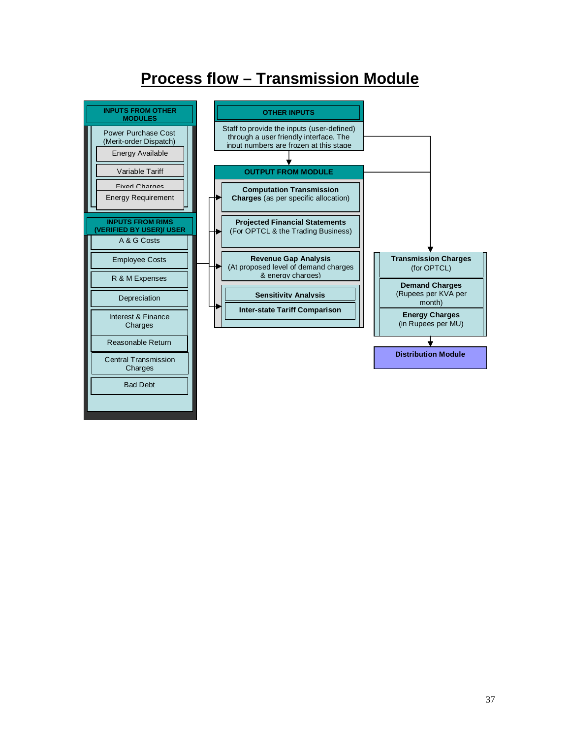# **Process flow – Transmission Module**

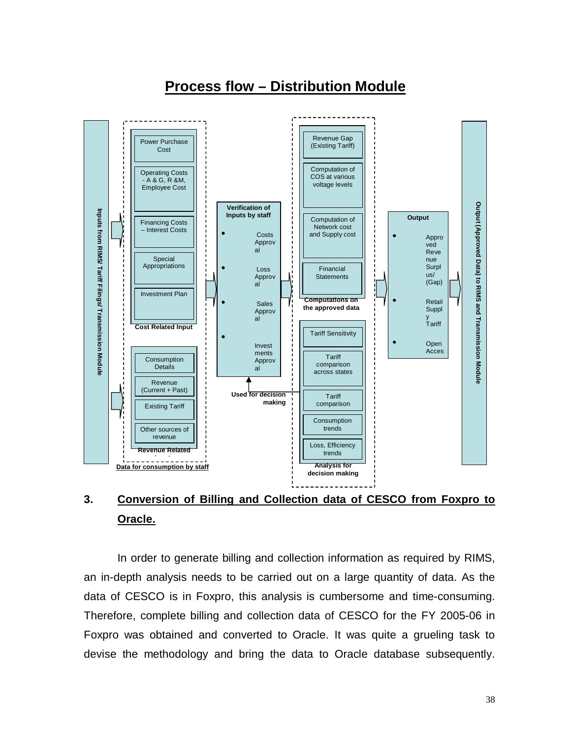### **Process flow – Distribution Module**



# **3. Conversion of Billing and Collection data of CESCO from Foxpro to Oracle.**

In order to generate billing and collection information as required by RIMS, an in-depth analysis needs to be carried out on a large quantity of data. As the data of CESCO is in Foxpro, this analysis is cumbersome and time-consuming. Therefore, complete billing and collection data of CESCO for the FY 2005-06 in Foxpro was obtained and converted to Oracle. It was quite a grueling task to devise the methodology and bring the data to Oracle database subsequently.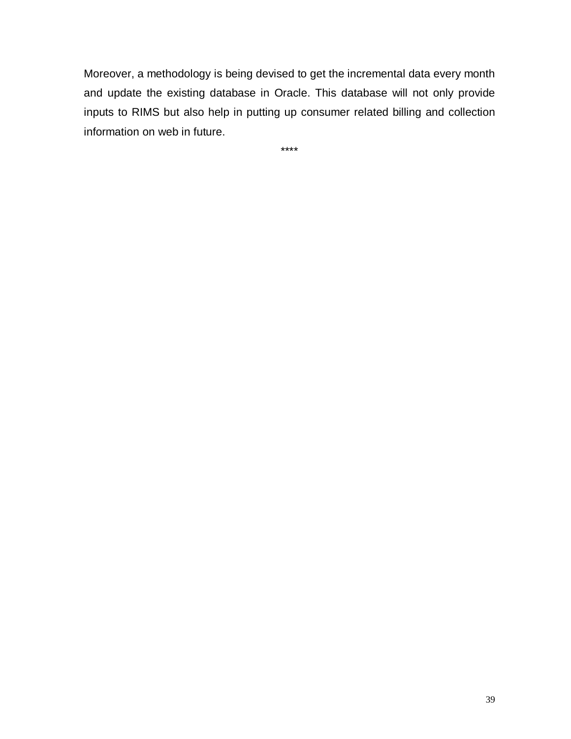Moreover, a methodology is being devised to get the incremental data every month and update the existing database in Oracle. This database will not only provide inputs to RIMS but also help in putting up consumer related billing and collection information on web in future.

\*\*\*\*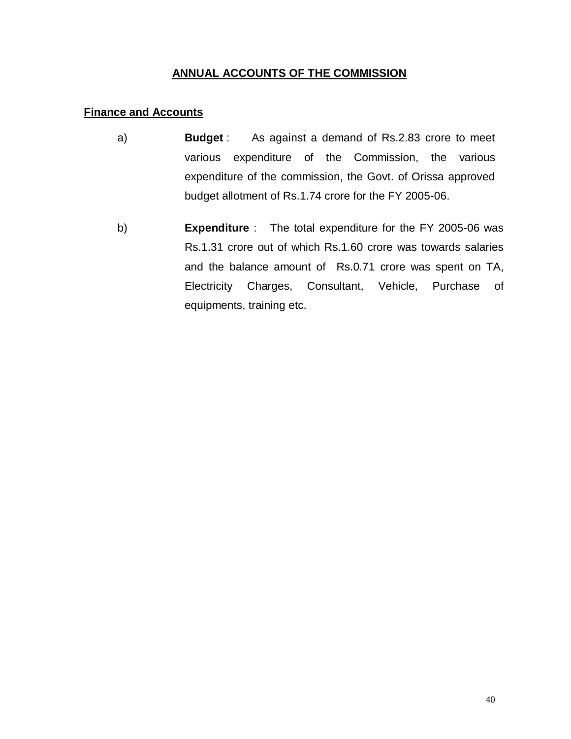### **ANNUAL ACCOUNTS OF THE COMMISSION**

#### **Finance and Accounts**

- a) **Budget** : As against a demand of Rs.2.83 crore to meet various expenditure of the Commission, the various expenditure of the commission, the Govt. of Orissa approved budget allotment of Rs.1.74 crore for the FY 2005-06.
- b) **Expenditure** : The total expenditure for the FY 2005-06 was Rs.1.31 crore out of which Rs.1.60 crore was towards salaries and the balance amount of Rs.0.71 crore was spent on TA, Electricity Charges, Consultant, Vehicle, Purchase of equipments, training etc.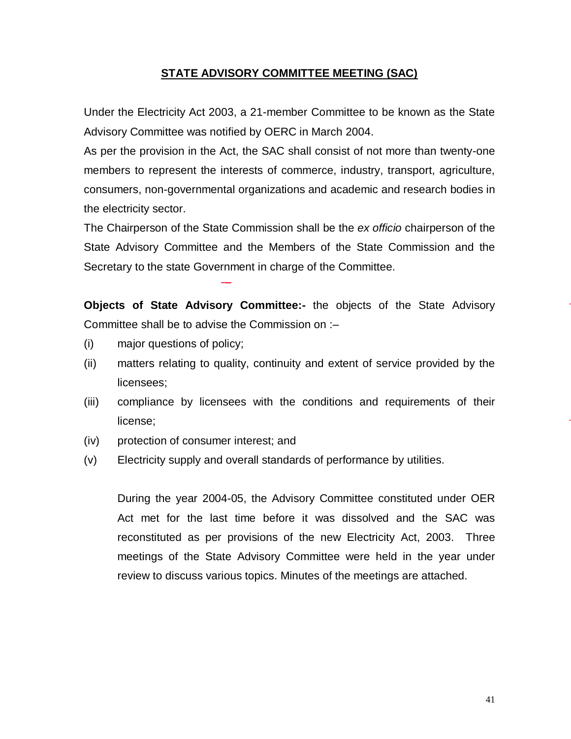#### **STATE ADVISORY COMMITTEE MEETING (SAC)**

Under the Electricity Act 2003, a 21-member Committee to be known as the State Advisory Committee was notified by OERC in March 2004.

As per the provision in the Act, the SAC shall consist of not more than twenty-one members to represent the interests of commerce, industry, transport, agriculture, consumers, non-governmental organizations and academic and research bodies in the electricity sector.

The Chairperson of the State Commission shall be the *ex officio* chairperson of the State Advisory Committee and the Members of the State Commission and the Secretary to the state Government in charge of the Committee.

**Objects of State Advisory Committee:-** the objects of the State Advisory Committee shall be to advise the Commission on :–

- (i) major questions of policy;
- (ii) matters relating to quality, continuity and extent of service provided by the licensees;
- (iii) compliance by licensees with the conditions and requirements of their license;
- (iv) protection of consumer interest; and
- (v) Electricity supply and overall standards of performance by utilities.

During the year 2004-05, the Advisory Committee constituted under OER Act met for the last time before it was dissolved and the SAC was reconstituted as per provisions of the new Electricity Act, 2003. Three meetings of the State Advisory Committee were held in the year under review to discuss various topics. Minutes of the meetings are attached.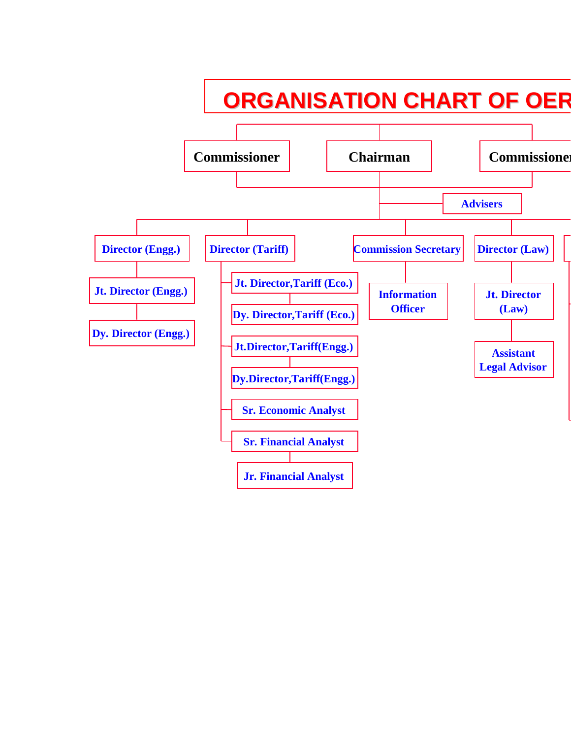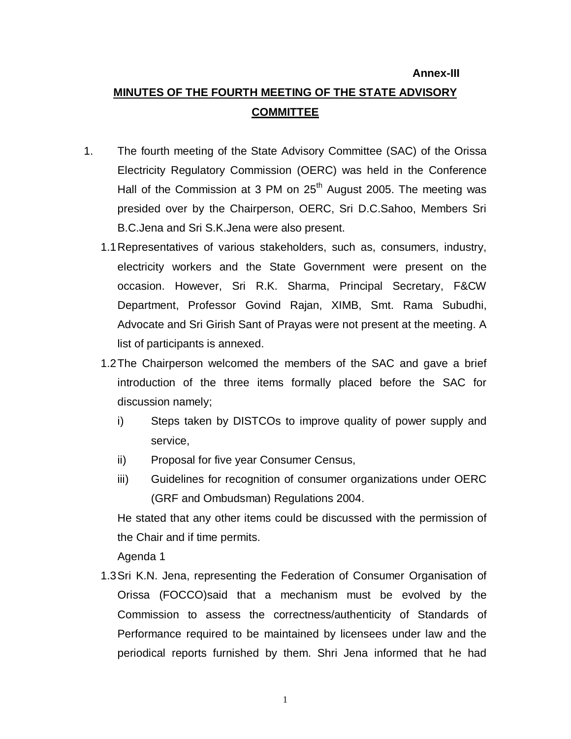#### **Annex-III**

# **MINUTES OF THE FOURTH MEETING OF THE STATE ADVISORY COMMITTEE**

- 1. The fourth meeting of the State Advisory Committee (SAC) of the Orissa Electricity Regulatory Commission (OERC) was held in the Conference Hall of the Commission at 3 PM on  $25<sup>th</sup>$  August 2005. The meeting was presided over by the Chairperson, OERC, Sri D.C.Sahoo, Members Sri B.C.Jena and Sri S.K.Jena were also present.
	- 1.1Representatives of various stakeholders, such as, consumers, industry, electricity workers and the State Government were present on the occasion. However, Sri R.K. Sharma, Principal Secretary, F&CW Department, Professor Govind Rajan, XIMB, Smt. Rama Subudhi, Advocate and Sri Girish Sant of Prayas were not present at the meeting. A list of participants is annexed.
	- 1.2The Chairperson welcomed the members of the SAC and gave a brief introduction of the three items formally placed before the SAC for discussion namely;
		- i) Steps taken by DISTCOs to improve quality of power supply and service,
		- ii) Proposal for five year Consumer Census,
		- iii) Guidelines for recognition of consumer organizations under OERC (GRF and Ombudsman) Regulations 2004.

He stated that any other items could be discussed with the permission of the Chair and if time permits.

Agenda 1

1.3Sri K.N. Jena, representing the Federation of Consumer Organisation of Orissa (FOCCO)said that a mechanism must be evolved by the Commission to assess the correctness/authenticity of Standards of Performance required to be maintained by licensees under law and the periodical reports furnished by them. Shri Jena informed that he had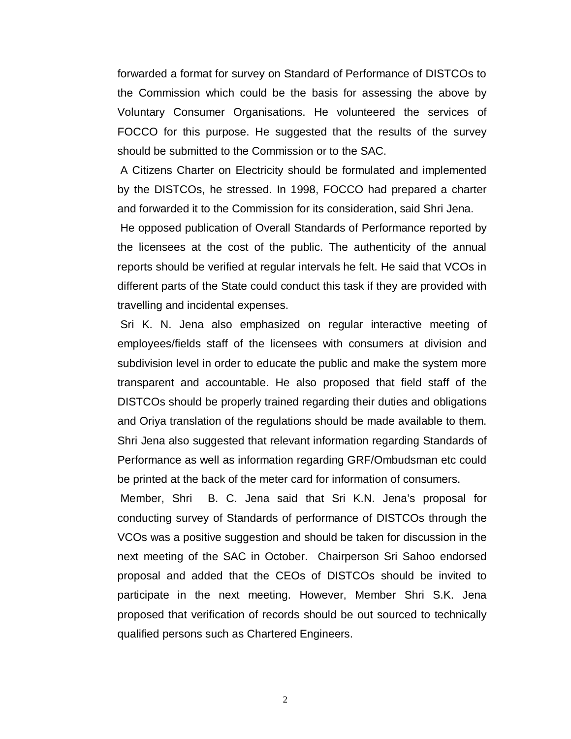forwarded a format for survey on Standard of Performance of DISTCOs to the Commission which could be the basis for assessing the above by Voluntary Consumer Organisations. He volunteered the services of FOCCO for this purpose. He suggested that the results of the survey should be submitted to the Commission or to the SAC.

A Citizens Charter on Electricity should be formulated and implemented by the DISTCOs, he stressed. In 1998, FOCCO had prepared a charter and forwarded it to the Commission for its consideration, said Shri Jena.

He opposed publication of Overall Standards of Performance reported by the licensees at the cost of the public. The authenticity of the annual reports should be verified at regular intervals he felt. He said that VCOs in different parts of the State could conduct this task if they are provided with travelling and incidental expenses.

Sri K. N. Jena also emphasized on regular interactive meeting of employees/fields staff of the licensees with consumers at division and subdivision level in order to educate the public and make the system more transparent and accountable. He also proposed that field staff of the DISTCOs should be properly trained regarding their duties and obligations and Oriya translation of the regulations should be made available to them. Shri Jena also suggested that relevant information regarding Standards of Performance as well as information regarding GRF/Ombudsman etc could be printed at the back of the meter card for information of consumers.

Member, Shri B. C. Jena said that Sri K.N. Jena's proposal for conducting survey of Standards of performance of DISTCOs through the VCOs was a positive suggestion and should be taken for discussion in the next meeting of the SAC in October. Chairperson Sri Sahoo endorsed proposal and added that the CEOs of DISTCOs should be invited to participate in the next meeting. However, Member Shri S.K. Jena proposed that verification of records should be out sourced to technically qualified persons such as Chartered Engineers.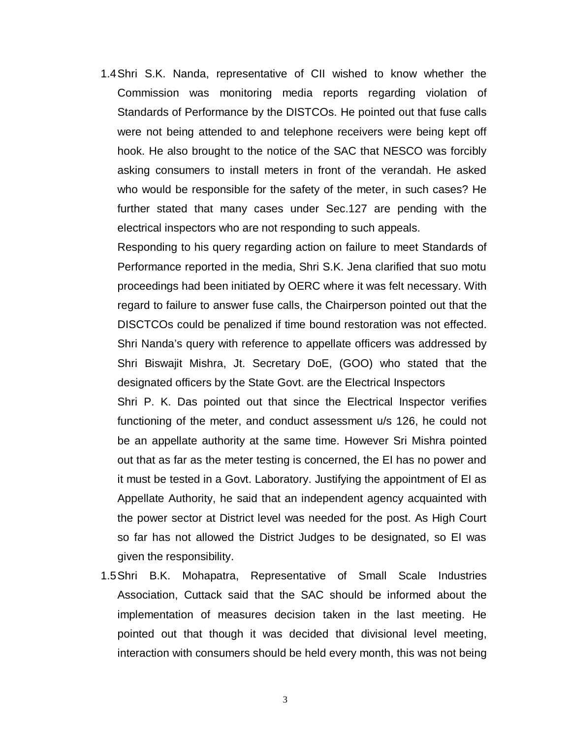1.4Shri S.K. Nanda, representative of CII wished to know whether the Commission was monitoring media reports regarding violation of Standards of Performance by the DISTCOs. He pointed out that fuse calls were not being attended to and telephone receivers were being kept off hook. He also brought to the notice of the SAC that NESCO was forcibly asking consumers to install meters in front of the verandah. He asked who would be responsible for the safety of the meter, in such cases? He further stated that many cases under Sec.127 are pending with the electrical inspectors who are not responding to such appeals.

Responding to his query regarding action on failure to meet Standards of Performance reported in the media, Shri S.K. Jena clarified that suo motu proceedings had been initiated by OERC where it was felt necessary. With regard to failure to answer fuse calls, the Chairperson pointed out that the DISCTCOs could be penalized if time bound restoration was not effected. Shri Nanda's query with reference to appellate officers was addressed by Shri Biswajit Mishra, Jt. Secretary DoE, (GOO) who stated that the designated officers by the State Govt. are the Electrical Inspectors

Shri P. K. Das pointed out that since the Electrical Inspector verifies functioning of the meter, and conduct assessment u/s 126, he could not be an appellate authority at the same time. However Sri Mishra pointed out that as far as the meter testing is concerned, the EI has no power and it must be tested in a Govt. Laboratory. Justifying the appointment of EI as Appellate Authority, he said that an independent agency acquainted with the power sector at District level was needed for the post. As High Court so far has not allowed the District Judges to be designated, so EI was given the responsibility.

1.5Shri B.K. Mohapatra, Representative of Small Scale Industries Association, Cuttack said that the SAC should be informed about the implementation of measures decision taken in the last meeting. He pointed out that though it was decided that divisional level meeting, interaction with consumers should be held every month, this was not being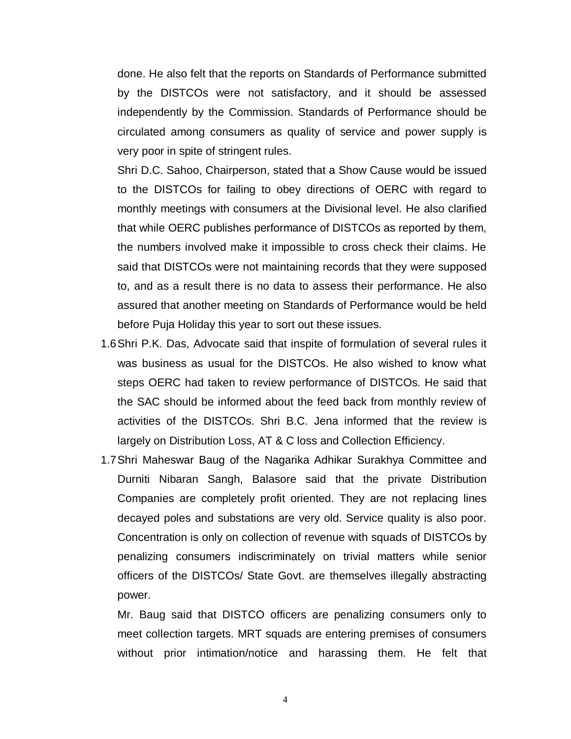done. He also felt that the reports on Standards of Performance submitted by the DISTCOs were not satisfactory, and it should be assessed independently by the Commission. Standards of Performance should be circulated among consumers as quality of service and power supply is very poor in spite of stringent rules.

Shri D.C. Sahoo, Chairperson, stated that a Show Cause would be issued to the DISTCOs for failing to obey directions of OERC with regard to monthly meetings with consumers at the Divisional level. He also clarified that while OERC publishes performance of DISTCOs as reported by them, the numbers involved make it impossible to cross check their claims. He said that DISTCOs were not maintaining records that they were supposed to, and as a result there is no data to assess their performance. He also assured that another meeting on Standards of Performance would be held before Puja Holiday this year to sort out these issues.

- 1.6Shri P.K. Das, Advocate said that inspite of formulation of several rules it was business as usual for the DISTCOs. He also wished to know what steps OERC had taken to review performance of DISTCOs. He said that the SAC should be informed about the feed back from monthly review of activities of the DISTCOs. Shri B.C. Jena informed that the review is largely on Distribution Loss, AT & C loss and Collection Efficiency.
- 1.7Shri Maheswar Baug of the Nagarika Adhikar Surakhya Committee and Durniti Nibaran Sangh, Balasore said that the private Distribution Companies are completely profit oriented. They are not replacing lines decayed poles and substations are very old. Service quality is also poor. Concentration is only on collection of revenue with squads of DISTCOs by penalizing consumers indiscriminately on trivial matters while senior officers of the DISTCOs/ State Govt. are themselves illegally abstracting power.

Mr. Baug said that DISTCO officers are penalizing consumers only to meet collection targets. MRT squads are entering premises of consumers without prior intimation/notice and harassing them. He felt that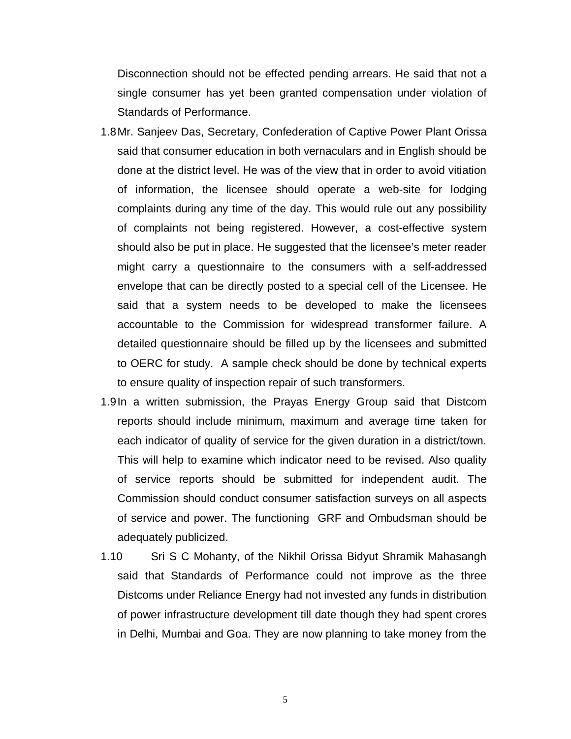Disconnection should not be effected pending arrears. He said that not a single consumer has yet been granted compensation under violation of Standards of Performance.

- 1.8Mr. Sanjeev Das, Secretary, Confederation of Captive Power Plant Orissa said that consumer education in both vernaculars and in English should be done at the district level. He was of the view that in order to avoid vitiation of information, the licensee should operate a web-site for lodging complaints during any time of the day. This would rule out any possibility of complaints not being registered. However, a cost-effective system should also be put in place. He suggested that the licensee's meter reader might carry a questionnaire to the consumers with a self-addressed envelope that can be directly posted to a special cell of the Licensee. He said that a system needs to be developed to make the licensees accountable to the Commission for widespread transformer failure. A detailed questionnaire should be filled up by the licensees and submitted to OERC for study. A sample check should be done by technical experts to ensure quality of inspection repair of such transformers.
- 1.9In a written submission, the Prayas Energy Group said that Distcom reports should include minimum, maximum and average time taken for each indicator of quality of service for the given duration in a district/town. This will help to examine which indicator need to be revised. Also quality of service reports should be submitted for independent audit. The Commission should conduct consumer satisfaction surveys on all aspects of service and power. The functioning GRF and Ombudsman should be adequately publicized.
- 1.10 Sri S C Mohanty, of the Nikhil Orissa Bidyut Shramik Mahasangh said that Standards of Performance could not improve as the three Distcoms under Reliance Energy had not invested any funds in distribution of power infrastructure development till date though they had spent crores in Delhi, Mumbai and Goa. They are now planning to take money from the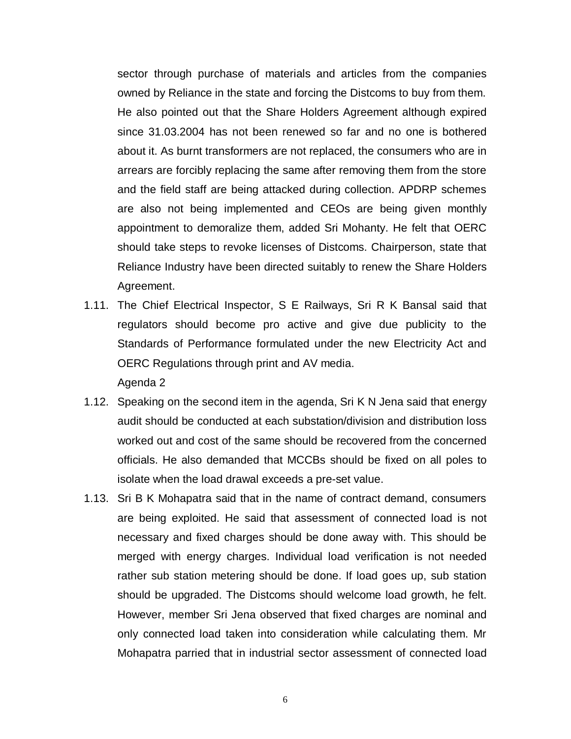sector through purchase of materials and articles from the companies owned by Reliance in the state and forcing the Distcoms to buy from them. He also pointed out that the Share Holders Agreement although expired since 31.03.2004 has not been renewed so far and no one is bothered about it. As burnt transformers are not replaced, the consumers who are in arrears are forcibly replacing the same after removing them from the store and the field staff are being attacked during collection. APDRP schemes are also not being implemented and CEOs are being given monthly appointment to demoralize them, added Sri Mohanty. He felt that OERC should take steps to revoke licenses of Distcoms. Chairperson, state that Reliance Industry have been directed suitably to renew the Share Holders Agreement.

- 1.11. The Chief Electrical Inspector, S E Railways, Sri R K Bansal said that regulators should become pro active and give due publicity to the Standards of Performance formulated under the new Electricity Act and OERC Regulations through print and AV media. Agenda 2
- 1.12. Speaking on the second item in the agenda, Sri K N Jena said that energy audit should be conducted at each substation/division and distribution loss worked out and cost of the same should be recovered from the concerned officials. He also demanded that MCCBs should be fixed on all poles to isolate when the load drawal exceeds a pre-set value.
- 1.13. Sri B K Mohapatra said that in the name of contract demand, consumers are being exploited. He said that assessment of connected load is not necessary and fixed charges should be done away with. This should be merged with energy charges. Individual load verification is not needed rather sub station metering should be done. If load goes up, sub station should be upgraded. The Distcoms should welcome load growth, he felt. However, member Sri Jena observed that fixed charges are nominal and only connected load taken into consideration while calculating them. Mr Mohapatra parried that in industrial sector assessment of connected load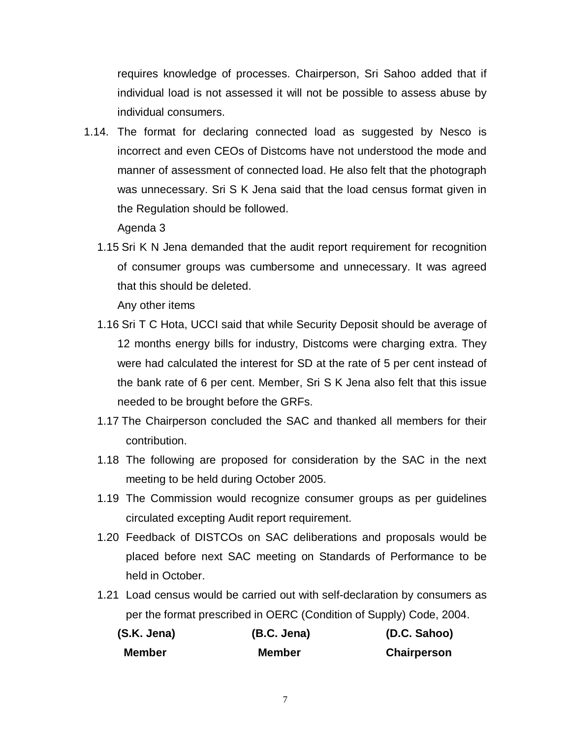requires knowledge of processes. Chairperson, Sri Sahoo added that if individual load is not assessed it will not be possible to assess abuse by individual consumers.

1.14. The format for declaring connected load as suggested by Nesco is incorrect and even CEOs of Distcoms have not understood the mode and manner of assessment of connected load. He also felt that the photograph was unnecessary. Sri S K Jena said that the load census format given in the Regulation should be followed.

Agenda 3

1.15 Sri K N Jena demanded that the audit report requirement for recognition of consumer groups was cumbersome and unnecessary. It was agreed that this should be deleted.

Any other items

- 1.16 Sri T C Hota, UCCI said that while Security Deposit should be average of 12 months energy bills for industry, Distcoms were charging extra. They were had calculated the interest for SD at the rate of 5 per cent instead of the bank rate of 6 per cent. Member, Sri S K Jena also felt that this issue needed to be brought before the GRFs.
- 1.17 The Chairperson concluded the SAC and thanked all members for their contribution.
- 1.18 The following are proposed for consideration by the SAC in the next meeting to be held during October 2005.
- 1.19 The Commission would recognize consumer groups as per guidelines circulated excepting Audit report requirement.
- 1.20 Feedback of DISTCOs on SAC deliberations and proposals would be placed before next SAC meeting on Standards of Performance to be held in October.
- 1.21 Load census would be carried out with self-declaration by consumers as per the format prescribed in OERC (Condition of Supply) Code, 2004.

| (S.K. Jena) | (B.C. Jena)   | (D.C. Sahoo)       |
|-------------|---------------|--------------------|
| Member      | <b>Member</b> | <b>Chairperson</b> |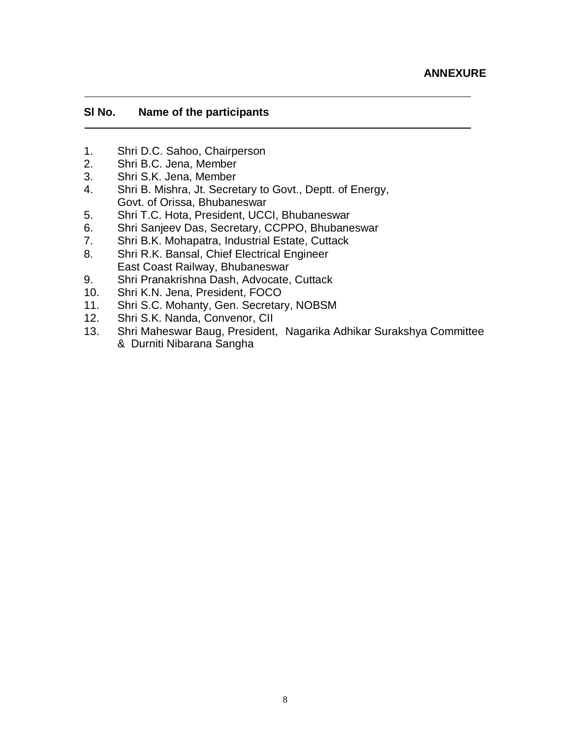#### **Sl No. Name of the participants**

- 1. Shri D.C. Sahoo, Chairperson<br>2. Shri B.C. Jena, Member
- 2. Shri B.C. Jena, Member
- 3. Shri S.K. Jena, Member
- 4. Shri B. Mishra, Jt. Secretary to Govt., Deptt. of Energy, Govt. of Orissa, Bhubaneswar
- 5. Shri T.C. Hota, President, UCCI, Bhubaneswar
- 6. Shri Sanjeev Das, Secretary, CCPPO, Bhubaneswar
- 7. Shri B.K. Mohapatra, Industrial Estate, Cuttack
- 8. Shri R.K. Bansal, Chief Electrical Engineer East Coast Railway, Bhubaneswar
- 9. Shri Pranakrishna Dash, Advocate, Cuttack
- 10. Shri K.N. Jena, President, FOCO
- 11. Shri S.C. Mohanty, Gen. Secretary, NOBSM
- 12. Shri S.K. Nanda, Convenor, CII
- 13. Shri Maheswar Baug, President, Nagarika Adhikar Surakshya Committee & Durniti Nibarana Sangha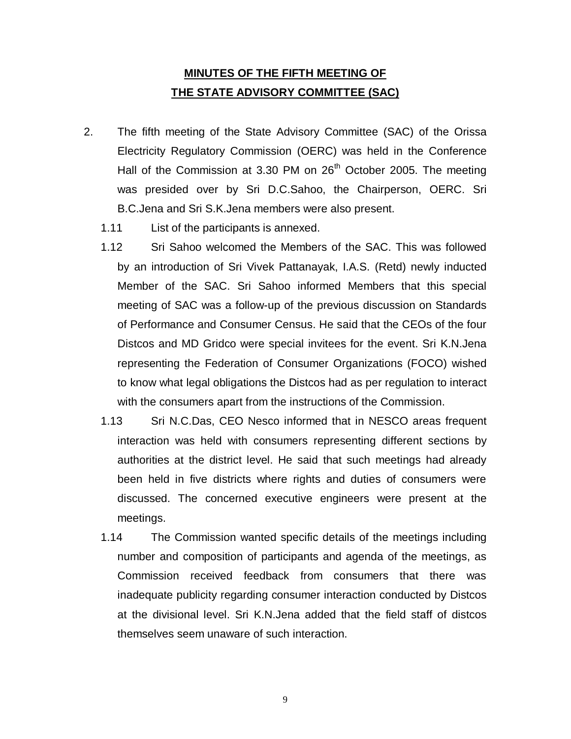### **MINUTES OF THE FIFTH MEETING OF THE STATE ADVISORY COMMITTEE (SAC)**

- 2. The fifth meeting of the State Advisory Committee (SAC) of the Orissa Electricity Regulatory Commission (OERC) was held in the Conference Hall of the Commission at 3.30 PM on 26<sup>th</sup> October 2005. The meeting was presided over by Sri D.C.Sahoo, the Chairperson, OERC. Sri B.C.Jena and Sri S.K.Jena members were also present.
	- 1.11 List of the participants is annexed.
	- 1.12 Sri Sahoo welcomed the Members of the SAC. This was followed by an introduction of Sri Vivek Pattanayak, I.A.S. (Retd) newly inducted Member of the SAC. Sri Sahoo informed Members that this special meeting of SAC was a follow-up of the previous discussion on Standards of Performance and Consumer Census. He said that the CEOs of the four Distcos and MD Gridco were special invitees for the event. Sri K.N.Jena representing the Federation of Consumer Organizations (FOCO) wished to know what legal obligations the Distcos had as per regulation to interact with the consumers apart from the instructions of the Commission.
	- 1.13 Sri N.C.Das, CEO Nesco informed that in NESCO areas frequent interaction was held with consumers representing different sections by authorities at the district level. He said that such meetings had already been held in five districts where rights and duties of consumers were discussed. The concerned executive engineers were present at the meetings.
	- 1.14 The Commission wanted specific details of the meetings including number and composition of participants and agenda of the meetings, as Commission received feedback from consumers that there was inadequate publicity regarding consumer interaction conducted by Distcos at the divisional level. Sri K.N.Jena added that the field staff of distcos themselves seem unaware of such interaction.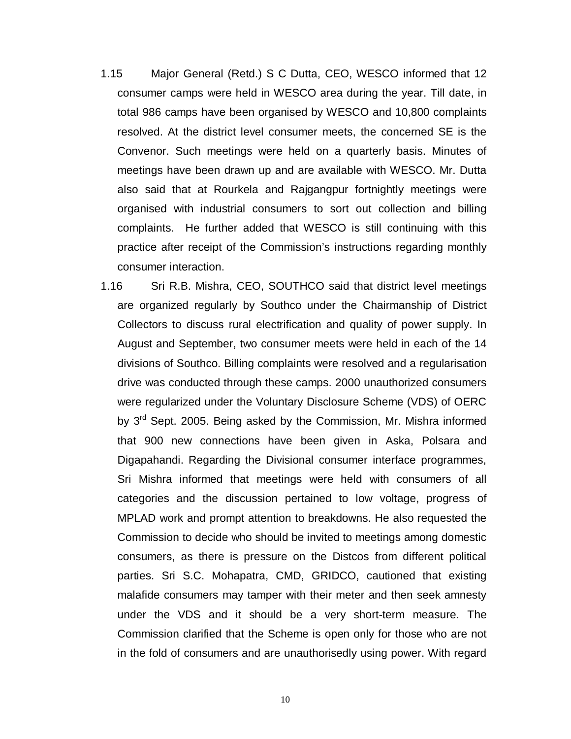- 1.15 Major General (Retd.) S C Dutta, CEO, WESCO informed that 12 consumer camps were held in WESCO area during the year. Till date, in total 986 camps have been organised by WESCO and 10,800 complaints resolved. At the district level consumer meets, the concerned SE is the Convenor. Such meetings were held on a quarterly basis. Minutes of meetings have been drawn up and are available with WESCO. Mr. Dutta also said that at Rourkela and Rajgangpur fortnightly meetings were organised with industrial consumers to sort out collection and billing complaints. He further added that WESCO is still continuing with this practice after receipt of the Commission's instructions regarding monthly consumer interaction.
- 1.16 Sri R.B. Mishra, CEO, SOUTHCO said that district level meetings are organized regularly by Southco under the Chairmanship of District Collectors to discuss rural electrification and quality of power supply. In August and September, two consumer meets were held in each of the 14 divisions of Southco. Billing complaints were resolved and a regularisation drive was conducted through these camps. 2000 unauthorized consumers were regularized under the Voluntary Disclosure Scheme (VDS) of OERC by 3<sup>rd</sup> Sept. 2005. Being asked by the Commission, Mr. Mishra informed that 900 new connections have been given in Aska, Polsara and Digapahandi. Regarding the Divisional consumer interface programmes, Sri Mishra informed that meetings were held with consumers of all categories and the discussion pertained to low voltage, progress of MPLAD work and prompt attention to breakdowns. He also requested the Commission to decide who should be invited to meetings among domestic consumers, as there is pressure on the Distcos from different political parties. Sri S.C. Mohapatra, CMD, GRIDCO, cautioned that existing malafide consumers may tamper with their meter and then seek amnesty under the VDS and it should be a very short-term measure. The Commission clarified that the Scheme is open only for those who are not in the fold of consumers and are unauthorisedly using power. With regard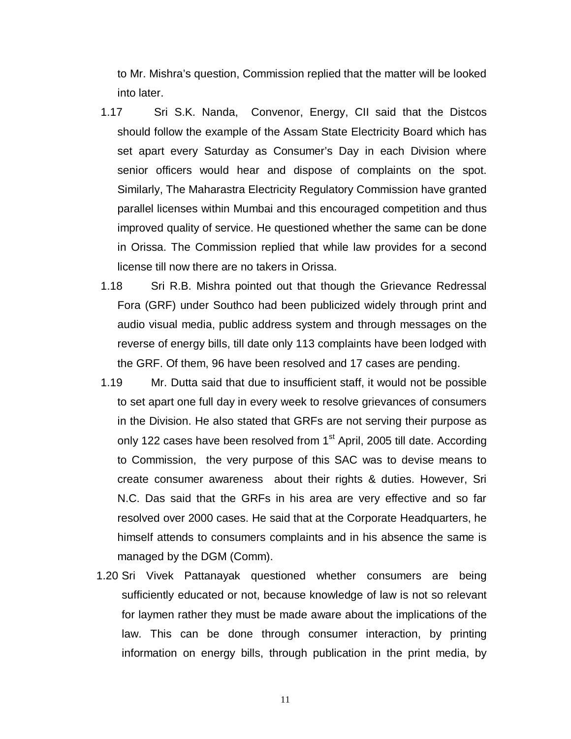to Mr. Mishra's question, Commission replied that the matter will be looked into later.

- 1.17 Sri S.K. Nanda, Convenor, Energy, CII said that the Distcos should follow the example of the Assam State Electricity Board which has set apart every Saturday as Consumer's Day in each Division where senior officers would hear and dispose of complaints on the spot. Similarly, The Maharastra Electricity Regulatory Commission have granted parallel licenses within Mumbai and this encouraged competition and thus improved quality of service. He questioned whether the same can be done in Orissa. The Commission replied that while law provides for a second license till now there are no takers in Orissa.
- 1.18 Sri R.B. Mishra pointed out that though the Grievance Redressal Fora (GRF) under Southco had been publicized widely through print and audio visual media, public address system and through messages on the reverse of energy bills, till date only 113 complaints have been lodged with the GRF. Of them, 96 have been resolved and 17 cases are pending.
- 1.19 Mr. Dutta said that due to insufficient staff, it would not be possible to set apart one full day in every week to resolve grievances of consumers in the Division. He also stated that GRFs are not serving their purpose as only 122 cases have been resolved from 1<sup>st</sup> April, 2005 till date. According to Commission, the very purpose of this SAC was to devise means to create consumer awareness about their rights & duties. However, Sri N.C. Das said that the GRFs in his area are very effective and so far resolved over 2000 cases. He said that at the Corporate Headquarters, he himself attends to consumers complaints and in his absence the same is managed by the DGM (Comm).
- 1.20 Sri Vivek Pattanayak questioned whether consumers are being sufficiently educated or not, because knowledge of law is not so relevant for laymen rather they must be made aware about the implications of the law. This can be done through consumer interaction, by printing information on energy bills, through publication in the print media, by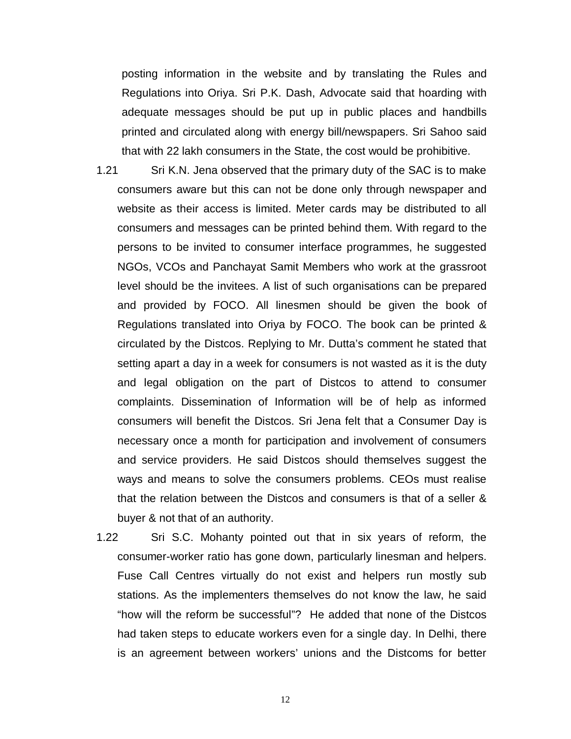posting information in the website and by translating the Rules and Regulations into Oriya. Sri P.K. Dash, Advocate said that hoarding with adequate messages should be put up in public places and handbills printed and circulated along with energy bill/newspapers. Sri Sahoo said that with 22 lakh consumers in the State, the cost would be prohibitive.

- 1.21 Sri K.N. Jena observed that the primary duty of the SAC is to make consumers aware but this can not be done only through newspaper and website as their access is limited. Meter cards may be distributed to all consumers and messages can be printed behind them. With regard to the persons to be invited to consumer interface programmes, he suggested NGOs, VCOs and Panchayat Samit Members who work at the grassroot level should be the invitees. A list of such organisations can be prepared and provided by FOCO. All linesmen should be given the book of Regulations translated into Oriya by FOCO. The book can be printed & circulated by the Distcos. Replying to Mr. Dutta's comment he stated that setting apart a day in a week for consumers is not wasted as it is the duty and legal obligation on the part of Distcos to attend to consumer complaints. Dissemination of Information will be of help as informed consumers will benefit the Distcos. Sri Jena felt that a Consumer Day is necessary once a month for participation and involvement of consumers and service providers. He said Distcos should themselves suggest the ways and means to solve the consumers problems. CEOs must realise that the relation between the Distcos and consumers is that of a seller & buyer & not that of an authority.
- 1.22 Sri S.C. Mohanty pointed out that in six years of reform, the consumer-worker ratio has gone down, particularly linesman and helpers. Fuse Call Centres virtually do not exist and helpers run mostly sub stations. As the implementers themselves do not know the law, he said "how will the reform be successful"? He added that none of the Distcos had taken steps to educate workers even for a single day. In Delhi, there is an agreement between workers' unions and the Distcoms for better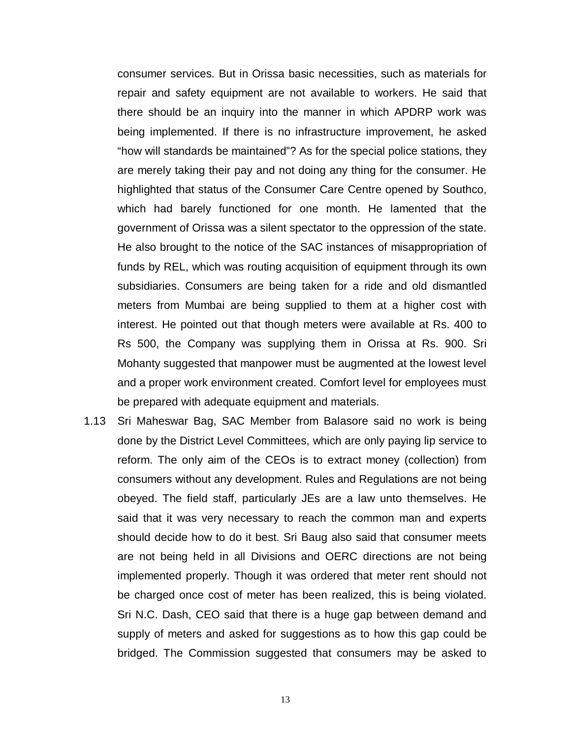consumer services. But in Orissa basic necessities, such as materials for repair and safety equipment are not available to workers. He said that there should be an inquiry into the manner in which APDRP work was being implemented. If there is no infrastructure improvement, he asked "how will standards be maintained"? As for the special police stations, they are merely taking their pay and not doing any thing for the consumer. He highlighted that status of the Consumer Care Centre opened by Southco, which had barely functioned for one month. He lamented that the government of Orissa was a silent spectator to the oppression of the state. He also brought to the notice of the SAC instances of misappropriation of funds by REL, which was routing acquisition of equipment through its own subsidiaries. Consumers are being taken for a ride and old dismantled meters from Mumbai are being supplied to them at a higher cost with interest. He pointed out that though meters were available at Rs. 400 to Rs 500, the Company was supplying them in Orissa at Rs. 900. Sri Mohanty suggested that manpower must be augmented at the lowest level and a proper work environment created. Comfort level for employees must be prepared with adequate equipment and materials.

1.13 Sri Maheswar Bag, SAC Member from Balasore said no work is being done by the District Level Committees, which are only paying lip service to reform. The only aim of the CEOs is to extract money (collection) from consumers without any development. Rules and Regulations are not being obeyed. The field staff, particularly JEs are a law unto themselves. He said that it was very necessary to reach the common man and experts should decide how to do it best. Sri Baug also said that consumer meets are not being held in all Divisions and OERC directions are not being implemented properly. Though it was ordered that meter rent should not be charged once cost of meter has been realized, this is being violated. Sri N.C. Dash, CEO said that there is a huge gap between demand and supply of meters and asked for suggestions as to how this gap could be bridged. The Commission suggested that consumers may be asked to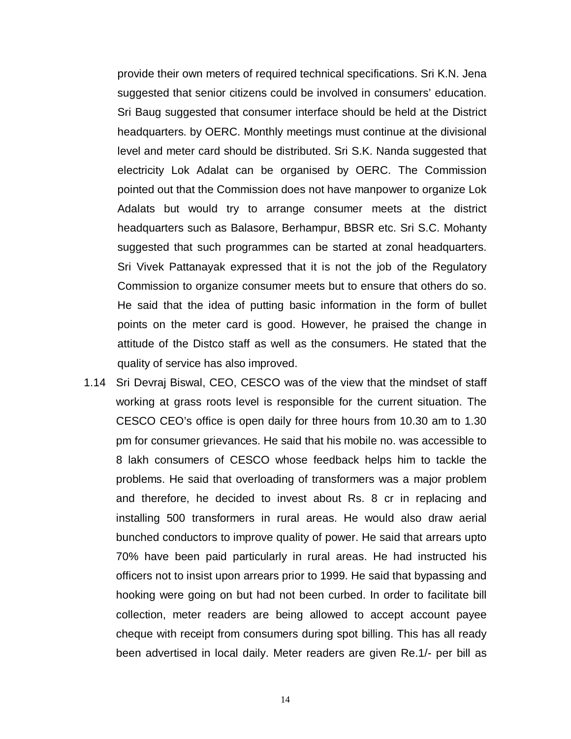provide their own meters of required technical specifications. Sri K.N. Jena suggested that senior citizens could be involved in consumers' education. Sri Baug suggested that consumer interface should be held at the District headquarters. by OERC. Monthly meetings must continue at the divisional level and meter card should be distributed. Sri S.K. Nanda suggested that electricity Lok Adalat can be organised by OERC. The Commission pointed out that the Commission does not have manpower to organize Lok Adalats but would try to arrange consumer meets at the district headquarters such as Balasore, Berhampur, BBSR etc. Sri S.C. Mohanty suggested that such programmes can be started at zonal headquarters. Sri Vivek Pattanayak expressed that it is not the job of the Regulatory Commission to organize consumer meets but to ensure that others do so. He said that the idea of putting basic information in the form of bullet points on the meter card is good. However, he praised the change in attitude of the Distco staff as well as the consumers. He stated that the quality of service has also improved.

1.14 Sri Devraj Biswal, CEO, CESCO was of the view that the mindset of staff working at grass roots level is responsible for the current situation. The CESCO CEO's office is open daily for three hours from 10.30 am to 1.30 pm for consumer grievances. He said that his mobile no. was accessible to 8 lakh consumers of CESCO whose feedback helps him to tackle the problems. He said that overloading of transformers was a major problem and therefore, he decided to invest about Rs. 8 cr in replacing and installing 500 transformers in rural areas. He would also draw aerial bunched conductors to improve quality of power. He said that arrears upto 70% have been paid particularly in rural areas. He had instructed his officers not to insist upon arrears prior to 1999. He said that bypassing and hooking were going on but had not been curbed. In order to facilitate bill collection, meter readers are being allowed to accept account payee cheque with receipt from consumers during spot billing. This has all ready been advertised in local daily. Meter readers are given Re.1/- per bill as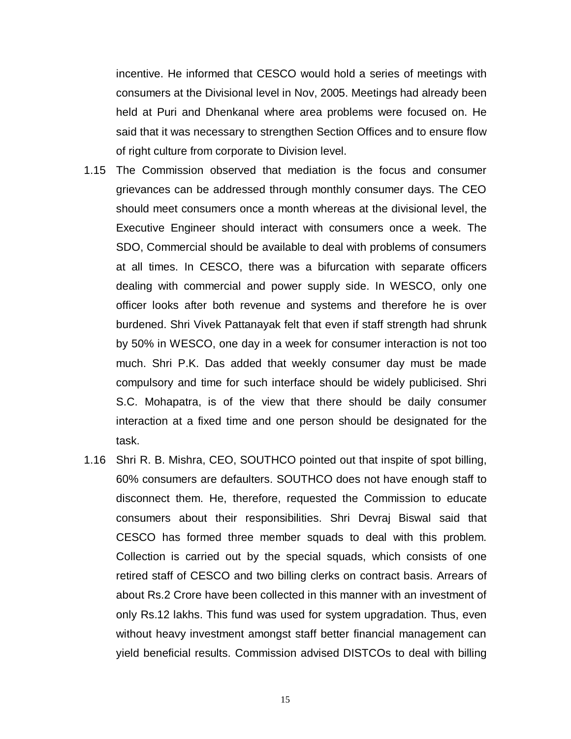incentive. He informed that CESCO would hold a series of meetings with consumers at the Divisional level in Nov, 2005. Meetings had already been held at Puri and Dhenkanal where area problems were focused on. He said that it was necessary to strengthen Section Offices and to ensure flow of right culture from corporate to Division level.

- 1.15 The Commission observed that mediation is the focus and consumer grievances can be addressed through monthly consumer days. The CEO should meet consumers once a month whereas at the divisional level, the Executive Engineer should interact with consumers once a week. The SDO, Commercial should be available to deal with problems of consumers at all times. In CESCO, there was a bifurcation with separate officers dealing with commercial and power supply side. In WESCO, only one officer looks after both revenue and systems and therefore he is over burdened. Shri Vivek Pattanayak felt that even if staff strength had shrunk by 50% in WESCO, one day in a week for consumer interaction is not too much. Shri P.K. Das added that weekly consumer day must be made compulsory and time for such interface should be widely publicised. Shri S.C. Mohapatra, is of the view that there should be daily consumer interaction at a fixed time and one person should be designated for the task.
- 1.16 Shri R. B. Mishra, CEO, SOUTHCO pointed out that inspite of spot billing, 60% consumers are defaulters. SOUTHCO does not have enough staff to disconnect them. He, therefore, requested the Commission to educate consumers about their responsibilities. Shri Devraj Biswal said that CESCO has formed three member squads to deal with this problem. Collection is carried out by the special squads, which consists of one retired staff of CESCO and two billing clerks on contract basis. Arrears of about Rs.2 Crore have been collected in this manner with an investment of only Rs.12 lakhs. This fund was used for system upgradation. Thus, even without heavy investment amongst staff better financial management can yield beneficial results. Commission advised DISTCOs to deal with billing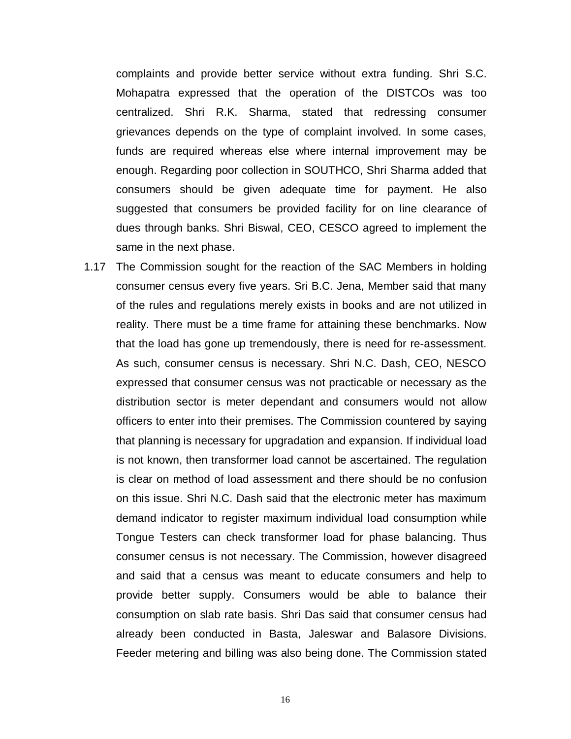complaints and provide better service without extra funding. Shri S.C. Mohapatra expressed that the operation of the DISTCOs was too centralized. Shri R.K. Sharma, stated that redressing consumer grievances depends on the type of complaint involved. In some cases, funds are required whereas else where internal improvement may be enough. Regarding poor collection in SOUTHCO, Shri Sharma added that consumers should be given adequate time for payment. He also suggested that consumers be provided facility for on line clearance of dues through banks. Shri Biswal, CEO, CESCO agreed to implement the same in the next phase.

1.17 The Commission sought for the reaction of the SAC Members in holding consumer census every five years. Sri B.C. Jena, Member said that many of the rules and regulations merely exists in books and are not utilized in reality. There must be a time frame for attaining these benchmarks. Now that the load has gone up tremendously, there is need for re-assessment. As such, consumer census is necessary. Shri N.C. Dash, CEO, NESCO expressed that consumer census was not practicable or necessary as the distribution sector is meter dependant and consumers would not allow officers to enter into their premises. The Commission countered by saying that planning is necessary for upgradation and expansion. If individual load is not known, then transformer load cannot be ascertained. The regulation is clear on method of load assessment and there should be no confusion on this issue. Shri N.C. Dash said that the electronic meter has maximum demand indicator to register maximum individual load consumption while Tongue Testers can check transformer load for phase balancing. Thus consumer census is not necessary. The Commission, however disagreed and said that a census was meant to educate consumers and help to provide better supply. Consumers would be able to balance their consumption on slab rate basis. Shri Das said that consumer census had already been conducted in Basta, Jaleswar and Balasore Divisions. Feeder metering and billing was also being done. The Commission stated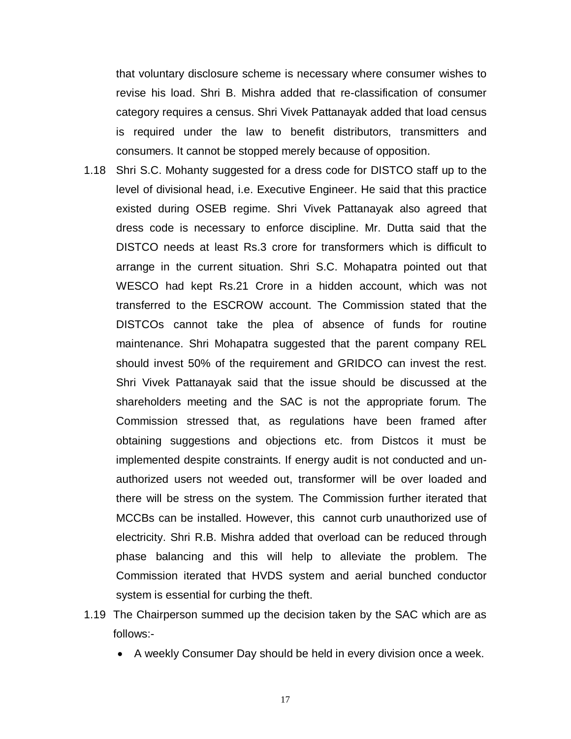that voluntary disclosure scheme is necessary where consumer wishes to revise his load. Shri B. Mishra added that re-classification of consumer category requires a census. Shri Vivek Pattanayak added that load census is required under the law to benefit distributors, transmitters and consumers. It cannot be stopped merely because of opposition.

- 1.18 Shri S.C. Mohanty suggested for a dress code for DISTCO staff up to the level of divisional head, i.e. Executive Engineer. He said that this practice existed during OSEB regime. Shri Vivek Pattanayak also agreed that dress code is necessary to enforce discipline. Mr. Dutta said that the DISTCO needs at least Rs.3 crore for transformers which is difficult to arrange in the current situation. Shri S.C. Mohapatra pointed out that WESCO had kept Rs.21 Crore in a hidden account, which was not transferred to the ESCROW account. The Commission stated that the DISTCOs cannot take the plea of absence of funds for routine maintenance. Shri Mohapatra suggested that the parent company REL should invest 50% of the requirement and GRIDCO can invest the rest. Shri Vivek Pattanayak said that the issue should be discussed at the shareholders meeting and the SAC is not the appropriate forum. The Commission stressed that, as regulations have been framed after obtaining suggestions and objections etc. from Distcos it must be implemented despite constraints. If energy audit is not conducted and unauthorized users not weeded out, transformer will be over loaded and there will be stress on the system. The Commission further iterated that MCCBs can be installed. However, this cannot curb unauthorized use of electricity. Shri R.B. Mishra added that overload can be reduced through phase balancing and this will help to alleviate the problem. The Commission iterated that HVDS system and aerial bunched conductor system is essential for curbing the theft.
- 1.19 The Chairperson summed up the decision taken by the SAC which are as follows:-
	- A weekly Consumer Day should be held in every division once a week.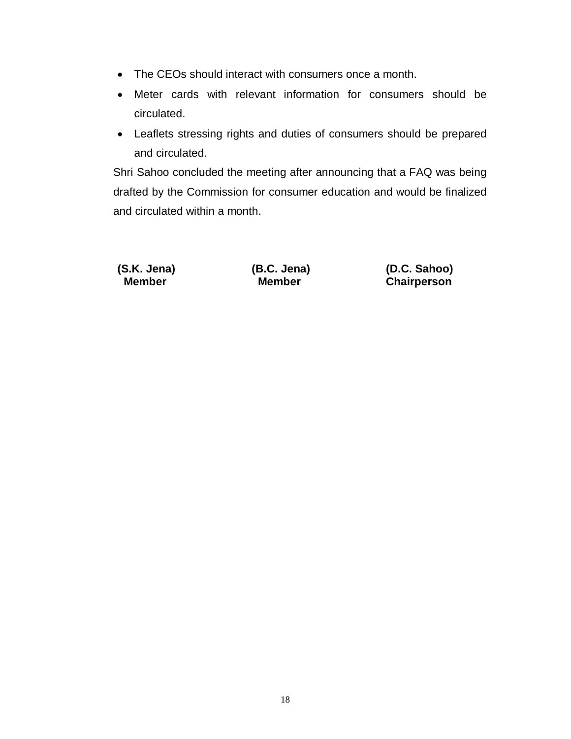- The CEOs should interact with consumers once a month.
- Meter cards with relevant information for consumers should be circulated.
- Leaflets stressing rights and duties of consumers should be prepared and circulated.

Shri Sahoo concluded the meeting after announcing that a FAQ was being drafted by the Commission for consumer education and would be finalized and circulated within a month.

**(S.K. Jena) (B.C. Jena) (D.C. Sahoo) Chairperson**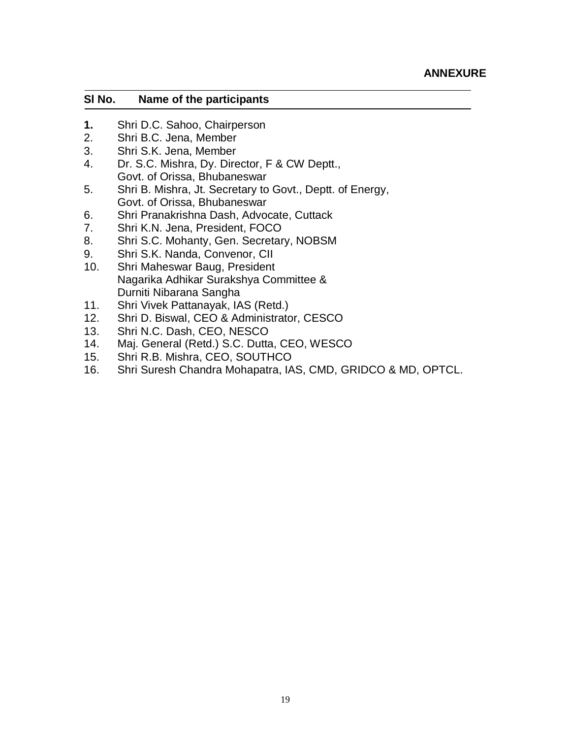#### **Sl No. Name of the participants**

- **1.** Shri D.C. Sahoo, Chairperson
- 2. Shri B.C. Jena, Member
- 3. Shri S.K. Jena, Member
- 4. Dr. S.C. Mishra, Dy. Director, F & CW Deptt., Govt. of Orissa, Bhubaneswar
- 5. Shri B. Mishra, Jt. Secretary to Govt., Deptt. of Energy, Govt. of Orissa, Bhubaneswar
- 6. Shri Pranakrishna Dash, Advocate, Cuttack
- 7. Shri K.N. Jena, President, FOCO
- 8. Shri S.C. Mohanty, Gen. Secretary, NOBSM
- 9. Shri S.K. Nanda, Convenor, CII
- 10. Shri Maheswar Baug, President Nagarika Adhikar Surakshya Committee & Durniti Nibarana Sangha
- 11. Shri Vivek Pattanayak, IAS (Retd.)
- 12. Shri D. Biswal, CEO & Administrator, CESCO
- 13. Shri N.C. Dash, CEO, NESCO
- 14. Maj. General (Retd.) S.C. Dutta, CEO, WESCO
- 15. Shri R.B. Mishra, CEO, SOUTHCO
- 16. Shri Suresh Chandra Mohapatra, IAS, CMD, GRIDCO & MD, OPTCL.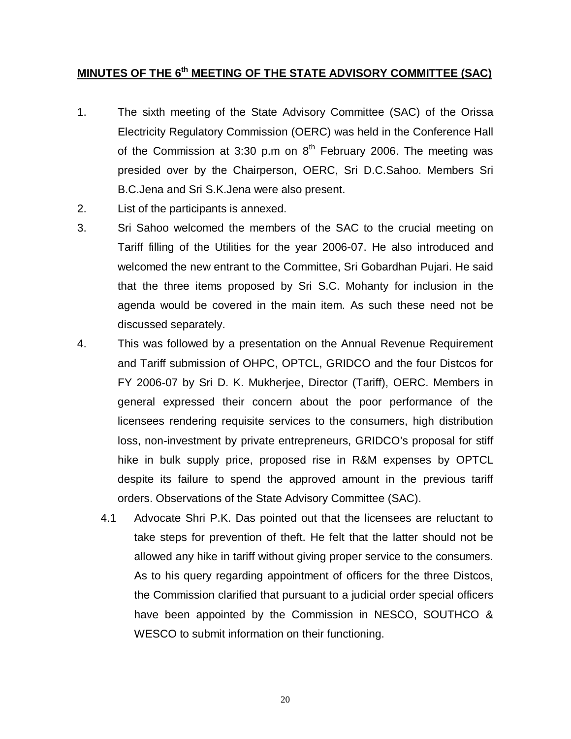### **MINUTES OF THE 6th MEETING OF THE STATE ADVISORY COMMITTEE (SAC)**

- 1. The sixth meeting of the State Advisory Committee (SAC) of the Orissa Electricity Regulatory Commission (OERC) was held in the Conference Hall of the Commission at 3:30 p.m on  $8<sup>th</sup>$  February 2006. The meeting was presided over by the Chairperson, OERC, Sri D.C.Sahoo. Members Sri B.C.Jena and Sri S.K.Jena were also present.
- 2. List of the participants is annexed.
- 3. Sri Sahoo welcomed the members of the SAC to the crucial meeting on Tariff filling of the Utilities for the year 2006-07. He also introduced and welcomed the new entrant to the Committee, Sri Gobardhan Pujari. He said that the three items proposed by Sri S.C. Mohanty for inclusion in the agenda would be covered in the main item. As such these need not be discussed separately.
- 4. This was followed by a presentation on the Annual Revenue Requirement and Tariff submission of OHPC, OPTCL, GRIDCO and the four Distcos for FY 2006-07 by Sri D. K. Mukherjee, Director (Tariff), OERC. Members in general expressed their concern about the poor performance of the licensees rendering requisite services to the consumers, high distribution loss, non-investment by private entrepreneurs, GRIDCO's proposal for stiff hike in bulk supply price, proposed rise in R&M expenses by OPTCL despite its failure to spend the approved amount in the previous tariff orders. Observations of the State Advisory Committee (SAC).
	- 4.1 Advocate Shri P.K. Das pointed out that the licensees are reluctant to take steps for prevention of theft. He felt that the latter should not be allowed any hike in tariff without giving proper service to the consumers. As to his query regarding appointment of officers for the three Distcos, the Commission clarified that pursuant to a judicial order special officers have been appointed by the Commission in NESCO, SOUTHCO & WESCO to submit information on their functioning.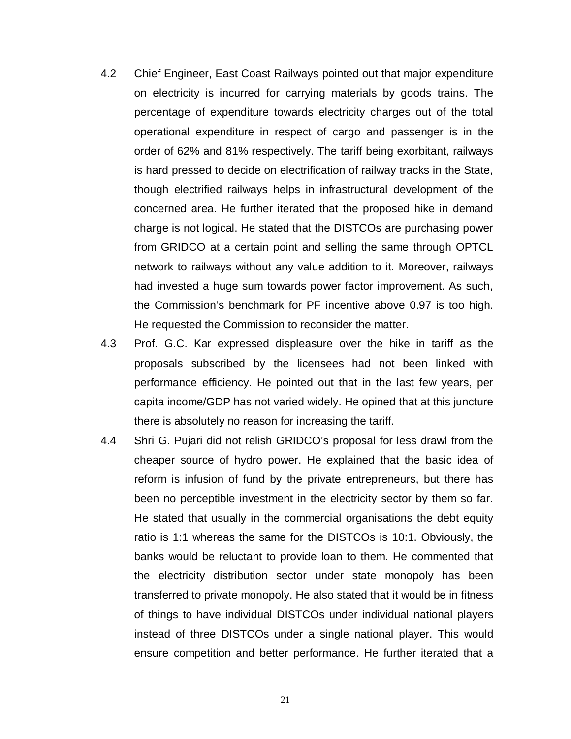- 4.2 Chief Engineer, East Coast Railways pointed out that major expenditure on electricity is incurred for carrying materials by goods trains. The percentage of expenditure towards electricity charges out of the total operational expenditure in respect of cargo and passenger is in the order of 62% and 81% respectively. The tariff being exorbitant, railways is hard pressed to decide on electrification of railway tracks in the State, though electrified railways helps in infrastructural development of the concerned area. He further iterated that the proposed hike in demand charge is not logical. He stated that the DISTCOs are purchasing power from GRIDCO at a certain point and selling the same through OPTCL network to railways without any value addition to it. Moreover, railways had invested a huge sum towards power factor improvement. As such, the Commission's benchmark for PF incentive above 0.97 is too high. He requested the Commission to reconsider the matter.
- 4.3 Prof. G.C. Kar expressed displeasure over the hike in tariff as the proposals subscribed by the licensees had not been linked with performance efficiency. He pointed out that in the last few years, per capita income/GDP has not varied widely. He opined that at this juncture there is absolutely no reason for increasing the tariff.
- 4.4 Shri G. Pujari did not relish GRIDCO's proposal for less drawl from the cheaper source of hydro power. He explained that the basic idea of reform is infusion of fund by the private entrepreneurs, but there has been no perceptible investment in the electricity sector by them so far. He stated that usually in the commercial organisations the debt equity ratio is 1:1 whereas the same for the DISTCOs is 10:1. Obviously, the banks would be reluctant to provide loan to them. He commented that the electricity distribution sector under state monopoly has been transferred to private monopoly. He also stated that it would be in fitness of things to have individual DISTCOs under individual national players instead of three DISTCOs under a single national player. This would ensure competition and better performance. He further iterated that a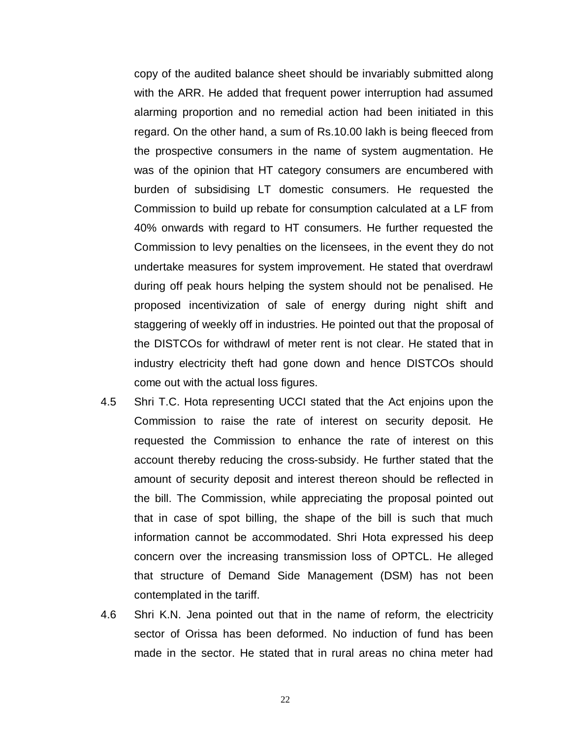copy of the audited balance sheet should be invariably submitted along with the ARR. He added that frequent power interruption had assumed alarming proportion and no remedial action had been initiated in this regard. On the other hand, a sum of Rs.10.00 lakh is being fleeced from the prospective consumers in the name of system augmentation. He was of the opinion that HT category consumers are encumbered with burden of subsidising LT domestic consumers. He requested the Commission to build up rebate for consumption calculated at a LF from 40% onwards with regard to HT consumers. He further requested the Commission to levy penalties on the licensees, in the event they do not undertake measures for system improvement. He stated that overdrawl during off peak hours helping the system should not be penalised. He proposed incentivization of sale of energy during night shift and staggering of weekly off in industries. He pointed out that the proposal of the DISTCOs for withdrawl of meter rent is not clear. He stated that in industry electricity theft had gone down and hence DISTCOs should come out with the actual loss figures.

- 4.5 Shri T.C. Hota representing UCCI stated that the Act enjoins upon the Commission to raise the rate of interest on security deposit. He requested the Commission to enhance the rate of interest on this account thereby reducing the cross-subsidy. He further stated that the amount of security deposit and interest thereon should be reflected in the bill. The Commission, while appreciating the proposal pointed out that in case of spot billing, the shape of the bill is such that much information cannot be accommodated. Shri Hota expressed his deep concern over the increasing transmission loss of OPTCL. He alleged that structure of Demand Side Management (DSM) has not been contemplated in the tariff.
- 4.6 Shri K.N. Jena pointed out that in the name of reform, the electricity sector of Orissa has been deformed. No induction of fund has been made in the sector. He stated that in rural areas no china meter had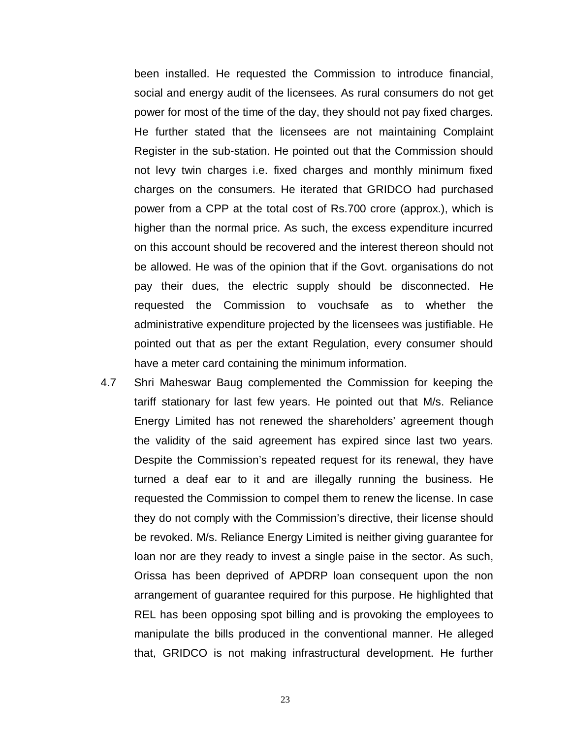been installed. He requested the Commission to introduce financial, social and energy audit of the licensees. As rural consumers do not get power for most of the time of the day, they should not pay fixed charges. He further stated that the licensees are not maintaining Complaint Register in the sub-station. He pointed out that the Commission should not levy twin charges i.e. fixed charges and monthly minimum fixed charges on the consumers. He iterated that GRIDCO had purchased power from a CPP at the total cost of Rs.700 crore (approx.), which is higher than the normal price. As such, the excess expenditure incurred on this account should be recovered and the interest thereon should not be allowed. He was of the opinion that if the Govt. organisations do not pay their dues, the electric supply should be disconnected. He requested the Commission to vouchsafe as to whether the administrative expenditure projected by the licensees was justifiable. He pointed out that as per the extant Regulation, every consumer should have a meter card containing the minimum information.

4.7 Shri Maheswar Baug complemented the Commission for keeping the tariff stationary for last few years. He pointed out that M/s. Reliance Energy Limited has not renewed the shareholders' agreement though the validity of the said agreement has expired since last two years. Despite the Commission's repeated request for its renewal, they have turned a deaf ear to it and are illegally running the business. He requested the Commission to compel them to renew the license. In case they do not comply with the Commission's directive, their license should be revoked. M/s. Reliance Energy Limited is neither giving guarantee for loan nor are they ready to invest a single paise in the sector. As such, Orissa has been deprived of APDRP loan consequent upon the non arrangement of guarantee required for this purpose. He highlighted that REL has been opposing spot billing and is provoking the employees to manipulate the bills produced in the conventional manner. He alleged that, GRIDCO is not making infrastructural development. He further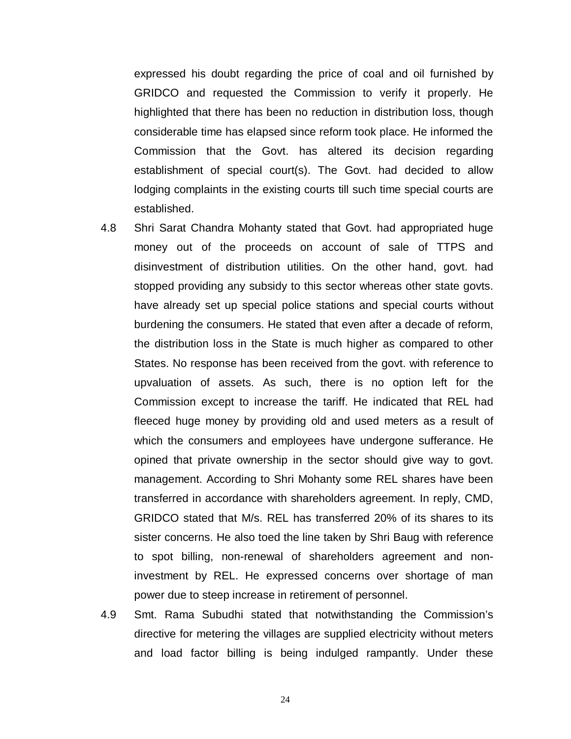expressed his doubt regarding the price of coal and oil furnished by GRIDCO and requested the Commission to verify it properly. He highlighted that there has been no reduction in distribution loss, though considerable time has elapsed since reform took place. He informed the Commission that the Govt. has altered its decision regarding establishment of special court(s). The Govt. had decided to allow lodging complaints in the existing courts till such time special courts are established.

- 4.8 Shri Sarat Chandra Mohanty stated that Govt. had appropriated huge money out of the proceeds on account of sale of TTPS and disinvestment of distribution utilities. On the other hand, govt. had stopped providing any subsidy to this sector whereas other state govts. have already set up special police stations and special courts without burdening the consumers. He stated that even after a decade of reform, the distribution loss in the State is much higher as compared to other States. No response has been received from the govt. with reference to upvaluation of assets. As such, there is no option left for the Commission except to increase the tariff. He indicated that REL had fleeced huge money by providing old and used meters as a result of which the consumers and employees have undergone sufferance. He opined that private ownership in the sector should give way to govt. management. According to Shri Mohanty some REL shares have been transferred in accordance with shareholders agreement. In reply, CMD, GRIDCO stated that M/s. REL has transferred 20% of its shares to its sister concerns. He also toed the line taken by Shri Baug with reference to spot billing, non-renewal of shareholders agreement and noninvestment by REL. He expressed concerns over shortage of man power due to steep increase in retirement of personnel.
- 4.9 Smt. Rama Subudhi stated that notwithstanding the Commission's directive for metering the villages are supplied electricity without meters and load factor billing is being indulged rampantly. Under these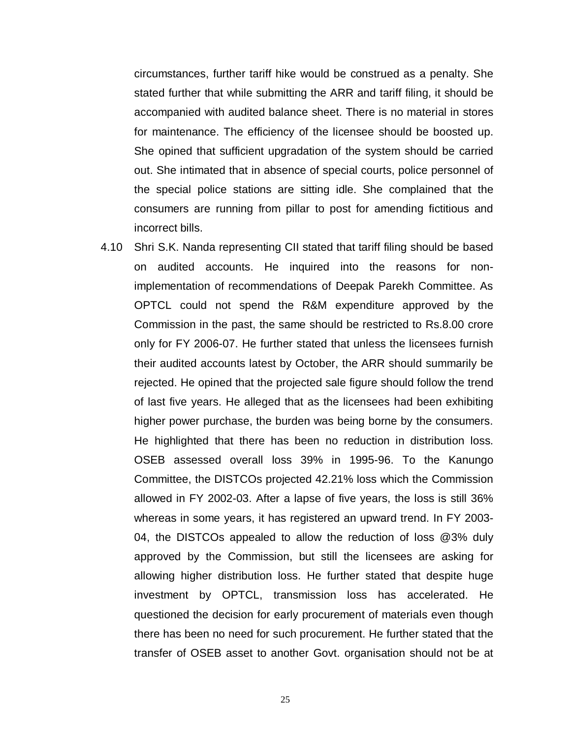circumstances, further tariff hike would be construed as a penalty. She stated further that while submitting the ARR and tariff filing, it should be accompanied with audited balance sheet. There is no material in stores for maintenance. The efficiency of the licensee should be boosted up. She opined that sufficient upgradation of the system should be carried out. She intimated that in absence of special courts, police personnel of the special police stations are sitting idle. She complained that the consumers are running from pillar to post for amending fictitious and incorrect bills.

4.10 Shri S.K. Nanda representing CII stated that tariff filing should be based on audited accounts. He inquired into the reasons for nonimplementation of recommendations of Deepak Parekh Committee. As OPTCL could not spend the R&M expenditure approved by the Commission in the past, the same should be restricted to Rs.8.00 crore only for FY 2006-07. He further stated that unless the licensees furnish their audited accounts latest by October, the ARR should summarily be rejected. He opined that the projected sale figure should follow the trend of last five years. He alleged that as the licensees had been exhibiting higher power purchase, the burden was being borne by the consumers. He highlighted that there has been no reduction in distribution loss. OSEB assessed overall loss 39% in 1995-96. To the Kanungo Committee, the DISTCOs projected 42.21% loss which the Commission allowed in FY 2002-03. After a lapse of five years, the loss is still 36% whereas in some years, it has registered an upward trend. In FY 2003- 04, the DISTCOs appealed to allow the reduction of loss @3% duly approved by the Commission, but still the licensees are asking for allowing higher distribution loss. He further stated that despite huge investment by OPTCL, transmission loss has accelerated. He questioned the decision for early procurement of materials even though there has been no need for such procurement. He further stated that the transfer of OSEB asset to another Govt. organisation should not be at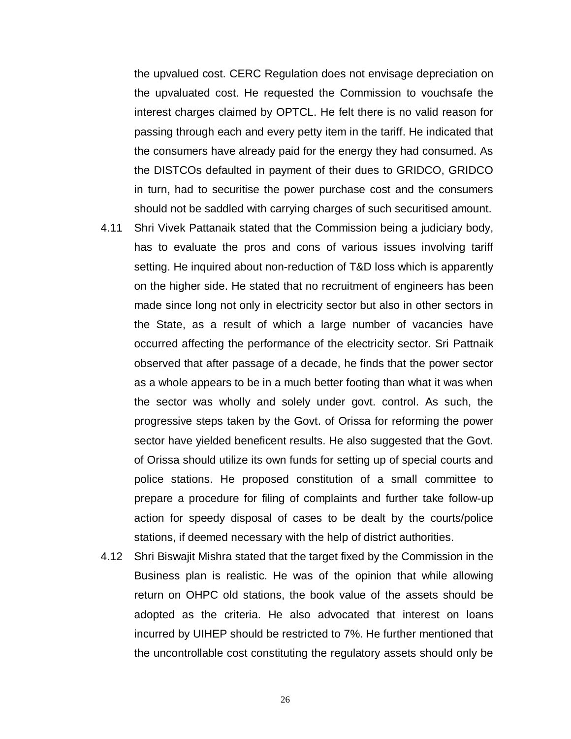the upvalued cost. CERC Regulation does not envisage depreciation on the upvaluated cost. He requested the Commission to vouchsafe the interest charges claimed by OPTCL. He felt there is no valid reason for passing through each and every petty item in the tariff. He indicated that the consumers have already paid for the energy they had consumed. As the DISTCOs defaulted in payment of their dues to GRIDCO, GRIDCO in turn, had to securitise the power purchase cost and the consumers should not be saddled with carrying charges of such securitised amount.

- 4.11 Shri Vivek Pattanaik stated that the Commission being a judiciary body, has to evaluate the pros and cons of various issues involving tariff setting. He inquired about non-reduction of T&D loss which is apparently on the higher side. He stated that no recruitment of engineers has been made since long not only in electricity sector but also in other sectors in the State, as a result of which a large number of vacancies have occurred affecting the performance of the electricity sector. Sri Pattnaik observed that after passage of a decade, he finds that the power sector as a whole appears to be in a much better footing than what it was when the sector was wholly and solely under govt. control. As such, the progressive steps taken by the Govt. of Orissa for reforming the power sector have yielded beneficent results. He also suggested that the Govt. of Orissa should utilize its own funds for setting up of special courts and police stations. He proposed constitution of a small committee to prepare a procedure for filing of complaints and further take follow-up action for speedy disposal of cases to be dealt by the courts/police stations, if deemed necessary with the help of district authorities.
- 4.12 Shri Biswajit Mishra stated that the target fixed by the Commission in the Business plan is realistic. He was of the opinion that while allowing return on OHPC old stations, the book value of the assets should be adopted as the criteria. He also advocated that interest on loans incurred by UIHEP should be restricted to 7%. He further mentioned that the uncontrollable cost constituting the regulatory assets should only be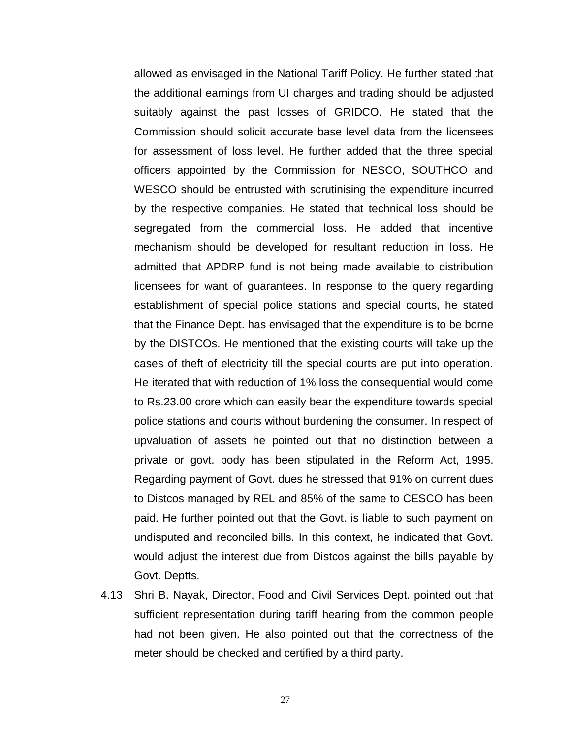allowed as envisaged in the National Tariff Policy. He further stated that the additional earnings from UI charges and trading should be adjusted suitably against the past losses of GRIDCO. He stated that the Commission should solicit accurate base level data from the licensees for assessment of loss level. He further added that the three special officers appointed by the Commission for NESCO, SOUTHCO and WESCO should be entrusted with scrutinising the expenditure incurred by the respective companies. He stated that technical loss should be segregated from the commercial loss. He added that incentive mechanism should be developed for resultant reduction in loss. He admitted that APDRP fund is not being made available to distribution licensees for want of guarantees. In response to the query regarding establishment of special police stations and special courts, he stated that the Finance Dept. has envisaged that the expenditure is to be borne by the DISTCOs. He mentioned that the existing courts will take up the cases of theft of electricity till the special courts are put into operation. He iterated that with reduction of 1% loss the consequential would come to Rs.23.00 crore which can easily bear the expenditure towards special police stations and courts without burdening the consumer. In respect of upvaluation of assets he pointed out that no distinction between a private or govt. body has been stipulated in the Reform Act, 1995. Regarding payment of Govt. dues he stressed that 91% on current dues to Distcos managed by REL and 85% of the same to CESCO has been paid. He further pointed out that the Govt. is liable to such payment on undisputed and reconciled bills. In this context, he indicated that Govt. would adjust the interest due from Distcos against the bills payable by Govt. Deptts.

4.13 Shri B. Nayak, Director, Food and Civil Services Dept. pointed out that sufficient representation during tariff hearing from the common people had not been given. He also pointed out that the correctness of the meter should be checked and certified by a third party.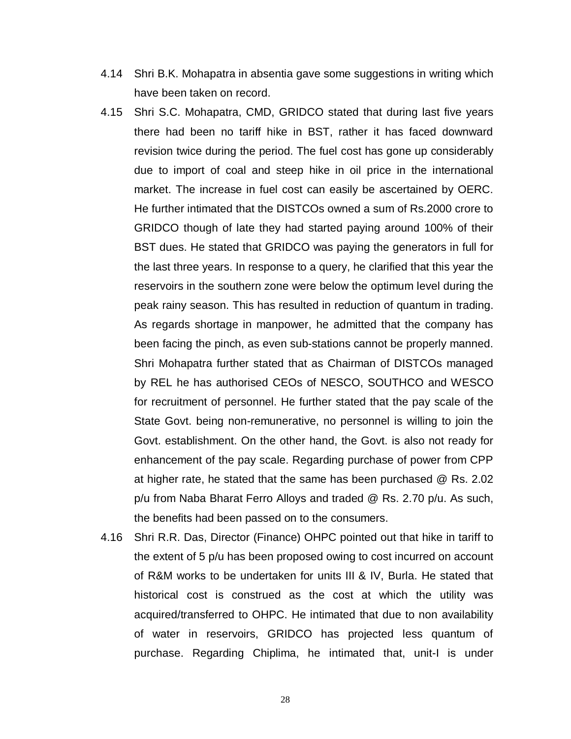- 4.14 Shri B.K. Mohapatra in absentia gave some suggestions in writing which have been taken on record.
- 4.15 Shri S.C. Mohapatra, CMD, GRIDCO stated that during last five years there had been no tariff hike in BST, rather it has faced downward revision twice during the period. The fuel cost has gone up considerably due to import of coal and steep hike in oil price in the international market. The increase in fuel cost can easily be ascertained by OERC. He further intimated that the DISTCOs owned a sum of Rs.2000 crore to GRIDCO though of late they had started paying around 100% of their BST dues. He stated that GRIDCO was paying the generators in full for the last three years. In response to a query, he clarified that this year the reservoirs in the southern zone were below the optimum level during the peak rainy season. This has resulted in reduction of quantum in trading. As regards shortage in manpower, he admitted that the company has been facing the pinch, as even sub-stations cannot be properly manned. Shri Mohapatra further stated that as Chairman of DISTCOs managed by REL he has authorised CEOs of NESCO, SOUTHCO and WESCO for recruitment of personnel. He further stated that the pay scale of the State Govt. being non-remunerative, no personnel is willing to join the Govt. establishment. On the other hand, the Govt. is also not ready for enhancement of the pay scale. Regarding purchase of power from CPP at higher rate, he stated that the same has been purchased @ Rs. 2.02 p/u from Naba Bharat Ferro Alloys and traded @ Rs. 2.70 p/u. As such, the benefits had been passed on to the consumers.
- 4.16 Shri R.R. Das, Director (Finance) OHPC pointed out that hike in tariff to the extent of 5 p/u has been proposed owing to cost incurred on account of R&M works to be undertaken for units III & IV, Burla. He stated that historical cost is construed as the cost at which the utility was acquired/transferred to OHPC. He intimated that due to non availability of water in reservoirs, GRIDCO has projected less quantum of purchase. Regarding Chiplima, he intimated that, unit-I is under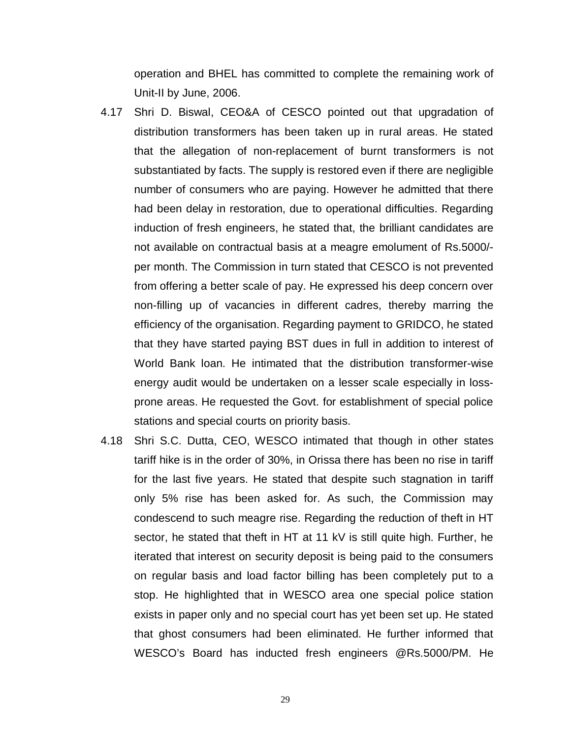operation and BHEL has committed to complete the remaining work of Unit-II by June, 2006.

- 4.17 Shri D. Biswal, CEO&A of CESCO pointed out that upgradation of distribution transformers has been taken up in rural areas. He stated that the allegation of non-replacement of burnt transformers is not substantiated by facts. The supply is restored even if there are negligible number of consumers who are paying. However he admitted that there had been delay in restoration, due to operational difficulties. Regarding induction of fresh engineers, he stated that, the brilliant candidates are not available on contractual basis at a meagre emolument of Rs.5000/ per month. The Commission in turn stated that CESCO is not prevented from offering a better scale of pay. He expressed his deep concern over non-filling up of vacancies in different cadres, thereby marring the efficiency of the organisation. Regarding payment to GRIDCO, he stated that they have started paying BST dues in full in addition to interest of World Bank loan. He intimated that the distribution transformer-wise energy audit would be undertaken on a lesser scale especially in lossprone areas. He requested the Govt. for establishment of special police stations and special courts on priority basis.
- 4.18 Shri S.C. Dutta, CEO, WESCO intimated that though in other states tariff hike is in the order of 30%, in Orissa there has been no rise in tariff for the last five years. He stated that despite such stagnation in tariff only 5% rise has been asked for. As such, the Commission may condescend to such meagre rise. Regarding the reduction of theft in HT sector, he stated that theft in HT at 11 kV is still quite high. Further, he iterated that interest on security deposit is being paid to the consumers on regular basis and load factor billing has been completely put to a stop. He highlighted that in WESCO area one special police station exists in paper only and no special court has yet been set up. He stated that ghost consumers had been eliminated. He further informed that WESCO's Board has inducted fresh engineers @Rs.5000/PM. He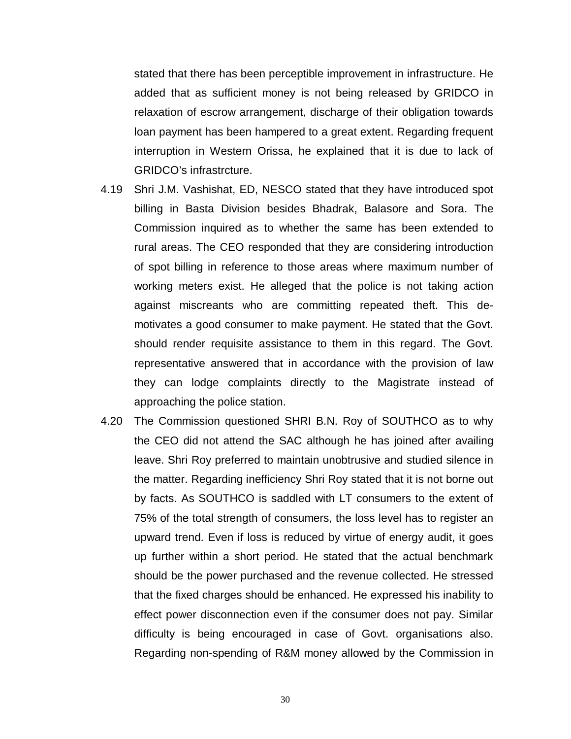stated that there has been perceptible improvement in infrastructure. He added that as sufficient money is not being released by GRIDCO in relaxation of escrow arrangement, discharge of their obligation towards loan payment has been hampered to a great extent. Regarding frequent interruption in Western Orissa, he explained that it is due to lack of GRIDCO's infrastrcture.

- 4.19 Shri J.M. Vashishat, ED, NESCO stated that they have introduced spot billing in Basta Division besides Bhadrak, Balasore and Sora. The Commission inquired as to whether the same has been extended to rural areas. The CEO responded that they are considering introduction of spot billing in reference to those areas where maximum number of working meters exist. He alleged that the police is not taking action against miscreants who are committing repeated theft. This demotivates a good consumer to make payment. He stated that the Govt. should render requisite assistance to them in this regard. The Govt. representative answered that in accordance with the provision of law they can lodge complaints directly to the Magistrate instead of approaching the police station.
- 4.20 The Commission questioned SHRI B.N. Roy of SOUTHCO as to why the CEO did not attend the SAC although he has joined after availing leave. Shri Roy preferred to maintain unobtrusive and studied silence in the matter. Regarding inefficiency Shri Roy stated that it is not borne out by facts. As SOUTHCO is saddled with LT consumers to the extent of 75% of the total strength of consumers, the loss level has to register an upward trend. Even if loss is reduced by virtue of energy audit, it goes up further within a short period. He stated that the actual benchmark should be the power purchased and the revenue collected. He stressed that the fixed charges should be enhanced. He expressed his inability to effect power disconnection even if the consumer does not pay. Similar difficulty is being encouraged in case of Govt. organisations also. Regarding non-spending of R&M money allowed by the Commission in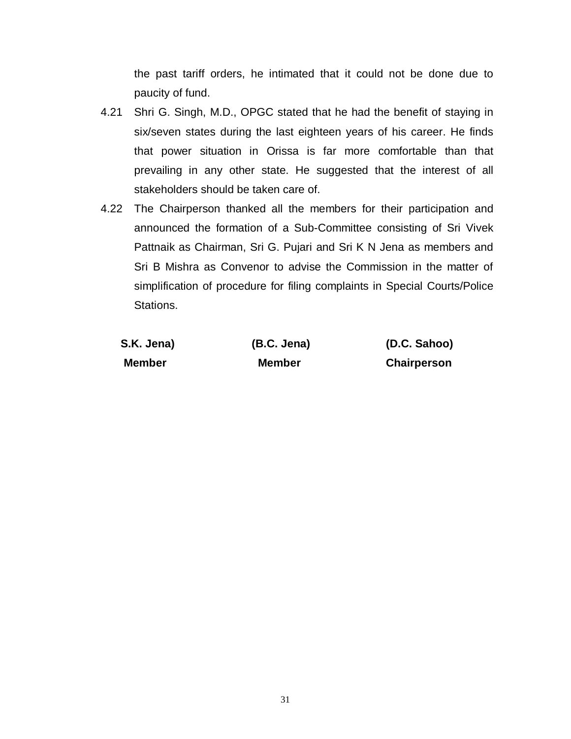the past tariff orders, he intimated that it could not be done due to paucity of fund.

- 4.21 Shri G. Singh, M.D., OPGC stated that he had the benefit of staying in six/seven states during the last eighteen years of his career. He finds that power situation in Orissa is far more comfortable than that prevailing in any other state. He suggested that the interest of all stakeholders should be taken care of.
- 4.22 The Chairperson thanked all the members for their participation and announced the formation of a Sub-Committee consisting of Sri Vivek Pattnaik as Chairman, Sri G. Pujari and Sri K N Jena as members and Sri B Mishra as Convenor to advise the Commission in the matter of simplification of procedure for filing complaints in Special Courts/Police Stations.

| S.K. Jena) | (B.C. Jena)   | (D.C. Sahoo)       |
|------------|---------------|--------------------|
| Member     | <b>Member</b> | <b>Chairperson</b> |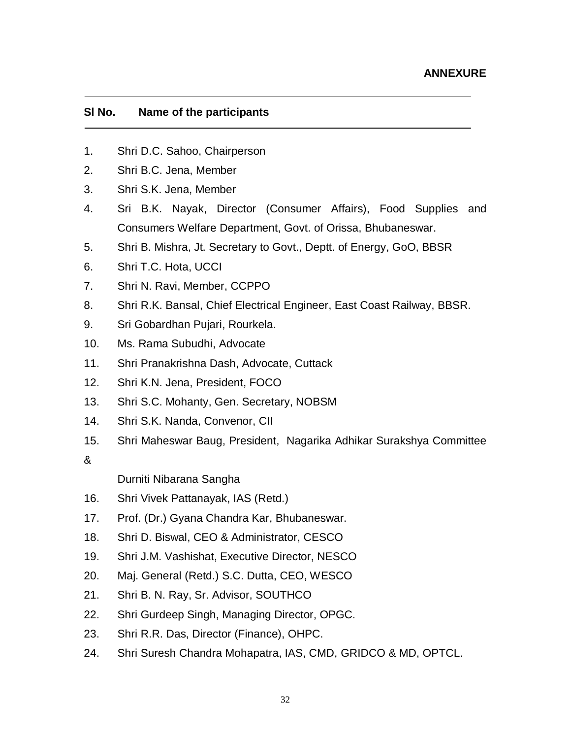### **Sl No. Name of the participants**

- 1. Shri D.C. Sahoo, Chairperson
- 2. Shri B.C. Jena, Member
- 3. Shri S.K. Jena, Member
- 4. Sri B.K. Nayak, Director (Consumer Affairs), Food Supplies and Consumers Welfare Department, Govt. of Orissa, Bhubaneswar.
- 5. Shri B. Mishra, Jt. Secretary to Govt., Deptt. of Energy, GoO, BBSR
- 6. Shri T.C. Hota, UCCI
- 7. Shri N. Ravi, Member, CCPPO
- 8. Shri R.K. Bansal, Chief Electrical Engineer, East Coast Railway, BBSR.
- 9. Sri Gobardhan Pujari, Rourkela.
- 10. Ms. Rama Subudhi, Advocate
- 11. Shri Pranakrishna Dash, Advocate, Cuttack
- 12. Shri K.N. Jena, President, FOCO
- 13. Shri S.C. Mohanty, Gen. Secretary, NOBSM
- 14. Shri S.K. Nanda, Convenor, CII
- 15. Shri Maheswar Baug, President, Nagarika Adhikar Surakshya Committee

# &

Durniti Nibarana Sangha

- 16. Shri Vivek Pattanayak, IAS (Retd.)
- 17. Prof. (Dr.) Gyana Chandra Kar, Bhubaneswar.
- 18. Shri D. Biswal, CEO & Administrator, CESCO
- 19. Shri J.M. Vashishat, Executive Director, NESCO
- 20. Maj. General (Retd.) S.C. Dutta, CEO, WESCO
- 21. Shri B. N. Ray, Sr. Advisor, SOUTHCO
- 22. Shri Gurdeep Singh, Managing Director, OPGC.
- 23. Shri R.R. Das, Director (Finance), OHPC.
- 24. Shri Suresh Chandra Mohapatra, IAS, CMD, GRIDCO & MD, OPTCL.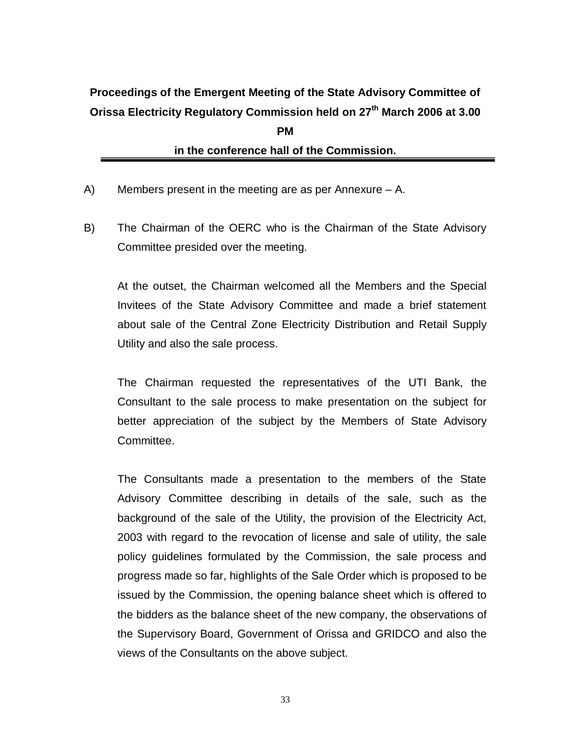# **Proceedings of the Emergent Meeting of the State Advisory Committee of Orissa Electricity Regulatory Commission held on 27th March 2006 at 3.00 PM in the conference hall of the Commission.**

- A) Members present in the meeting are as per Annexure A.
- B) The Chairman of the OERC who is the Chairman of the State Advisory Committee presided over the meeting.

At the outset, the Chairman welcomed all the Members and the Special Invitees of the State Advisory Committee and made a brief statement about sale of the Central Zone Electricity Distribution and Retail Supply Utility and also the sale process.

The Chairman requested the representatives of the UTI Bank, the Consultant to the sale process to make presentation on the subject for better appreciation of the subject by the Members of State Advisory Committee.

The Consultants made a presentation to the members of the State Advisory Committee describing in details of the sale, such as the background of the sale of the Utility, the provision of the Electricity Act, 2003 with regard to the revocation of license and sale of utility, the sale policy guidelines formulated by the Commission, the sale process and progress made so far, highlights of the Sale Order which is proposed to be issued by the Commission, the opening balance sheet which is offered to the bidders as the balance sheet of the new company, the observations of the Supervisory Board, Government of Orissa and GRIDCO and also the views of the Consultants on the above subject.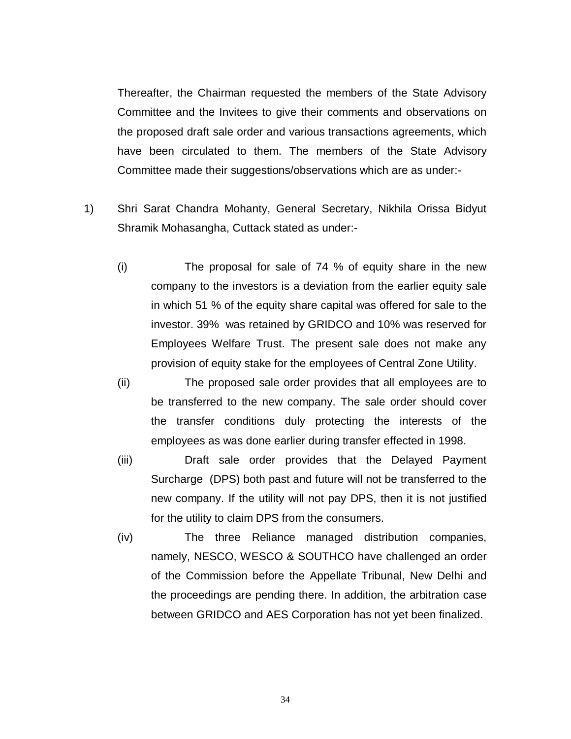Thereafter, the Chairman requested the members of the State Advisory Committee and the Invitees to give their comments and observations on the proposed draft sale order and various transactions agreements, which have been circulated to them. The members of the State Advisory Committee made their suggestions/observations which are as under:-

- 1) Shri Sarat Chandra Mohanty, General Secretary, Nikhila Orissa Bidyut Shramik Mohasangha, Cuttack stated as under:-
	- (i) The proposal for sale of 74 % of equity share in the new company to the investors is a deviation from the earlier equity sale in which 51 % of the equity share capital was offered for sale to the investor. 39% was retained by GRIDCO and 10% was reserved for Employees Welfare Trust. The present sale does not make any provision of equity stake for the employees of Central Zone Utility.
	- (ii) The proposed sale order provides that all employees are to be transferred to the new company. The sale order should cover the transfer conditions duly protecting the interests of the employees as was done earlier during transfer effected in 1998.
	- (iii) Draft sale order provides that the Delayed Payment Surcharge (DPS) both past and future will not be transferred to the new company. If the utility will not pay DPS, then it is not justified for the utility to claim DPS from the consumers.
	- (iv) The three Reliance managed distribution companies, namely, NESCO, WESCO & SOUTHCO have challenged an order of the Commission before the Appellate Tribunal, New Delhi and the proceedings are pending there. In addition, the arbitration case between GRIDCO and AES Corporation has not yet been finalized.

34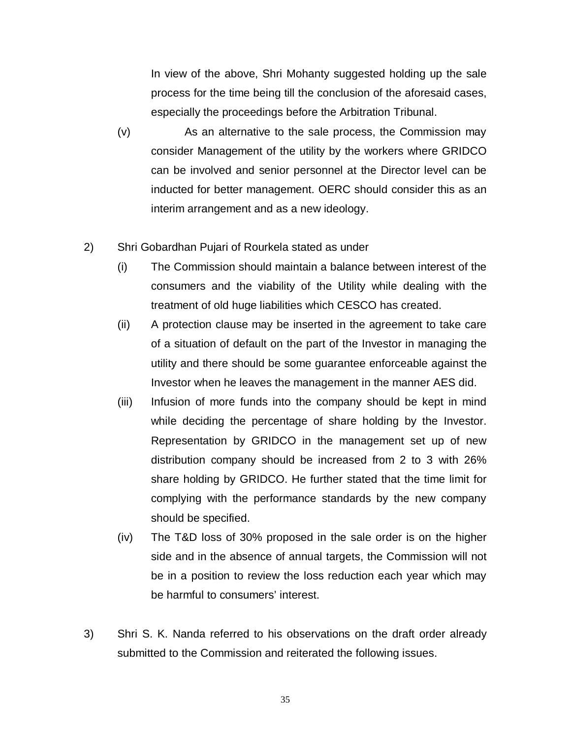In view of the above, Shri Mohanty suggested holding up the sale process for the time being till the conclusion of the aforesaid cases, especially the proceedings before the Arbitration Tribunal.

- (v) As an alternative to the sale process, the Commission may consider Management of the utility by the workers where GRIDCO can be involved and senior personnel at the Director level can be inducted for better management. OERC should consider this as an interim arrangement and as a new ideology.
- 2) Shri Gobardhan Pujari of Rourkela stated as under
	- (i) The Commission should maintain a balance between interest of the consumers and the viability of the Utility while dealing with the treatment of old huge liabilities which CESCO has created.
	- (ii) A protection clause may be inserted in the agreement to take care of a situation of default on the part of the Investor in managing the utility and there should be some guarantee enforceable against the Investor when he leaves the management in the manner AES did.
	- (iii) Infusion of more funds into the company should be kept in mind while deciding the percentage of share holding by the Investor. Representation by GRIDCO in the management set up of new distribution company should be increased from 2 to 3 with 26% share holding by GRIDCO. He further stated that the time limit for complying with the performance standards by the new company should be specified.
	- (iv) The T&D loss of 30% proposed in the sale order is on the higher side and in the absence of annual targets, the Commission will not be in a position to review the loss reduction each year which may be harmful to consumers' interest.
- 3) Shri S. K. Nanda referred to his observations on the draft order already submitted to the Commission and reiterated the following issues.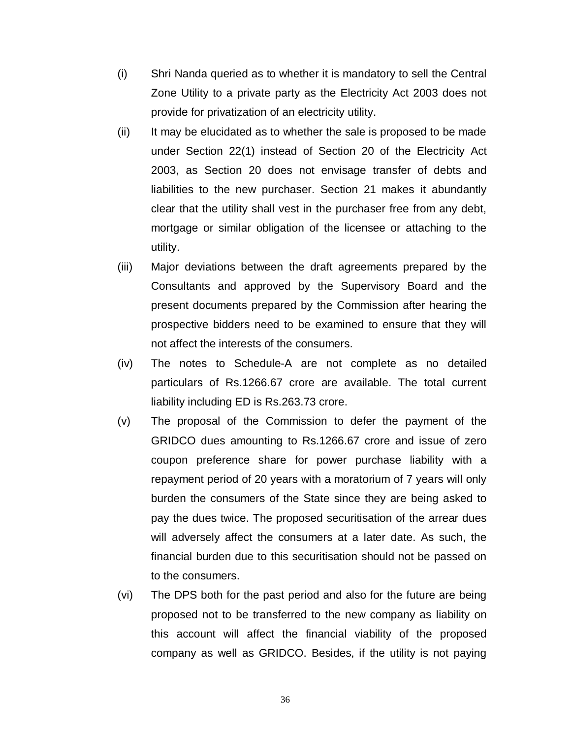- (i) Shri Nanda queried as to whether it is mandatory to sell the Central Zone Utility to a private party as the Electricity Act 2003 does not provide for privatization of an electricity utility.
- (ii) It may be elucidated as to whether the sale is proposed to be made under Section 22(1) instead of Section 20 of the Electricity Act 2003, as Section 20 does not envisage transfer of debts and liabilities to the new purchaser. Section 21 makes it abundantly clear that the utility shall vest in the purchaser free from any debt, mortgage or similar obligation of the licensee or attaching to the utility.
- (iii) Major deviations between the draft agreements prepared by the Consultants and approved by the Supervisory Board and the present documents prepared by the Commission after hearing the prospective bidders need to be examined to ensure that they will not affect the interests of the consumers.
- (iv) The notes to Schedule-A are not complete as no detailed particulars of Rs.1266.67 crore are available. The total current liability including ED is Rs.263.73 crore.
- (v) The proposal of the Commission to defer the payment of the GRIDCO dues amounting to Rs.1266.67 crore and issue of zero coupon preference share for power purchase liability with a repayment period of 20 years with a moratorium of 7 years will only burden the consumers of the State since they are being asked to pay the dues twice. The proposed securitisation of the arrear dues will adversely affect the consumers at a later date. As such, the financial burden due to this securitisation should not be passed on to the consumers.
- (vi) The DPS both for the past period and also for the future are being proposed not to be transferred to the new company as liability on this account will affect the financial viability of the proposed company as well as GRIDCO. Besides, if the utility is not paying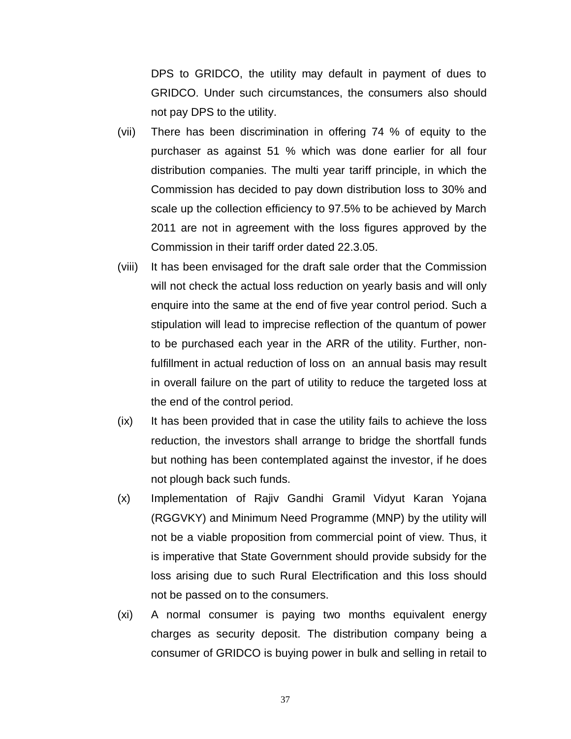DPS to GRIDCO, the utility may default in payment of dues to GRIDCO. Under such circumstances, the consumers also should not pay DPS to the utility.

- (vii) There has been discrimination in offering 74 % of equity to the purchaser as against 51 % which was done earlier for all four distribution companies. The multi year tariff principle, in which the Commission has decided to pay down distribution loss to 30% and scale up the collection efficiency to 97.5% to be achieved by March 2011 are not in agreement with the loss figures approved by the Commission in their tariff order dated 22.3.05.
- (viii) It has been envisaged for the draft sale order that the Commission will not check the actual loss reduction on yearly basis and will only enquire into the same at the end of five year control period. Such a stipulation will lead to imprecise reflection of the quantum of power to be purchased each year in the ARR of the utility. Further, nonfulfillment in actual reduction of loss on an annual basis may result in overall failure on the part of utility to reduce the targeted loss at the end of the control period.
- (ix) It has been provided that in case the utility fails to achieve the loss reduction, the investors shall arrange to bridge the shortfall funds but nothing has been contemplated against the investor, if he does not plough back such funds.
- (x) Implementation of Rajiv Gandhi Gramil Vidyut Karan Yojana (RGGVKY) and Minimum Need Programme (MNP) by the utility will not be a viable proposition from commercial point of view. Thus, it is imperative that State Government should provide subsidy for the loss arising due to such Rural Electrification and this loss should not be passed on to the consumers.
- (xi) A normal consumer is paying two months equivalent energy charges as security deposit. The distribution company being a consumer of GRIDCO is buying power in bulk and selling in retail to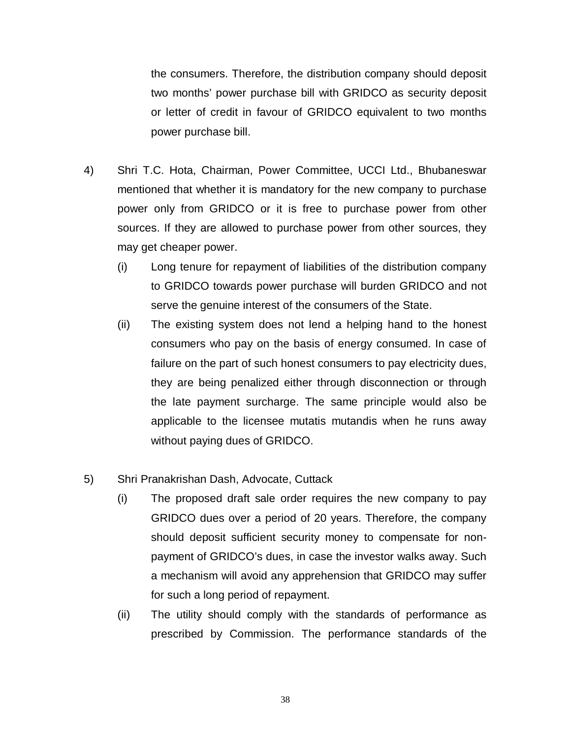the consumers. Therefore, the distribution company should deposit two months' power purchase bill with GRIDCO as security deposit or letter of credit in favour of GRIDCO equivalent to two months power purchase bill.

- 4) Shri T.C. Hota, Chairman, Power Committee, UCCI Ltd., Bhubaneswar mentioned that whether it is mandatory for the new company to purchase power only from GRIDCO or it is free to purchase power from other sources. If they are allowed to purchase power from other sources, they may get cheaper power.
	- (i) Long tenure for repayment of liabilities of the distribution company to GRIDCO towards power purchase will burden GRIDCO and not serve the genuine interest of the consumers of the State.
	- (ii) The existing system does not lend a helping hand to the honest consumers who pay on the basis of energy consumed. In case of failure on the part of such honest consumers to pay electricity dues, they are being penalized either through disconnection or through the late payment surcharge. The same principle would also be applicable to the licensee mutatis mutandis when he runs away without paying dues of GRIDCO.
- 5) Shri Pranakrishan Dash, Advocate, Cuttack
	- (i) The proposed draft sale order requires the new company to pay GRIDCO dues over a period of 20 years. Therefore, the company should deposit sufficient security money to compensate for nonpayment of GRIDCO's dues, in case the investor walks away. Such a mechanism will avoid any apprehension that GRIDCO may suffer for such a long period of repayment.
	- (ii) The utility should comply with the standards of performance as prescribed by Commission. The performance standards of the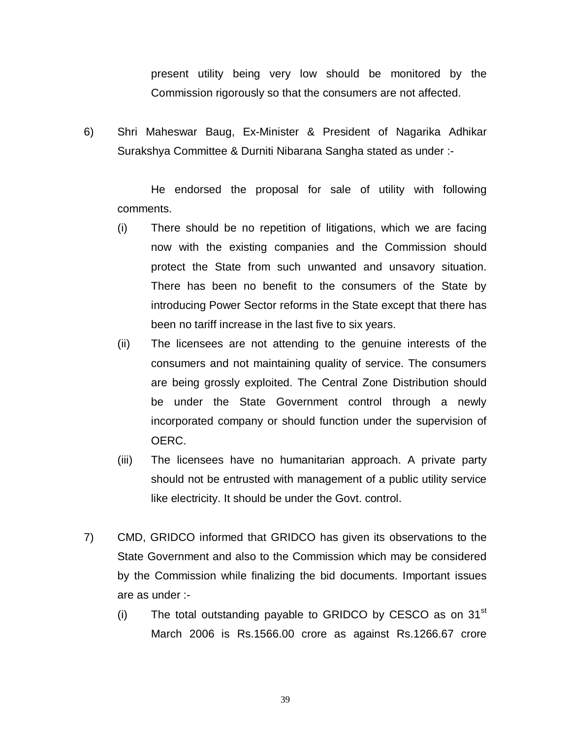present utility being very low should be monitored by the Commission rigorously so that the consumers are not affected.

6) Shri Maheswar Baug, Ex-Minister & President of Nagarika Adhikar Surakshya Committee & Durniti Nibarana Sangha stated as under :-

He endorsed the proposal for sale of utility with following comments.

- (i) There should be no repetition of litigations, which we are facing now with the existing companies and the Commission should protect the State from such unwanted and unsavory situation. There has been no benefit to the consumers of the State by introducing Power Sector reforms in the State except that there has been no tariff increase in the last five to six years.
- (ii) The licensees are not attending to the genuine interests of the consumers and not maintaining quality of service. The consumers are being grossly exploited. The Central Zone Distribution should be under the State Government control through a newly incorporated company or should function under the supervision of OERC.
- (iii) The licensees have no humanitarian approach. A private party should not be entrusted with management of a public utility service like electricity. It should be under the Govt. control.
- 7) CMD, GRIDCO informed that GRIDCO has given its observations to the State Government and also to the Commission which may be considered by the Commission while finalizing the bid documents. Important issues are as under :-
	- $(i)$  The total outstanding payable to GRIDCO by CESCO as on 31 $^{\rm st}$ March 2006 is Rs.1566.00 crore as against Rs.1266.67 crore

39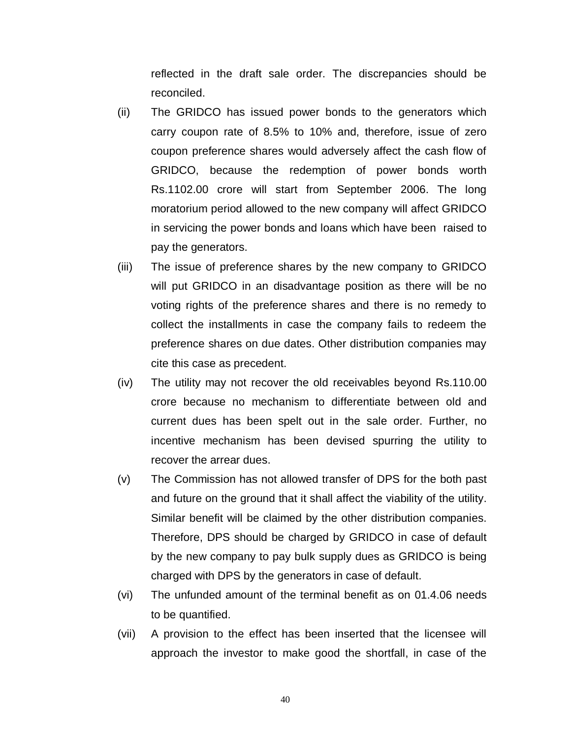reflected in the draft sale order. The discrepancies should be reconciled.

- (ii) The GRIDCO has issued power bonds to the generators which carry coupon rate of 8.5% to 10% and, therefore, issue of zero coupon preference shares would adversely affect the cash flow of GRIDCO, because the redemption of power bonds worth Rs.1102.00 crore will start from September 2006. The long moratorium period allowed to the new company will affect GRIDCO in servicing the power bonds and loans which have been raised to pay the generators.
- (iii) The issue of preference shares by the new company to GRIDCO will put GRIDCO in an disadvantage position as there will be no voting rights of the preference shares and there is no remedy to collect the installments in case the company fails to redeem the preference shares on due dates. Other distribution companies may cite this case as precedent.
- (iv) The utility may not recover the old receivables beyond Rs.110.00 crore because no mechanism to differentiate between old and current dues has been spelt out in the sale order. Further, no incentive mechanism has been devised spurring the utility to recover the arrear dues.
- (v) The Commission has not allowed transfer of DPS for the both past and future on the ground that it shall affect the viability of the utility. Similar benefit will be claimed by the other distribution companies. Therefore, DPS should be charged by GRIDCO in case of default by the new company to pay bulk supply dues as GRIDCO is being charged with DPS by the generators in case of default.
- (vi) The unfunded amount of the terminal benefit as on 01.4.06 needs to be quantified.
- (vii) A provision to the effect has been inserted that the licensee will approach the investor to make good the shortfall, in case of the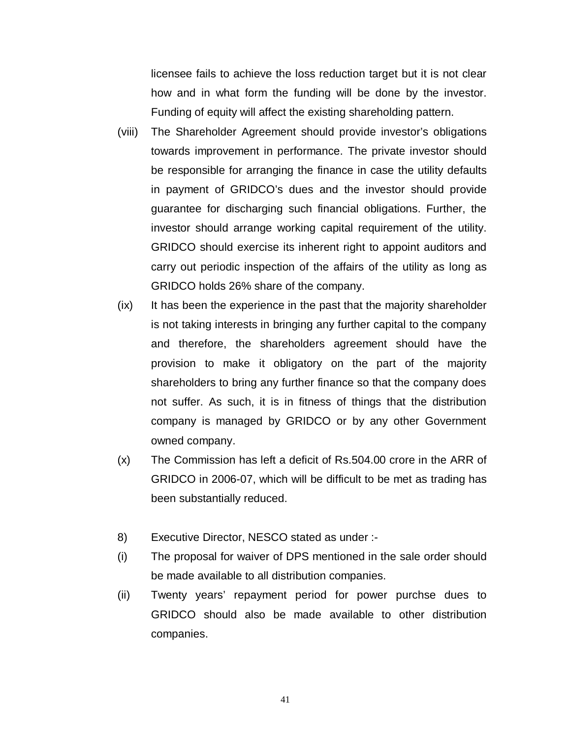licensee fails to achieve the loss reduction target but it is not clear how and in what form the funding will be done by the investor. Funding of equity will affect the existing shareholding pattern.

- (viii) The Shareholder Agreement should provide investor's obligations towards improvement in performance. The private investor should be responsible for arranging the finance in case the utility defaults in payment of GRIDCO's dues and the investor should provide guarantee for discharging such financial obligations. Further, the investor should arrange working capital requirement of the utility. GRIDCO should exercise its inherent right to appoint auditors and carry out periodic inspection of the affairs of the utility as long as GRIDCO holds 26% share of the company.
- (ix) It has been the experience in the past that the majority shareholder is not taking interests in bringing any further capital to the company and therefore, the shareholders agreement should have the provision to make it obligatory on the part of the majority shareholders to bring any further finance so that the company does not suffer. As such, it is in fitness of things that the distribution company is managed by GRIDCO or by any other Government owned company.
- (x) The Commission has left a deficit of Rs.504.00 crore in the ARR of GRIDCO in 2006-07, which will be difficult to be met as trading has been substantially reduced.
- 8) Executive Director, NESCO stated as under :-
- (i) The proposal for waiver of DPS mentioned in the sale order should be made available to all distribution companies.
- (ii) Twenty years' repayment period for power purchse dues to GRIDCO should also be made available to other distribution companies.

41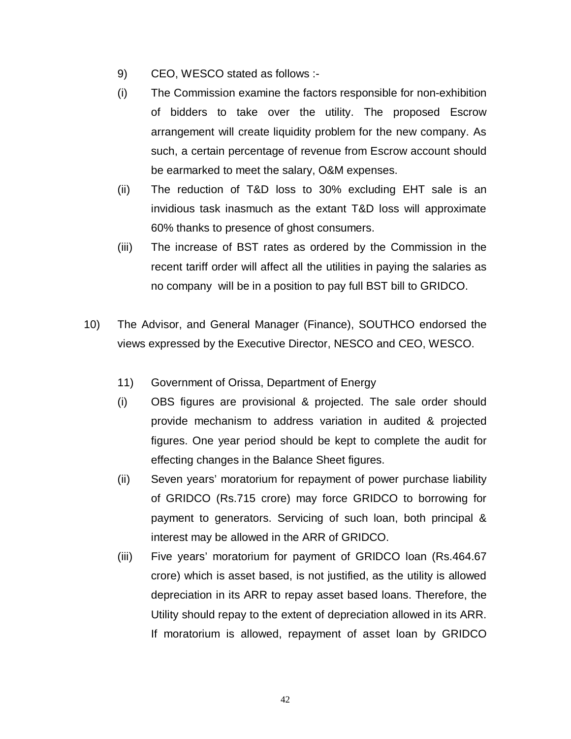- 9) CEO, WESCO stated as follows :-
- (i) The Commission examine the factors responsible for non-exhibition of bidders to take over the utility. The proposed Escrow arrangement will create liquidity problem for the new company. As such, a certain percentage of revenue from Escrow account should be earmarked to meet the salary, O&M expenses.
- (ii) The reduction of T&D loss to 30% excluding EHT sale is an invidious task inasmuch as the extant T&D loss will approximate 60% thanks to presence of ghost consumers.
- (iii) The increase of BST rates as ordered by the Commission in the recent tariff order will affect all the utilities in paying the salaries as no company will be in a position to pay full BST bill to GRIDCO.
- 10) The Advisor, and General Manager (Finance), SOUTHCO endorsed the views expressed by the Executive Director, NESCO and CEO, WESCO.
	- 11) Government of Orissa, Department of Energy
	- (i) OBS figures are provisional & projected. The sale order should provide mechanism to address variation in audited & projected figures. One year period should be kept to complete the audit for effecting changes in the Balance Sheet figures.
	- (ii) Seven years' moratorium for repayment of power purchase liability of GRIDCO (Rs.715 crore) may force GRIDCO to borrowing for payment to generators. Servicing of such loan, both principal & interest may be allowed in the ARR of GRIDCO.
	- (iii) Five years' moratorium for payment of GRIDCO loan (Rs.464.67 crore) which is asset based, is not justified, as the utility is allowed depreciation in its ARR to repay asset based loans. Therefore, the Utility should repay to the extent of depreciation allowed in its ARR. If moratorium is allowed, repayment of asset loan by GRIDCO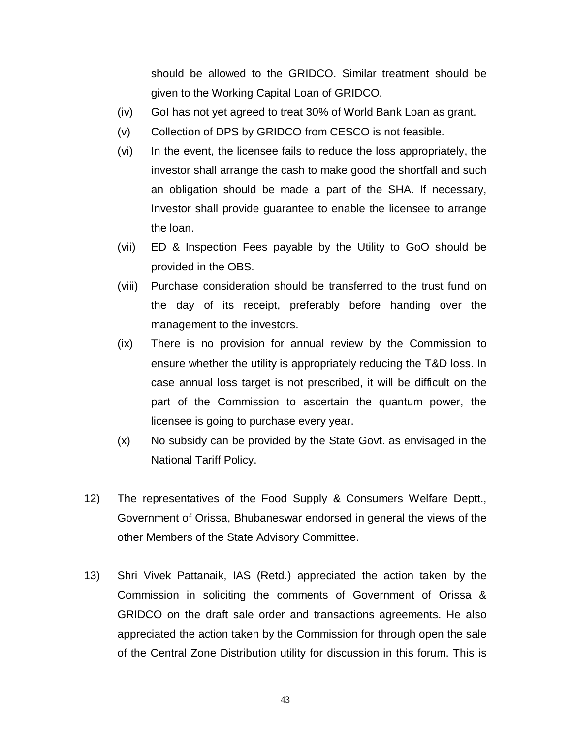should be allowed to the GRIDCO. Similar treatment should be given to the Working Capital Loan of GRIDCO.

- (iv) GoI has not yet agreed to treat 30% of World Bank Loan as grant.
- (v) Collection of DPS by GRIDCO from CESCO is not feasible.
- (vi) In the event, the licensee fails to reduce the loss appropriately, the investor shall arrange the cash to make good the shortfall and such an obligation should be made a part of the SHA. If necessary, Investor shall provide guarantee to enable the licensee to arrange the loan.
- (vii) ED & Inspection Fees payable by the Utility to GoO should be provided in the OBS.
- (viii) Purchase consideration should be transferred to the trust fund on the day of its receipt, preferably before handing over the management to the investors.
- (ix) There is no provision for annual review by the Commission to ensure whether the utility is appropriately reducing the T&D loss. In case annual loss target is not prescribed, it will be difficult on the part of the Commission to ascertain the quantum power, the licensee is going to purchase every year.
- (x) No subsidy can be provided by the State Govt. as envisaged in the National Tariff Policy.
- 12) The representatives of the Food Supply & Consumers Welfare Deptt., Government of Orissa, Bhubaneswar endorsed in general the views of the other Members of the State Advisory Committee.
- 13) Shri Vivek Pattanaik, IAS (Retd.) appreciated the action taken by the Commission in soliciting the comments of Government of Orissa & GRIDCO on the draft sale order and transactions agreements. He also appreciated the action taken by the Commission for through open the sale of the Central Zone Distribution utility for discussion in this forum. This is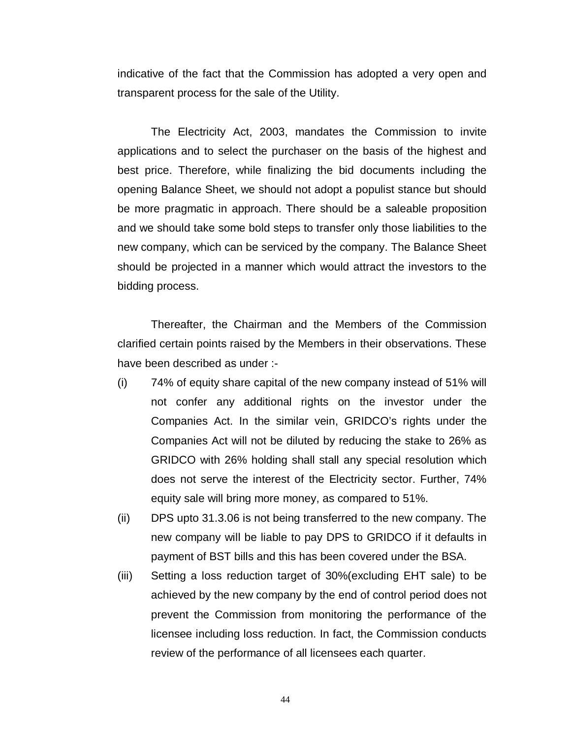indicative of the fact that the Commission has adopted a very open and transparent process for the sale of the Utility.

The Electricity Act, 2003, mandates the Commission to invite applications and to select the purchaser on the basis of the highest and best price. Therefore, while finalizing the bid documents including the opening Balance Sheet, we should not adopt a populist stance but should be more pragmatic in approach. There should be a saleable proposition and we should take some bold steps to transfer only those liabilities to the new company, which can be serviced by the company. The Balance Sheet should be projected in a manner which would attract the investors to the bidding process.

Thereafter, the Chairman and the Members of the Commission clarified certain points raised by the Members in their observations. These have been described as under :-

- (i) 74% of equity share capital of the new company instead of 51% will not confer any additional rights on the investor under the Companies Act. In the similar vein, GRIDCO's rights under the Companies Act will not be diluted by reducing the stake to 26% as GRIDCO with 26% holding shall stall any special resolution which does not serve the interest of the Electricity sector. Further, 74% equity sale will bring more money, as compared to 51%.
- (ii) DPS upto 31.3.06 is not being transferred to the new company. The new company will be liable to pay DPS to GRIDCO if it defaults in payment of BST bills and this has been covered under the BSA.
- (iii) Setting a loss reduction target of 30%(excluding EHT sale) to be achieved by the new company by the end of control period does not prevent the Commission from monitoring the performance of the licensee including loss reduction. In fact, the Commission conducts review of the performance of all licensees each quarter.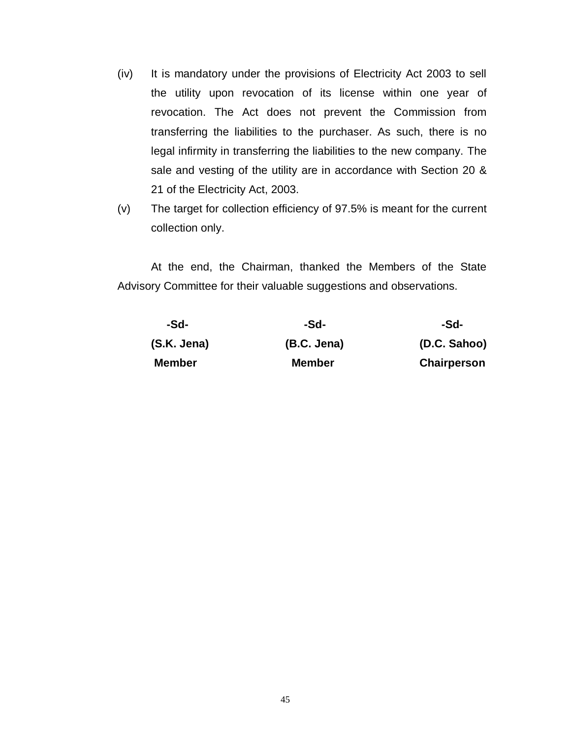- (iv) It is mandatory under the provisions of Electricity Act 2003 to sell the utility upon revocation of its license within one year of revocation. The Act does not prevent the Commission from transferring the liabilities to the purchaser. As such, there is no legal infirmity in transferring the liabilities to the new company. The sale and vesting of the utility are in accordance with Section 20 & 21 of the Electricity Act, 2003.
- (v) The target for collection efficiency of 97.5% is meant for the current collection only.

At the end, the Chairman, thanked the Members of the State Advisory Committee for their valuable suggestions and observations.

| -Sd-          | -Sd-          | -Sd-               |
|---------------|---------------|--------------------|
| (S.K. Jena)   | (B.C. Jena)   | (D.C. Sahoo)       |
| <b>Member</b> | <b>Member</b> | <b>Chairperson</b> |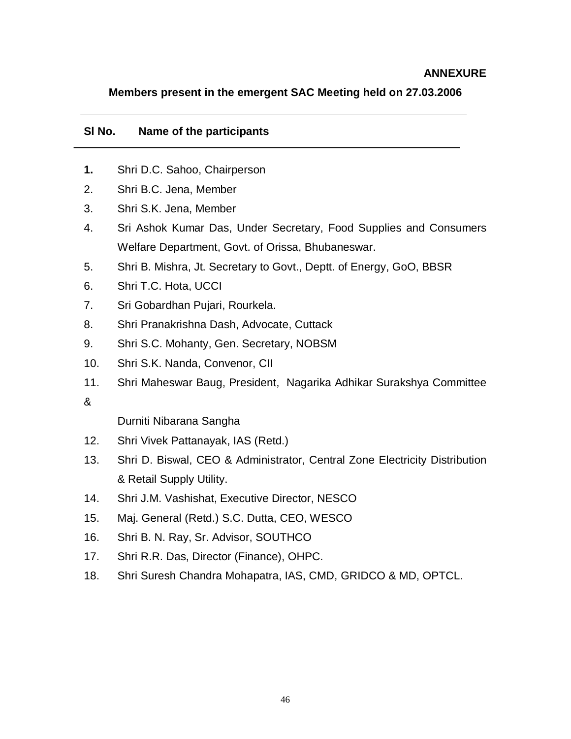#### **ANNEXURE**

#### **Members present in the emergent SAC Meeting held on 27.03.2006**

#### **Sl No. Name of the participants**

- **1.** Shri D.C. Sahoo, Chairperson
- 2. Shri B.C. Jena, Member
- 3. Shri S.K. Jena, Member
- 4. Sri Ashok Kumar Das, Under Secretary, Food Supplies and Consumers Welfare Department, Govt. of Orissa, Bhubaneswar.
- 5. Shri B. Mishra, Jt. Secretary to Govt., Deptt. of Energy, GoO, BBSR
- 6. Shri T.C. Hota, UCCI
- 7. Sri Gobardhan Pujari, Rourkela.
- 8. Shri Pranakrishna Dash, Advocate, Cuttack
- 9. Shri S.C. Mohanty, Gen. Secretary, NOBSM
- 10. Shri S.K. Nanda, Convenor, CII
- 11. Shri Maheswar Baug, President, Nagarika Adhikar Surakshya Committee

&

Durniti Nibarana Sangha

- 12. Shri Vivek Pattanayak, IAS (Retd.)
- 13. Shri D. Biswal, CEO & Administrator, Central Zone Electricity Distribution & Retail Supply Utility.
- 14. Shri J.M. Vashishat, Executive Director, NESCO
- 15. Maj. General (Retd.) S.C. Dutta, CEO, WESCO
- 16. Shri B. N. Ray, Sr. Advisor, SOUTHCO
- 17. Shri R.R. Das, Director (Finance), OHPC.
- 18. Shri Suresh Chandra Mohapatra, IAS, CMD, GRIDCO & MD, OPTCL.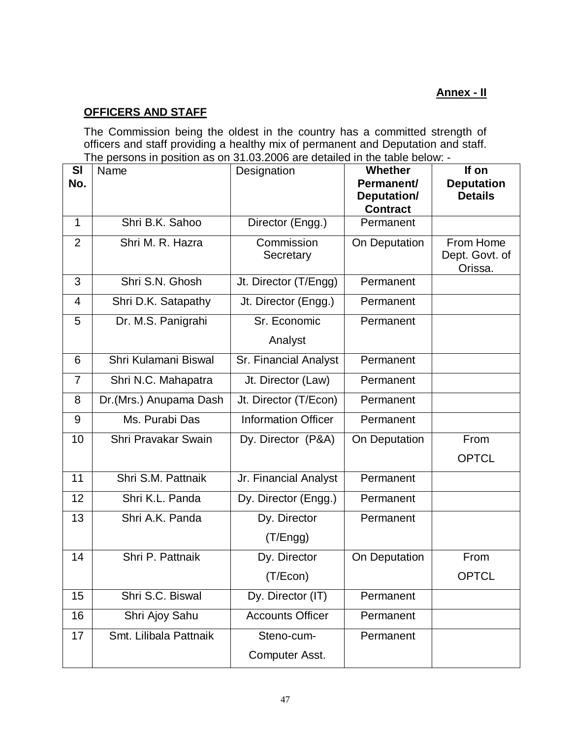# **Annex - II**

# **OFFICERS AND STAFF**

The Commission being the oldest in the country has a committed strength of officers and staff providing a healthy mix of permanent and Deputation and staff. The persons in position as on 31.03.2006 are detailed in the table below: -

| <b>SI</b>      | Name                   | Designation                | Whether         | If on                               |
|----------------|------------------------|----------------------------|-----------------|-------------------------------------|
| No.            |                        | Permanent/<br>Deputation/  |                 | <b>Deputation</b><br><b>Details</b> |
|                |                        |                            | <b>Contract</b> |                                     |
| $\mathbf{1}$   | Shri B.K. Sahoo        | Director (Engg.)           | Permanent       |                                     |
| $\overline{2}$ | Shri M. R. Hazra       | Commission<br>Secretary    | On Deputation   | From Home<br>Dept. Govt. of         |
|                |                        |                            |                 | Orissa.                             |
| 3              | Shri S.N. Ghosh        | Jt. Director (T/Engg)      | Permanent       |                                     |
| 4              | Shri D.K. Satapathy    | Jt. Director (Engg.)       | Permanent       |                                     |
| 5              | Dr. M.S. Panigrahi     | Sr. Economic               | Permanent       |                                     |
|                |                        | Analyst                    |                 |                                     |
| 6              | Shri Kulamani Biswal   | Sr. Financial Analyst      | Permanent       |                                     |
| $\overline{7}$ | Shri N.C. Mahapatra    | Jt. Director (Law)         | Permanent       |                                     |
| 8              | Dr.(Mrs.) Anupama Dash | Jt. Director (T/Econ)      | Permanent       |                                     |
| 9              | Ms. Purabi Das         | <b>Information Officer</b> | Permanent       |                                     |
| 10             | Shri Pravakar Swain    | Dy. Director (P&A)         | On Deputation   | From                                |
|                |                        |                            |                 | <b>OPTCL</b>                        |
| 11             | Shri S.M. Pattnaik     | Jr. Financial Analyst      | Permanent       |                                     |
| 12             | Shri K.L. Panda        | Dy. Director (Engg.)       | Permanent       |                                     |
| 13             | Shri A.K. Panda        | Dy. Director               | Permanent       |                                     |
|                |                        | (T/Eng)                    |                 |                                     |
| 14             | Shri P. Pattnaik       | Dy. Director               | On Deputation   | From                                |
|                |                        | (T/Econ)                   |                 | <b>OPTCL</b>                        |
| 15             | Shri S.C. Biswal       | Dy. Director (IT)          | Permanent       |                                     |
| 16             | Shri Ajoy Sahu         | <b>Accounts Officer</b>    | Permanent       |                                     |
| 17             | Smt. Lilibala Pattnaik | Steno-cum-                 | Permanent       |                                     |
|                |                        | Computer Asst.             |                 |                                     |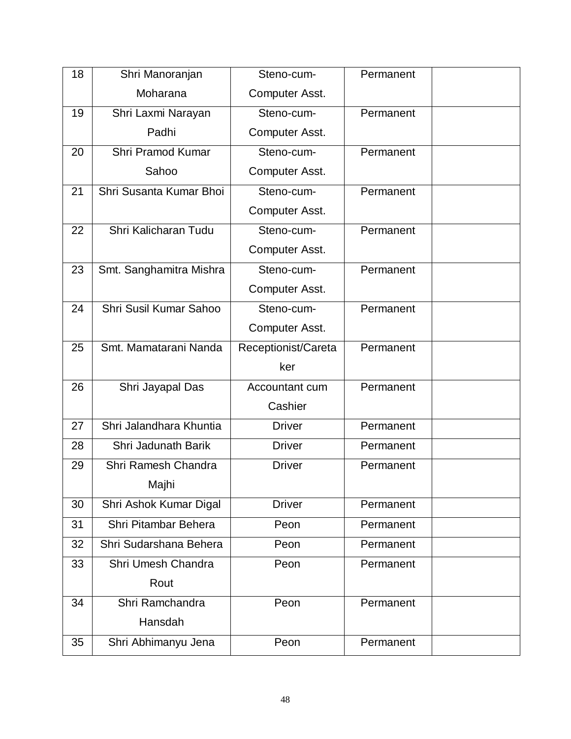| 18 | Shri Manoranjan         | Steno-cum-          | Permanent |  |
|----|-------------------------|---------------------|-----------|--|
|    | Moharana                | Computer Asst.      |           |  |
| 19 | Shri Laxmi Narayan      | Steno-cum-          | Permanent |  |
|    | Padhi                   | Computer Asst.      |           |  |
| 20 | Shri Pramod Kumar       | Steno-cum-          | Permanent |  |
|    | Sahoo                   | Computer Asst.      |           |  |
| 21 | Shri Susanta Kumar Bhoi | Steno-cum-          | Permanent |  |
|    |                         | Computer Asst.      |           |  |
| 22 | Shri Kalicharan Tudu    | Steno-cum-          | Permanent |  |
|    |                         | Computer Asst.      |           |  |
| 23 | Smt. Sanghamitra Mishra | Steno-cum-          | Permanent |  |
|    |                         | Computer Asst.      |           |  |
| 24 | Shri Susil Kumar Sahoo  | Steno-cum-          | Permanent |  |
|    |                         | Computer Asst.      |           |  |
| 25 | Smt. Mamatarani Nanda   | Receptionist/Careta | Permanent |  |
|    |                         | ker                 |           |  |
| 26 | Shri Jayapal Das        | Accountant cum      | Permanent |  |
|    |                         | Cashier             |           |  |
| 27 | Shri Jalandhara Khuntia | <b>Driver</b>       | Permanent |  |
| 28 | Shri Jadunath Barik     | <b>Driver</b>       | Permanent |  |
| 29 | Shri Ramesh Chandra     | <b>Driver</b>       | Permanent |  |
|    | Majhi                   |                     |           |  |
| 30 | Shri Ashok Kumar Digal  | <b>Driver</b>       | Permanent |  |
| 31 | Shri Pitambar Behera    | Peon                | Permanent |  |
| 32 | Shri Sudarshana Behera  | Peon                | Permanent |  |
| 33 | Shri Umesh Chandra      | Peon                | Permanent |  |
|    | Rout                    |                     |           |  |
| 34 | Shri Ramchandra         | Peon                | Permanent |  |
|    | Hansdah                 |                     |           |  |
| 35 | Shri Abhimanyu Jena     | Peon                | Permanent |  |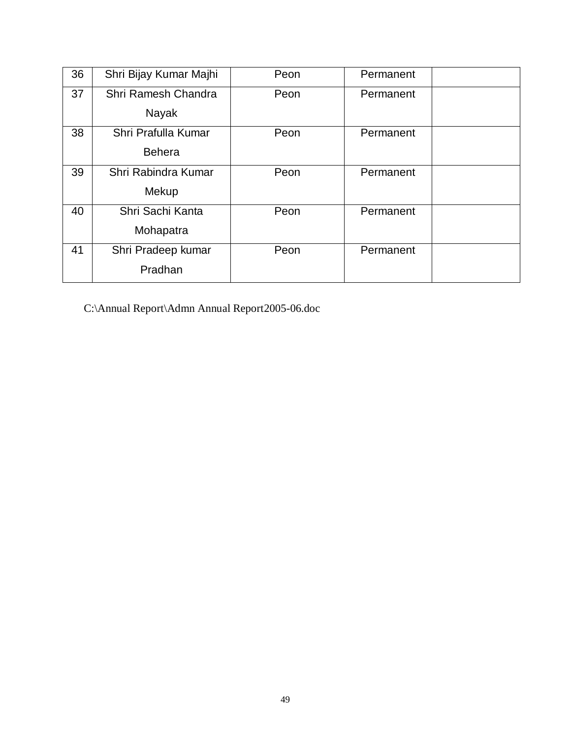| 36 | Shri Bijay Kumar Majhi | Peon | Permanent |  |
|----|------------------------|------|-----------|--|
| 37 | Shri Ramesh Chandra    | Peon | Permanent |  |
|    | Nayak                  |      |           |  |
| 38 | Shri Prafulla Kumar    | Peon | Permanent |  |
|    | <b>Behera</b>          |      |           |  |
| 39 | Shri Rabindra Kumar    | Peon | Permanent |  |
|    | Mekup                  |      |           |  |
| 40 | Shri Sachi Kanta       | Peon | Permanent |  |
|    | Mohapatra              |      |           |  |
| 41 | Shri Pradeep kumar     | Peon | Permanent |  |
|    | Pradhan                |      |           |  |

C:\Annual Report\Admn Annual Report2005-06.doc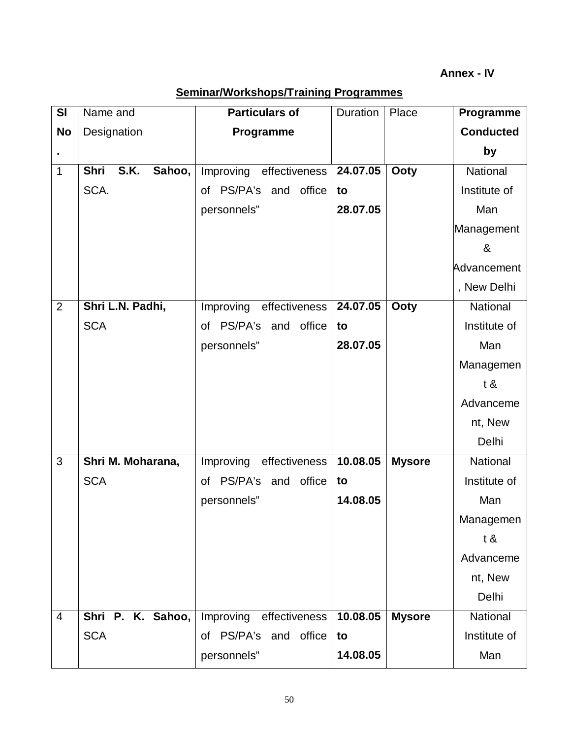| SI             | Name and                             | <b>Particulars of</b>      | Duration | Place         | Programme        |
|----------------|--------------------------------------|----------------------------|----------|---------------|------------------|
| <b>No</b>      | Designation                          | Programme                  |          |               | <b>Conducted</b> |
| $\blacksquare$ |                                      |                            |          |               | by               |
| 1              | <b>S.K.</b><br>Sahoo,<br><b>Shri</b> | Improving effectiveness    | 24.07.05 | <b>Ooty</b>   | National         |
|                | SCA.                                 | of PS/PA's and office      | to       |               | Institute of     |
|                |                                      | personnels"                | 28.07.05 |               | Man              |
|                |                                      |                            |          |               | Management       |
|                |                                      |                            |          |               | &                |
|                |                                      |                            |          |               | Advancement      |
|                |                                      |                            |          |               | , New Delhi      |
| $\overline{2}$ | Shri L.N. Padhi,                     | Improving<br>effectiveness | 24.07.05 | Ooty          | National         |
|                | <b>SCA</b>                           | of PS/PA's and office      | to       |               | Institute of     |
|                |                                      | personnels"                | 28.07.05 |               | Man              |
|                |                                      |                            |          |               | Managemen        |
|                |                                      |                            |          |               | t &              |
|                |                                      |                            |          |               | Advanceme        |
|                |                                      |                            |          |               | nt, New          |
|                |                                      |                            |          |               | Delhi            |
| 3              | Shri M. Moharana,                    | Improving<br>effectiveness | 10.08.05 | <b>Mysore</b> | National         |
|                | <b>SCA</b>                           | of PS/PA's<br>and office   | to       |               | Institute of     |
|                |                                      | personnels"                | 14.08.05 |               | Man              |
|                |                                      |                            |          |               | Managemen        |
|                |                                      |                            |          |               | t &              |
|                |                                      |                            |          |               | Advanceme        |
|                |                                      |                            |          |               | nt, New          |
|                |                                      |                            |          |               | Delhi            |
| $\overline{4}$ | Shri P. K. Sahoo,                    | Improving effectiveness    | 10.08.05 | <b>Mysore</b> | National         |
|                | <b>SCA</b>                           | of PS/PA's and office      | to       |               | Institute of     |
|                |                                      | personnels"                | 14.08.05 |               | Man              |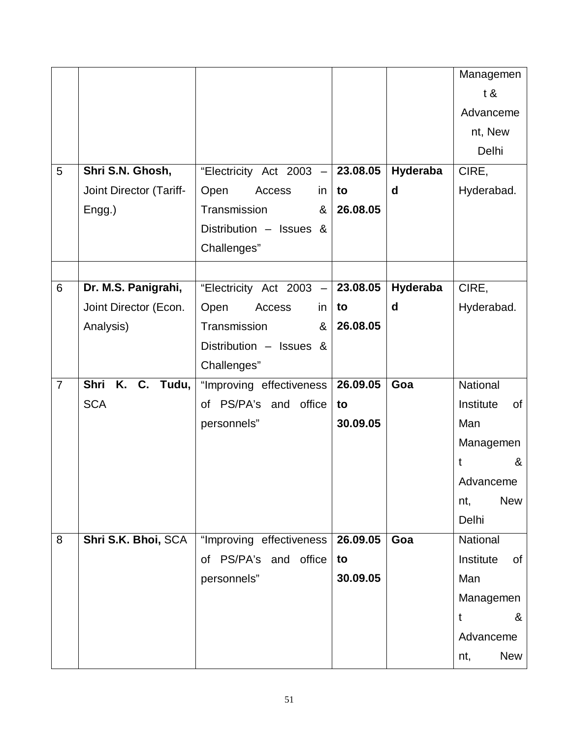|                |                                   |                                    |          |          | Managemen                  |
|----------------|-----------------------------------|------------------------------------|----------|----------|----------------------------|
|                |                                   |                                    |          |          | t &                        |
|                |                                   |                                    |          |          | Advanceme                  |
|                |                                   |                                    |          |          | nt, New                    |
|                |                                   |                                    |          |          | Delhi                      |
| 5              | Shri S.N. Ghosh,                  | "Electricity Act 2003 -            | 23.08.05 | Hyderaba | CIRE,                      |
|                | Joint Director (Tariff-           | Open<br>Access<br>in               | to       | d        | Hyderabad.                 |
|                | Engg.)                            | Transmission<br>&                  | 26.08.05 |          |                            |
|                |                                   | Distribution - Issues &            |          |          |                            |
|                |                                   | Challenges"                        |          |          |                            |
|                |                                   |                                    |          |          |                            |
| 6              | Dr. M.S. Panigrahi,               | "Electricity Act 2003 $-$ 23.08.05 |          | Hyderaba | CIRE,                      |
|                | Joint Director (Econ.             | Open<br>Access<br>in               | to       | d        | Hyderabad.                 |
|                | Analysis)                         | Transmission<br>&                  | 26.08.05 |          |                            |
|                |                                   | Distribution - Issues &            |          |          |                            |
|                |                                   | Challenges"                        |          |          |                            |
| $\overline{7}$ | Shri<br>$\overline{K}$ . C. Tudu, | "Improving effectiveness           | 26.09.05 | Goa      | National                   |
|                | <b>SCA</b>                        | of PS/PA's and office              | to       |          | Institute<br>of            |
|                |                                   | personnels"                        | 30.09.05 |          | Man                        |
|                |                                   |                                    |          |          | Managemen                  |
|                |                                   |                                    |          |          | $\boldsymbol{\alpha}$<br>t |
|                |                                   |                                    |          |          | Advanceme                  |
|                |                                   |                                    |          |          | <b>New</b><br>nt,          |
|                |                                   |                                    |          |          | Delhi                      |
| 8              | Shri S.K. Bhoi, SCA               | "Improving effectiveness           | 26.09.05 | Goa      | National                   |
|                |                                   | of PS/PA's and office              | to       |          | Institute<br>of            |
|                |                                   | personnels"                        | 30.09.05 |          | Man                        |
|                |                                   |                                    |          |          | Managemen                  |
|                |                                   |                                    |          |          | &<br>t                     |
|                |                                   |                                    |          |          | Advanceme                  |
|                |                                   |                                    |          |          | <b>New</b><br>nt,          |